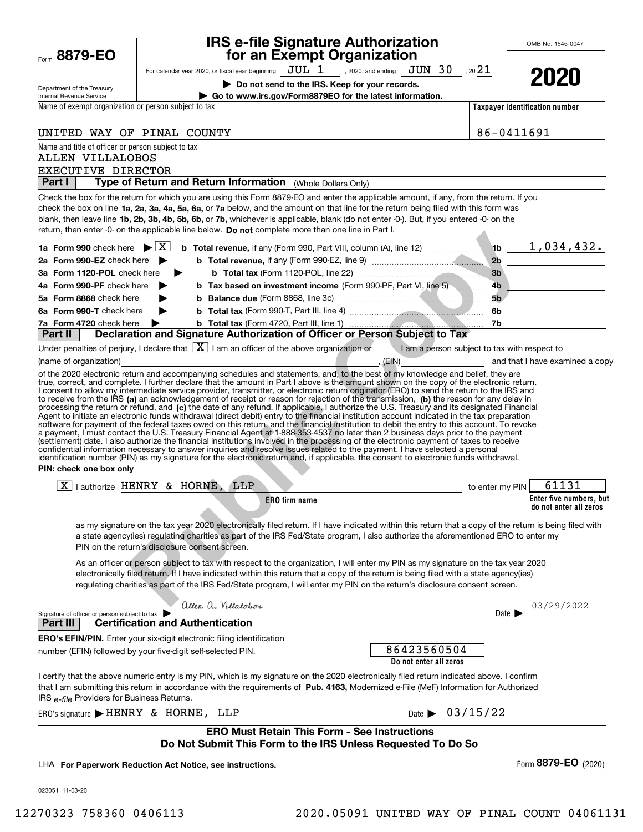| Form 8879-EO                                                                     |                                                                              | <b>IRS e-file Signature Authorization</b><br>for an Exempt Organization                                                                                                                                                                                                                                                                                                                                                                                                                                                                                                                                                                                                                                                                                                                                                                                                                                                                                                                         |                                              |                                       | OMB No. 1545-0047                                     |
|----------------------------------------------------------------------------------|------------------------------------------------------------------------------|-------------------------------------------------------------------------------------------------------------------------------------------------------------------------------------------------------------------------------------------------------------------------------------------------------------------------------------------------------------------------------------------------------------------------------------------------------------------------------------------------------------------------------------------------------------------------------------------------------------------------------------------------------------------------------------------------------------------------------------------------------------------------------------------------------------------------------------------------------------------------------------------------------------------------------------------------------------------------------------------------|----------------------------------------------|---------------------------------------|-------------------------------------------------------|
|                                                                                  |                                                                              | For calendar year 2020, or fiscal year beginning $JUL$ 1 , 2020, and ending $JUN$ 30 , 2021                                                                                                                                                                                                                                                                                                                                                                                                                                                                                                                                                                                                                                                                                                                                                                                                                                                                                                     |                                              |                                       | 2020                                                  |
| Department of the Treasury                                                       |                                                                              | Do not send to the IRS. Keep for your records.                                                                                                                                                                                                                                                                                                                                                                                                                                                                                                                                                                                                                                                                                                                                                                                                                                                                                                                                                  |                                              |                                       |                                                       |
| Internal Revenue Service<br>Name of exempt organization or person subject to tax |                                                                              | Go to www.irs.gov/Form8879EO for the latest information.                                                                                                                                                                                                                                                                                                                                                                                                                                                                                                                                                                                                                                                                                                                                                                                                                                                                                                                                        |                                              | <b>Taxpayer identification number</b> |                                                       |
|                                                                                  |                                                                              |                                                                                                                                                                                                                                                                                                                                                                                                                                                                                                                                                                                                                                                                                                                                                                                                                                                                                                                                                                                                 |                                              |                                       |                                                       |
| UNITED WAY OF PINAL COUNTY                                                       |                                                                              |                                                                                                                                                                                                                                                                                                                                                                                                                                                                                                                                                                                                                                                                                                                                                                                                                                                                                                                                                                                                 |                                              | 86-0411691                            |                                                       |
| Name and title of officer or person subject to tax<br><b>ALLEN VILLALOBOS</b>    |                                                                              |                                                                                                                                                                                                                                                                                                                                                                                                                                                                                                                                                                                                                                                                                                                                                                                                                                                                                                                                                                                                 |                                              |                                       |                                                       |
| EXECUTIVE DIRECTOR                                                               |                                                                              |                                                                                                                                                                                                                                                                                                                                                                                                                                                                                                                                                                                                                                                                                                                                                                                                                                                                                                                                                                                                 |                                              |                                       |                                                       |
| Part I                                                                           |                                                                              | Type of Return and Return Information (Whole Dollars Only)                                                                                                                                                                                                                                                                                                                                                                                                                                                                                                                                                                                                                                                                                                                                                                                                                                                                                                                                      |                                              |                                       |                                                       |
|                                                                                  |                                                                              | Check the box for the return for which you are using this Form 8879-EO and enter the applicable amount, if any, from the return. If you<br>check the box on line 1a, 2a, 3a, 4a, 5a, 6a, or 7a below, and the amount on that line for the return being filed with this form was<br>blank, then leave line 1b, 2b, 3b, 4b, 5b, 6b, or 7b, whichever is applicable, blank (do not enter -0-). But, if you entered -0- on the<br>return, then enter -0- on the applicable line below. Do not complete more than one line in Part I.                                                                                                                                                                                                                                                                                                                                                                                                                                                                |                                              |                                       |                                                       |
| 1a Form 990 check here $\blacktriangleright \lceil X \rceil$                     |                                                                              | <b>b</b> Total revenue, if any (Form 990, Part VIII, column (A), line 12) $\ldots$ 16 $\ldots$ 1, 034, 432.                                                                                                                                                                                                                                                                                                                                                                                                                                                                                                                                                                                                                                                                                                                                                                                                                                                                                     |                                              |                                       |                                                       |
| 2a Form 990-EZ check here                                                        |                                                                              |                                                                                                                                                                                                                                                                                                                                                                                                                                                                                                                                                                                                                                                                                                                                                                                                                                                                                                                                                                                                 |                                              |                                       | 2b                                                    |
| 3a Form 1120-POL check here                                                      |                                                                              |                                                                                                                                                                                                                                                                                                                                                                                                                                                                                                                                                                                                                                                                                                                                                                                                                                                                                                                                                                                                 |                                              | 3 <sub>b</sub>                        |                                                       |
| 4a Form 990-PF check here                                                        |                                                                              | b Tax based on investment income (Form 990-PF, Part VI, line 5)                                                                                                                                                                                                                                                                                                                                                                                                                                                                                                                                                                                                                                                                                                                                                                                                                                                                                                                                 |                                              |                                       | 4b                                                    |
| 5a Form 8868 check here                                                          |                                                                              |                                                                                                                                                                                                                                                                                                                                                                                                                                                                                                                                                                                                                                                                                                                                                                                                                                                                                                                                                                                                 |                                              | 5 <sub>b</sub>                        | <u> 1980 - Johann Barbara, martin a</u>               |
| 6a Form 990-T check here<br>7a Form 4720 check here                              |                                                                              |                                                                                                                                                                                                                                                                                                                                                                                                                                                                                                                                                                                                                                                                                                                                                                                                                                                                                                                                                                                                 |                                              | 6b                                    | <u> 1980 - Andrea State Barbara, poeta esperanto-</u> |
| Part II                                                                          |                                                                              | Declaration and Signature Authorization of Officer or Person Subject to Tax                                                                                                                                                                                                                                                                                                                                                                                                                                                                                                                                                                                                                                                                                                                                                                                                                                                                                                                     |                                              |                                       |                                                       |
|                                                                                  |                                                                              | Under penalties of perjury, I declare that $\boxed{\textbf{X}}$ I am an officer of the above organization or                                                                                                                                                                                                                                                                                                                                                                                                                                                                                                                                                                                                                                                                                                                                                                                                                                                                                    | I am a person subject to tax with respect to |                                       |                                                       |
| (name of organization)                                                           |                                                                              |                                                                                                                                                                                                                                                                                                                                                                                                                                                                                                                                                                                                                                                                                                                                                                                                                                                                                                                                                                                                 | , (EIN) and that I have examined a copy      |                                       |                                                       |
| PIN: check one box only                                                          |                                                                              | processing the return or refund, and (c) the date of any refund. If applicable, I authorize the U.S. Treasury and its designated Financial<br>Agent to initiate an electronic funds withdrawal (direct debit) entry to the financial institution account indicated in the tax preparation<br>software for payment of the federal taxes owed on this return, and the financial institution to debit the entry to this account. To revoke<br>a payment, I must contact the U.S. Treasury Financial Agent at 1-888-353-4537 no later than 2 business days prior to the payment<br>(settlement) date. I also authorize the financial institutions involved in the processing of the electronic payment of taxes to receive<br>confidential information necessary to answer inquiries and resolve issues related to the payment. I have selected a personal<br>identification number (PIN) as my signature for the electronic return and, if applicable, the consent to electronic funds withdrawal. |                                              |                                       |                                                       |
|                                                                                  | $\boxed{X}$   authorize HENRY & HORNE, LLP                                   |                                                                                                                                                                                                                                                                                                                                                                                                                                                                                                                                                                                                                                                                                                                                                                                                                                                                                                                                                                                                 |                                              | to enter my PIN                       | 61131                                                 |
|                                                                                  |                                                                              | <b>ERO</b> firm name                                                                                                                                                                                                                                                                                                                                                                                                                                                                                                                                                                                                                                                                                                                                                                                                                                                                                                                                                                            |                                              |                                       | Enter five numbers, but                               |
|                                                                                  |                                                                              |                                                                                                                                                                                                                                                                                                                                                                                                                                                                                                                                                                                                                                                                                                                                                                                                                                                                                                                                                                                                 |                                              |                                       | do not enter all zeros                                |
|                                                                                  | PIN on the return's disclosure consent screen.                               | as my signature on the tax year 2020 electronically filed return. If I have indicated within this return that a copy of the return is being filed with<br>a state agency(ies) regulating charities as part of the IRS Fed/State program, I also authorize the aforementioned ERO to enter my                                                                                                                                                                                                                                                                                                                                                                                                                                                                                                                                                                                                                                                                                                    |                                              |                                       |                                                       |
|                                                                                  |                                                                              | As an officer or person subject to tax with respect to the organization, I will enter my PIN as my signature on the tax year 2020<br>electronically filed return. If I have indicated within this return that a copy of the return is being filed with a state agency(ies)<br>regulating charities as part of the IRS Fed/State program, I will enter my PIN on the return's disclosure consent screen.                                                                                                                                                                                                                                                                                                                                                                                                                                                                                                                                                                                         |                                              |                                       |                                                       |
| Signature of officer or person subject to tax                                    | allen a. Villalobos                                                          |                                                                                                                                                                                                                                                                                                                                                                                                                                                                                                                                                                                                                                                                                                                                                                                                                                                                                                                                                                                                 |                                              | Date I                                | 03/29/2022                                            |
| <b>Part II</b>                                                                   | <b>Certification and Authentication</b>                                      |                                                                                                                                                                                                                                                                                                                                                                                                                                                                                                                                                                                                                                                                                                                                                                                                                                                                                                                                                                                                 |                                              |                                       |                                                       |
|                                                                                  | <b>ERO's EFIN/PIN.</b> Enter your six-digit electronic filing identification |                                                                                                                                                                                                                                                                                                                                                                                                                                                                                                                                                                                                                                                                                                                                                                                                                                                                                                                                                                                                 |                                              |                                       |                                                       |
|                                                                                  | number (EFIN) followed by your five-digit self-selected PIN.                 |                                                                                                                                                                                                                                                                                                                                                                                                                                                                                                                                                                                                                                                                                                                                                                                                                                                                                                                                                                                                 | 86423560504<br>Do not enter all zeros        |                                       |                                                       |
| IRS e-file Providers for Business Returns.                                       |                                                                              | I certify that the above numeric entry is my PIN, which is my signature on the 2020 electronically filed return indicated above. I confirm<br>that I am submitting this return in accordance with the requirements of Pub. 4163, Modernized e-File (MeF) Information for Authorized                                                                                                                                                                                                                                                                                                                                                                                                                                                                                                                                                                                                                                                                                                             |                                              |                                       |                                                       |
|                                                                                  | ERO's signature FHENRY & HORNE, LLP                                          |                                                                                                                                                                                                                                                                                                                                                                                                                                                                                                                                                                                                                                                                                                                                                                                                                                                                                                                                                                                                 | Date $\triangleright$ 03/15/22               |                                       |                                                       |
|                                                                                  |                                                                              | <b>ERO Must Retain This Form - See Instructions</b><br>Do Not Submit This Form to the IRS Unless Requested To Do So                                                                                                                                                                                                                                                                                                                                                                                                                                                                                                                                                                                                                                                                                                                                                                                                                                                                             |                                              |                                       |                                                       |
|                                                                                  | LHA For Paperwork Reduction Act Notice, see instructions.                    |                                                                                                                                                                                                                                                                                                                                                                                                                                                                                                                                                                                                                                                                                                                                                                                                                                                                                                                                                                                                 |                                              |                                       | Form 8879-EO (2020)                                   |
| 023051 11-03-20                                                                  |                                                                              |                                                                                                                                                                                                                                                                                                                                                                                                                                                                                                                                                                                                                                                                                                                                                                                                                                                                                                                                                                                                 |                                              |                                       |                                                       |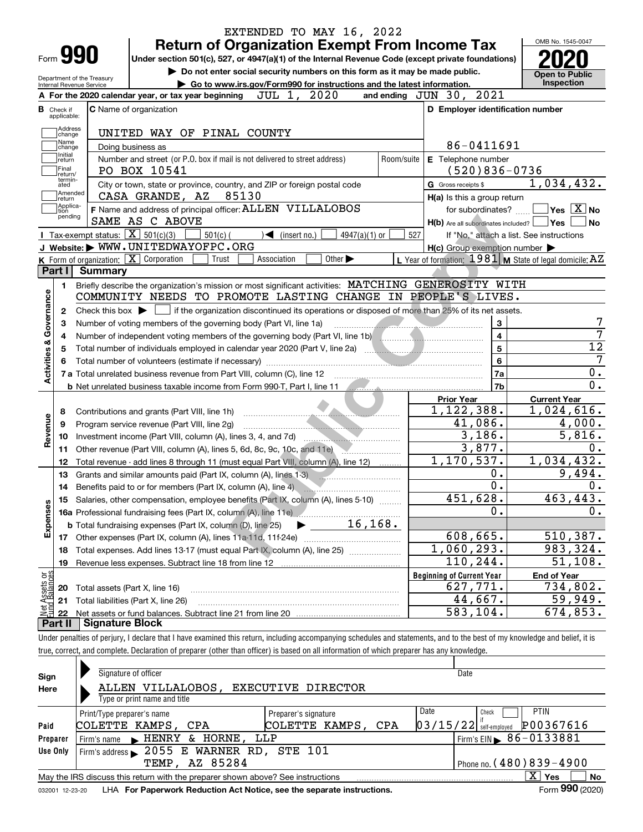|                                |                             | <b>Return of Organization Exempt From Income Tax</b>                                                                                                                                                                           |            |                                                                                                                                                                                                                                           | OMB No. 1545-0047                          |
|--------------------------------|-----------------------------|--------------------------------------------------------------------------------------------------------------------------------------------------------------------------------------------------------------------------------|------------|-------------------------------------------------------------------------------------------------------------------------------------------------------------------------------------------------------------------------------------------|--------------------------------------------|
|                                | Form <b>990</b>             | Under section 501(c), 527, or 4947(a)(1) of the Internal Revenue Code (except private foundations)                                                                                                                             |            |                                                                                                                                                                                                                                           |                                            |
|                                | Internal Revenue Service    | Do not enter social security numbers on this form as it may be made public.<br>Department of the Treasury<br>Go to www.irs.gov/Form990 for instructions and the latest information.                                            |            |                                                                                                                                                                                                                                           | <b>Open to Public</b><br><b>Inspection</b> |
|                                |                             | JUL 1, 2020<br>A For the 2020 calendar year, or tax year beginning                                                                                                                                                             |            | 2021<br>and ending $JUN$ 30,                                                                                                                                                                                                              |                                            |
|                                | <b>B</b> Check if           | <b>C</b> Name of organization                                                                                                                                                                                                  |            | D Employer identification number                                                                                                                                                                                                          |                                            |
|                                | applicable:                 |                                                                                                                                                                                                                                |            |                                                                                                                                                                                                                                           |                                            |
|                                | Address<br>change           | UNITED WAY OF PINAL COUNTY                                                                                                                                                                                                     |            |                                                                                                                                                                                                                                           |                                            |
|                                | Name<br>change              | Doing business as                                                                                                                                                                                                              |            | 86-0411691                                                                                                                                                                                                                                |                                            |
|                                | Initial<br>return           | Number and street (or P.O. box if mail is not delivered to street address)                                                                                                                                                     | Room/suite | E Telephone number                                                                                                                                                                                                                        |                                            |
|                                | Final<br>return/            | PO BOX 10541                                                                                                                                                                                                                   |            | $(520)836 - 0736$                                                                                                                                                                                                                         |                                            |
|                                | termin-<br>ated             | City or town, state or province, country, and ZIP or foreign postal code                                                                                                                                                       |            | G Gross receipts \$                                                                                                                                                                                                                       | 1,034,432.                                 |
|                                | Amended<br>∣return          | 85130<br>CASA GRANDE, AZ                                                                                                                                                                                                       |            | H(a) Is this a group return                                                                                                                                                                                                               |                                            |
|                                | Applica-<br>tion<br>pending | F Name and address of principal officer: ALLEN VILLALOBOS                                                                                                                                                                      |            | for subordinates?                                                                                                                                                                                                                         | $\sqrt{}$ Yes $\sqrt{}$ X $\sqrt{}$ No     |
|                                |                             | SAME AS C ABOVE                                                                                                                                                                                                                |            | H(b) Are all subordinates included?   Yes                                                                                                                                                                                                 |                                            |
|                                |                             | Tax-exempt status: $\boxed{\mathbf{X}}$ 501(c)(3)<br>$501(c)$ (<br>$\blacktriangleleft$ (insert no.)<br>$4947(a)(1)$ or                                                                                                        | 527        | If "No," attach a list. See instructions                                                                                                                                                                                                  |                                            |
|                                |                             | J Website: WWW.UNITEDWAYOFPC.ORG                                                                                                                                                                                               |            | $H(c)$ Group exemption number $\blacktriangleright$                                                                                                                                                                                       |                                            |
|                                |                             | K Form of organization: $\overline{X}$ Corporation<br>Other $\blacktriangleright$<br>Trust<br>Association                                                                                                                      |            | L Year of formation: $1981$ M State of legal domicile: AZ                                                                                                                                                                                 |                                            |
|                                | Part I                      | Summary                                                                                                                                                                                                                        |            |                                                                                                                                                                                                                                           |                                            |
|                                | 1.                          | Briefly describe the organization's mission or most significant activities: MATCHING GENEROSITY WITH                                                                                                                           |            |                                                                                                                                                                                                                                           |                                            |
|                                |                             | COMMUNITY NEEDS TO PROMOTE LASTING CHANGE IN PEOPLE'S LIVES.                                                                                                                                                                   |            |                                                                                                                                                                                                                                           |                                            |
|                                | 2                           | Check this box $\blacktriangleright$ $\Box$ if the organization discontinued its operations or disposed of more than 25% of its net assets.                                                                                    |            |                                                                                                                                                                                                                                           |                                            |
| Governance                     | З                           | Number of voting members of the governing body (Part VI, line 1a)                                                                                                                                                              |            | <u> Estados de Antonio de Antonio de Antonio de Antonio de Antonio de Antonio de Antonio de Antonio de Antonio de Antonio de Antonio de Antonio de Antonio de Antonio de Antonio de Antonio de Antonio de Antonio de Antonio de </u><br>3 |                                            |
|                                | 4                           | Number of independent voting members of the governing body (Part VI, line 1b) [[[[[[[[[[[[[[[[[[[[[[]]]]]]]]]                                                                                                                  |            | $\overline{\mathbf{4}}$                                                                                                                                                                                                                   |                                            |
|                                | 5                           |                                                                                                                                                                                                                                |            | $\overline{5}$                                                                                                                                                                                                                            |                                            |
|                                |                             |                                                                                                                                                                                                                                |            | 6                                                                                                                                                                                                                                         |                                            |
| <b>Activities &amp;</b>        |                             | 7 a Total unrelated business revenue from Part VIII, column (C), line 12 [100] [100] [100] [100] [100] [100] [100] [100] [100] [100] [100] [100] [100] [100] [100] [100] [100] [100] [100] [100] [100] [100] [100] [100] [100] |            | 7a                                                                                                                                                                                                                                        |                                            |
|                                |                             | b Net unrelated business taxable income from Form 990-T, Part I, line 11 (and the context of the state of the state of the state of the state of the state of the state of the state of the state of the state of the state of |            | 7b                                                                                                                                                                                                                                        |                                            |
|                                |                             |                                                                                                                                                                                                                                |            | <b>Prior Year</b><br>1,122,388.                                                                                                                                                                                                           | <b>Current Year</b><br>1,024,616.          |
|                                | 8                           | Contributions and grants (Part VIII, line 1h)                                                                                                                                                                                  |            | 41,086.                                                                                                                                                                                                                                   | 4,000.                                     |
| Revenue                        | 9                           | Program service revenue (Part VIII, line 2g)                                                                                                                                                                                   |            | 3,186.                                                                                                                                                                                                                                    | 5,816.                                     |
|                                | 10                          |                                                                                                                                                                                                                                |            | 3,877.                                                                                                                                                                                                                                    |                                            |
|                                | 11                          | Other revenue (Part VIII, column (A), lines 5, 6d, 8c, 9c, 10c, and 11e)                                                                                                                                                       |            | 1,170,537.                                                                                                                                                                                                                                | 1,034,432.                                 |
|                                | 12                          | Total revenue - add lines 8 through 11 (must equal Part VIII, column (A), line 12)                                                                                                                                             |            | 0.                                                                                                                                                                                                                                        | 9,494.                                     |
|                                | 13                          | Grants and similar amounts paid (Part IX, column (A), lines 1-3)                                                                                                                                                               |            | 0.                                                                                                                                                                                                                                        |                                            |
|                                | 14                          | Benefits paid to or for members (Part IX, column (A), line 4)                                                                                                                                                                  |            | 451,628.                                                                                                                                                                                                                                  | 463, 443.                                  |
|                                |                             | 15 Salaries, other compensation, employee benefits (Part IX, column (A), lines 5-10)                                                                                                                                           |            | 0.                                                                                                                                                                                                                                        |                                            |
| Expenses                       |                             | 16, 168.                                                                                                                                                                                                                       |            |                                                                                                                                                                                                                                           |                                            |
|                                |                             | <b>b</b> Total fundraising expenses (Part IX, column (D), line 25)                                                                                                                                                             |            | 608,665.                                                                                                                                                                                                                                  | 510, 387.                                  |
|                                | 17                          |                                                                                                                                                                                                                                |            | 1,060,293.                                                                                                                                                                                                                                | 983,324.                                   |
|                                | 18                          | Total expenses. Add lines 13-17 (must equal Part IX, column (A), line 25)                                                                                                                                                      |            | 110,244.                                                                                                                                                                                                                                  | 51,108.                                    |
|                                | 19                          |                                                                                                                                                                                                                                |            |                                                                                                                                                                                                                                           |                                            |
|                                |                             |                                                                                                                                                                                                                                |            | <b>Beginning of Current Year</b>                                                                                                                                                                                                          | <b>End of Year</b>                         |
|                                |                             | Total assets (Part X, line 16)                                                                                                                                                                                                 |            | $\overline{627,771}$ .                                                                                                                                                                                                                    | 734,802.                                   |
|                                | 20                          |                                                                                                                                                                                                                                |            |                                                                                                                                                                                                                                           |                                            |
| t Assets or<br>d Balances<br>鲳 | 21<br>22                    | Total liabilities (Part X, line 26)                                                                                                                                                                                            |            | 44,667.<br>583,104.                                                                                                                                                                                                                       | 59,949.<br>674,853.                        |

true, correct, and complete. Declaration of preparer (other than officer) is based on all information of which preparer has any knowledge.

| Sign            | Signature of officer                                                            | Date                        |                                       |                                        |
|-----------------|---------------------------------------------------------------------------------|-----------------------------|---------------------------------------|----------------------------------------|
| Here            | ALLEN VILLALOBOS,<br>EXECUTIVE DIRECTOR                                         |                             |                                       |                                        |
|                 | Type or print name and title                                                    |                             |                                       |                                        |
|                 | Print/Type preparer's name                                                      | <b>PTIN</b><br>Check        |                                       |                                        |
| Paid            | COLETTE KAMPS, CPA                                                              |                             | P00367616<br>$03/15/22$ self-employed |                                        |
| Preparer        | HORNE .<br>HENRY<br>&.<br>Firm's name                                           | LLP                         |                                       | Firm's EIN $\triangleright$ 86-0133881 |
| Use Only        | Firm's address > 2055 E WARNER RD, STE 101                                      |                             |                                       |                                        |
|                 | TEMP, AZ 85284                                                                  | Phone no. $(480)839 - 4900$ |                                       |                                        |
|                 | May the IRS discuss this return with the preparer shown above? See instructions |                             |                                       | x<br><b>No</b><br>Yes                  |
| 032001 12-23-20 | LHA For Paperwork Reduction Act Notice, see the separate instructions.          |                             |                                       | Form 990 (2020)                        |

032001 12-23-20

**990**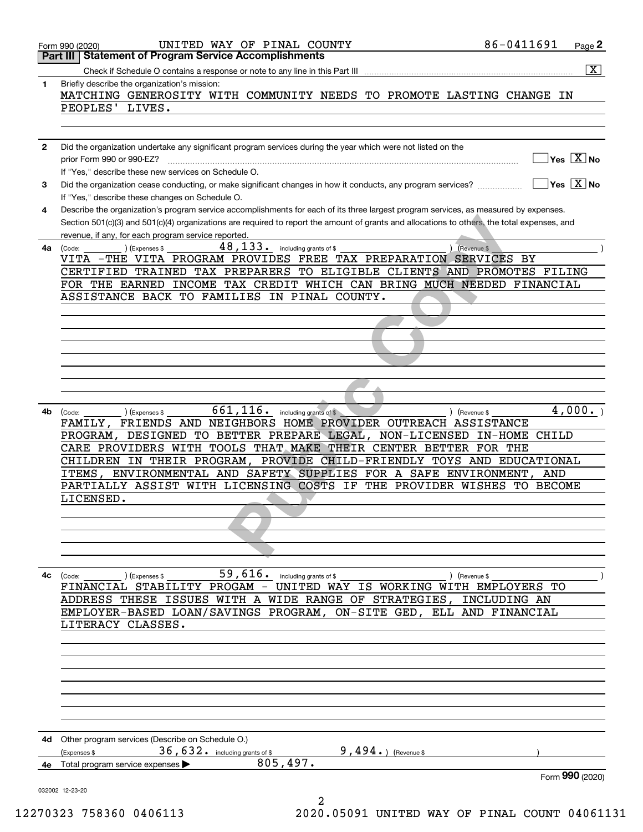|              | UNITED WAY OF PINAL COUNTY<br>Form 990 (2020)                                                                                                                                                       | 86-0411691              | Page 2                  |
|--------------|-----------------------------------------------------------------------------------------------------------------------------------------------------------------------------------------------------|-------------------------|-------------------------|
|              | <b>Statement of Program Service Accomplishments</b><br>Part III                                                                                                                                     |                         |                         |
|              |                                                                                                                                                                                                     |                         | $\overline{\mathbf{X}}$ |
| 1            | Briefly describe the organization's mission:<br>MATCHING GENEROSITY WITH COMMUNITY NEEDS TO PROMOTE LASTING CHANGE IN                                                                               |                         |                         |
|              | PEOPLES' LIVES.                                                                                                                                                                                     |                         |                         |
|              |                                                                                                                                                                                                     |                         |                         |
|              |                                                                                                                                                                                                     |                         |                         |
| $\mathbf{2}$ | Did the organization undertake any significant program services during the year which were not listed on the<br>prior Form 990 or 990-EZ?                                                           |                         | Yes $X$ No              |
|              | If "Yes," describe these new services on Schedule O.                                                                                                                                                |                         |                         |
| 3            | Did the organization cease conducting, or make significant changes in how it conducts, any program services?                                                                                        |                         | $Yes \vert X \vert$ No  |
|              | If "Yes," describe these changes on Schedule O.                                                                                                                                                     |                         |                         |
| 4            | Describe the organization's program service accomplishments for each of its three largest program services, as measured by expenses.                                                                |                         |                         |
|              | Section 501(c)(3) and 501(c)(4) organizations are required to report the amount of grants and allocations to others, the total expenses, and<br>revenue, if any, for each program service reported. |                         |                         |
| 4а           | $48, 133$ . including grants of \$<br>(Expenses \$<br>) (Revenue \$<br>(Code:                                                                                                                       |                         |                         |
|              | VITA -THE VITA PROGRAM PROVIDES FREE TAX PREPARATION SERVICES BY                                                                                                                                    |                         |                         |
|              | CERTIFIED TRAINED TAX PREPARERS TO ELIGIBLE CLIENTS AND PROMOTES FILING                                                                                                                             |                         |                         |
|              | FOR THE EARNED INCOME TAX CREDIT WHICH CAN BRING MUCH NEEDED FINANCIAL<br>ASSISTANCE BACK TO FAMILIES IN PINAL COUNTY.                                                                              |                         |                         |
|              |                                                                                                                                                                                                     |                         |                         |
|              |                                                                                                                                                                                                     |                         |                         |
|              |                                                                                                                                                                                                     |                         |                         |
|              |                                                                                                                                                                                                     |                         |                         |
|              |                                                                                                                                                                                                     |                         |                         |
|              |                                                                                                                                                                                                     |                         |                         |
|              |                                                                                                                                                                                                     |                         |                         |
| 4b           | 661,116.<br>including grants of \$<br>) (Revenue \$<br>(Expenses \$<br>(Code:                                                                                                                       |                         | 4,000.                  |
|              | FAMILY, FRIENDS AND NEIGHBORS HOME PROVIDER OUTREACH ASSISTANCE<br>PROGRAM, DESIGNED TO BETTER PREPARE LEGAL, NON-LICENSED                                                                          | <b>CHILD</b><br>IN-HOME |                         |
|              | CARE PROVIDERS WITH TOOLS THAT MAKE THEIR CENTER BETTER                                                                                                                                             | FOR THE                 |                         |
|              | CHILDREN IN THEIR PROGRAM, PROVIDE CHILD-FRIENDLY TOYS AND EDUCATIONAL                                                                                                                              |                         |                         |
|              | ITEMS, ENVIRONMENTAL AND SAFETY SUPPLIES FOR A SAFE ENVIRONMENT,                                                                                                                                    | AND                     |                         |
|              | PARTIALLY ASSIST WITH LICENSING COSTS IF<br>THE PROVIDER WISHES<br>LICENSED.                                                                                                                        | TO.<br><b>BECOME</b>    |                         |
|              |                                                                                                                                                                                                     |                         |                         |
|              |                                                                                                                                                                                                     |                         |                         |
|              |                                                                                                                                                                                                     |                         |                         |
|              |                                                                                                                                                                                                     |                         |                         |
| 4с           | 59, $\overline{6}16$ . including grants of \$<br>) (Expenses \$<br>(Code:<br>) (Revenue \$                                                                                                          |                         |                         |
|              | FINANCIAL STABILITY PROGAM - UNITED WAY IS WORKING WITH EMPLOYERS TO                                                                                                                                |                         |                         |
|              | ADDRESS THESE ISSUES WITH A WIDE RANGE OF STRATEGIES, INCLUDING AN                                                                                                                                  |                         |                         |
|              | EMPLOYER-BASED LOAN/SAVINGS PROGRAM, ON-SITE GED, ELL AND FINANCIAL                                                                                                                                 |                         |                         |
|              | LITERACY CLASSES.                                                                                                                                                                                   |                         |                         |
|              |                                                                                                                                                                                                     |                         |                         |
|              |                                                                                                                                                                                                     |                         |                         |
|              |                                                                                                                                                                                                     |                         |                         |
|              |                                                                                                                                                                                                     |                         |                         |
|              |                                                                                                                                                                                                     |                         |                         |
|              |                                                                                                                                                                                                     |                         |                         |
| 4d           | Other program services (Describe on Schedule O.)                                                                                                                                                    |                         |                         |
| 4е           | $36,632$ . including grants of \$<br>9, $494.$ (Revenue \$)<br>(Expenses \$<br>805,497.<br>Total program service expenses                                                                           |                         |                         |
|              |                                                                                                                                                                                                     |                         | Form 990 (2020)         |
|              | 032002 12-23-20                                                                                                                                                                                     |                         |                         |
|              | 2                                                                                                                                                                                                   |                         |                         |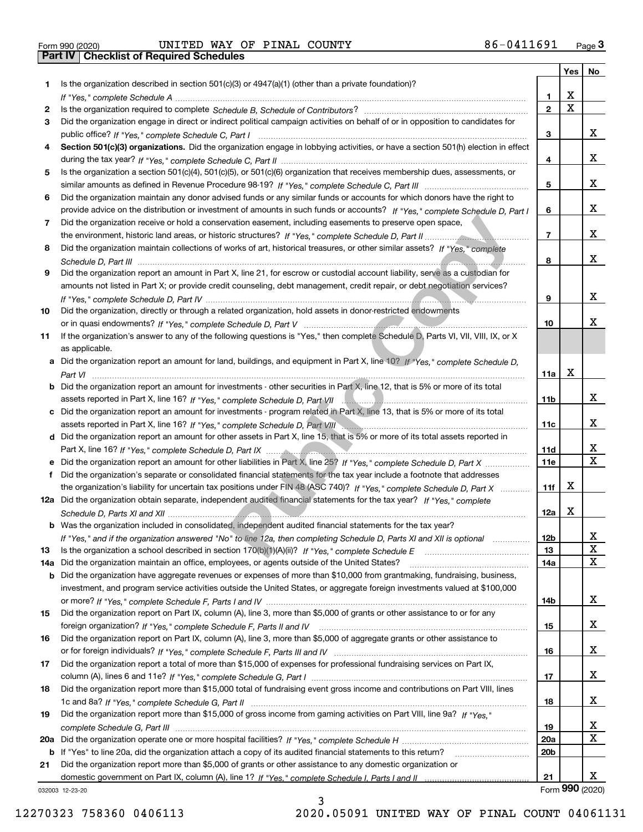| Form 990 (2020) |  |  |
|-----------------|--|--|
|                 |  |  |

|     |                                                                                                                                                 |                 | Yes                     | No           |
|-----|-------------------------------------------------------------------------------------------------------------------------------------------------|-----------------|-------------------------|--------------|
| 1   | Is the organization described in section $501(c)(3)$ or $4947(a)(1)$ (other than a private foundation)?                                         |                 |                         |              |
|     |                                                                                                                                                 | 1.              | X                       |              |
| 2   |                                                                                                                                                 | $\overline{2}$  | $\overline{\mathbf{x}}$ |              |
| 3   | Did the organization engage in direct or indirect political campaign activities on behalf of or in opposition to candidates for                 |                 |                         |              |
|     |                                                                                                                                                 | 3               |                         | x            |
| 4   | Section 501(c)(3) organizations. Did the organization engage in lobbying activities, or have a section 501(h) election in effect                |                 |                         |              |
|     |                                                                                                                                                 | 4               |                         | x            |
| 5   | Is the organization a section 501(c)(4), 501(c)(5), or 501(c)(6) organization that receives membership dues, assessments, or                    |                 |                         |              |
|     |                                                                                                                                                 | 5               |                         | x            |
| 6   | Did the organization maintain any donor advised funds or any similar funds or accounts for which donors have the right to                       |                 |                         |              |
|     | provide advice on the distribution or investment of amounts in such funds or accounts? If "Yes," complete Schedule D, Part I                    | 6               |                         | x            |
| 7   | Did the organization receive or hold a conservation easement, including easements to preserve open space,                                       |                 |                         |              |
|     |                                                                                                                                                 | $\overline{7}$  |                         | x            |
| 8   | Did the organization maintain collections of works of art, historical treasures, or other similar assets? If "Yes," complete                    |                 |                         |              |
|     |                                                                                                                                                 | 8               |                         | X.           |
| 9   | Did the organization report an amount in Part X, line 21, for escrow or custodial account liability, serve as a custodian for                   |                 |                         |              |
|     | amounts not listed in Part X; or provide credit counseling, debt management, credit repair, or debt negotiation services?                       |                 |                         | x            |
|     |                                                                                                                                                 | 9               |                         |              |
| 10  | Did the organization, directly or through a related organization, hold assets in donor-restricted endowments                                    | 10              |                         | x.           |
|     | If the organization's answer to any of the following questions is "Yes," then complete Schedule D, Parts VI, VII, VIII, IX, or X                |                 |                         |              |
| 11  |                                                                                                                                                 |                 |                         |              |
|     | as applicable.<br>a Did the organization report an amount for land, buildings, and equipment in Part X, line 10? If "Yes," complete Schedule D, |                 |                         |              |
|     |                                                                                                                                                 | 11a             | Х                       |              |
|     | Did the organization report an amount for investments - other securities in Part X, line 12, that is 5% or more of its total                    |                 |                         |              |
|     |                                                                                                                                                 | 11 <sub>b</sub> |                         | x            |
| c   | Did the organization report an amount for investments - program related in Part X, line 13, that is 5% or more of its total                     |                 |                         |              |
|     |                                                                                                                                                 | 11c             |                         | x            |
|     | d Did the organization report an amount for other assets in Part X, line 15, that is 5% or more of its total assets reported in                 |                 |                         |              |
|     |                                                                                                                                                 | 11d             |                         | x            |
|     |                                                                                                                                                 | 11e             |                         | $\mathbf{x}$ |
| f   | Did the organization's separate or consolidated financial statements for the tax year include a footnote that addresses                         |                 |                         |              |
|     | the organization's liability for uncertain tax positions under FIN 48 (ASC 740)? If "Yes," complete Schedule D, Part X                          | 11f             | x                       |              |
|     | 12a Did the organization obtain separate, independent audited financial statements for the tax year? If "Yes," complete                         |                 |                         |              |
|     |                                                                                                                                                 | 12a             | Х                       |              |
|     | <b>b</b> Was the organization included in consolidated, independent audited financial statements for the tax year?                              |                 |                         |              |
|     | If "Yes," and if the organization answered "No" to line 12a, then completing Schedule D, Parts XI and XII is optional                           | 12b             |                         | A            |
| 13  |                                                                                                                                                 | 13              |                         | $\mathbf X$  |
| 14a | Did the organization maintain an office, employees, or agents outside of the United States?                                                     | 14a             |                         | X            |
| b   | Did the organization have aggregate revenues or expenses of more than \$10,000 from grantmaking, fundraising, business,                         |                 |                         |              |
|     | investment, and program service activities outside the United States, or aggregate foreign investments valued at \$100,000                      |                 |                         |              |
|     |                                                                                                                                                 | 14b             |                         | x            |
| 15  | Did the organization report on Part IX, column (A), line 3, more than \$5,000 of grants or other assistance to or for any                       |                 |                         |              |
|     |                                                                                                                                                 | 15              |                         | x            |
| 16  | Did the organization report on Part IX, column (A), line 3, more than \$5,000 of aggregate grants or other assistance to                        |                 |                         |              |
|     |                                                                                                                                                 | 16              |                         | x            |
| 17  | Did the organization report a total of more than \$15,000 of expenses for professional fundraising services on Part IX,                         |                 |                         |              |
|     |                                                                                                                                                 | 17              |                         | x            |
| 18  | Did the organization report more than \$15,000 total of fundraising event gross income and contributions on Part VIII, lines                    |                 |                         |              |
|     |                                                                                                                                                 | 18              |                         | x            |
| 19  | Did the organization report more than \$15,000 of gross income from gaming activities on Part VIII, line 9a? If "Yes."                          |                 |                         |              |
|     |                                                                                                                                                 | 19              |                         | x            |
| 20a |                                                                                                                                                 | 20a             |                         | Χ            |
| b   | If "Yes" to line 20a, did the organization attach a copy of its audited financial statements to this return?                                    | 20 <sub>b</sub> |                         |              |
| 21  | Did the organization report more than \$5,000 of grants or other assistance to any domestic organization or                                     |                 |                         |              |
|     |                                                                                                                                                 | 21              |                         | x            |
|     | 032003 12-23-20                                                                                                                                 |                 | Form 990 (2020)         |              |

032003 12-23-20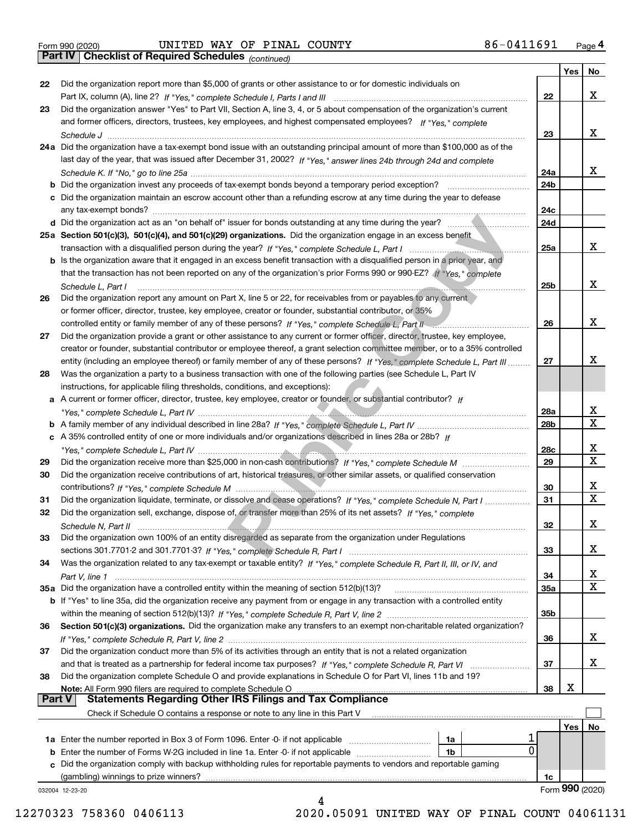*(continued)*

|               |                                                                                                                                                                                                                                |            | Yes | No              |
|---------------|--------------------------------------------------------------------------------------------------------------------------------------------------------------------------------------------------------------------------------|------------|-----|-----------------|
| 22            | Did the organization report more than \$5,000 of grants or other assistance to or for domestic individuals on                                                                                                                  |            |     |                 |
|               |                                                                                                                                                                                                                                | 22         |     | x               |
| 23            | Did the organization answer "Yes" to Part VII, Section A, line 3, 4, or 5 about compensation of the organization's current                                                                                                     |            |     |                 |
|               | and former officers, directors, trustees, key employees, and highest compensated employees? If "Yes," complete                                                                                                                 |            |     |                 |
|               |                                                                                                                                                                                                                                | 23         |     | x               |
|               | 24a Did the organization have a tax-exempt bond issue with an outstanding principal amount of more than \$100,000 as of the                                                                                                    |            |     |                 |
|               | last day of the year, that was issued after December 31, 2002? If "Yes," answer lines 24b through 24d and complete                                                                                                             |            |     |                 |
|               |                                                                                                                                                                                                                                | 24a        |     | x               |
|               | <b>b</b> Did the organization invest any proceeds of tax-exempt bonds beyond a temporary period exception?                                                                                                                     | 24b        |     |                 |
|               | c Did the organization maintain an escrow account other than a refunding escrow at any time during the year to defease                                                                                                         |            |     |                 |
|               | any tax-exempt bonds?                                                                                                                                                                                                          | 24c        |     |                 |
|               |                                                                                                                                                                                                                                | 24d        |     |                 |
|               | 25a Section 501(c)(3), 501(c)(4), and 501(c)(29) organizations. Did the organization engage in an excess benefit                                                                                                               |            |     |                 |
|               | transaction with a disqualified person during the year? If "Yes," complete Schedule L, Part I manufactured and contained and the set of the set of the set of the set of the set of the set of the set of the set of the set o | 25a        |     | x               |
|               | b Is the organization aware that it engaged in an excess benefit transaction with a disqualified person in a prior year, and                                                                                                   |            |     |                 |
|               | that the transaction has not been reported on any of the organization's prior Forms 990 or 990-EZ? If "Yes," complete                                                                                                          |            |     |                 |
|               | Schedule L, Part I                                                                                                                                                                                                             | 25b        |     | х               |
| 26            | Did the organization report any amount on Part X, line 5 or 22, for receivables from or payables to any current                                                                                                                |            |     |                 |
|               | or former officer, director, trustee, key employee, creator or founder, substantial contributor, or 35%                                                                                                                        |            |     |                 |
|               | controlled entity or family member of any of these persons? If "Yes," complete Schedule L, Part II                                                                                                                             | 26         |     | x               |
| 27            | Did the organization provide a grant or other assistance to any current or former officer, director, trustee, key employee,                                                                                                    |            |     |                 |
|               | creator or founder, substantial contributor or employee thereof, a grant selection committee member, or to a 35% controlled                                                                                                    |            |     |                 |
|               | entity (including an employee thereof) or family member of any of these persons? If "Yes," complete Schedule L, Part III                                                                                                       | 27         |     | x               |
| 28            | Was the organization a party to a business transaction with one of the following parties (see Schedule L, Part IV                                                                                                              |            |     |                 |
|               | instructions, for applicable filing thresholds, conditions, and exceptions):                                                                                                                                                   |            |     |                 |
|               | a A current or former officer, director, trustee, key employee, creator or founder, or substantial contributor? If                                                                                                             |            |     |                 |
|               |                                                                                                                                                                                                                                | 28a        |     | x               |
|               |                                                                                                                                                                                                                                | 28b        |     | $\mathbf X$     |
|               | c A 35% controlled entity of one or more individuals and/or organizations described in lines 28a or 28b? If                                                                                                                    |            |     |                 |
|               |                                                                                                                                                                                                                                | 28c        |     | x               |
| 29            |                                                                                                                                                                                                                                | 29         |     | $\mathbf X$     |
| 30            | Did the organization receive contributions of art, historical treasures, or other similar assets, or qualified conservation                                                                                                    |            |     |                 |
|               |                                                                                                                                                                                                                                | 30         |     | х               |
| 31            | Did the organization liquidate, terminate, or dissolve and cease operations? If "Yes," complete Schedule N, Part I                                                                                                             | 31         |     | $\mathbf X$     |
| 32            | Did the organization sell, exchange, dispose of, or transfer more than 25% of its net assets? If "Yes," complete                                                                                                               |            |     |                 |
|               |                                                                                                                                                                                                                                | 32         |     | х               |
|               | Schedule N, Part II                                                                                                                                                                                                            |            |     |                 |
| 33            | Did the organization own 100% of an entity disregarded as separate from the organization under Regulations                                                                                                                     |            |     | х               |
|               |                                                                                                                                                                                                                                | 33         |     |                 |
| 34            | Was the organization related to any tax-exempt or taxable entity? If "Yes," complete Schedule R, Part II, III, or IV, and                                                                                                      |            |     | х               |
|               | Part V, line 1                                                                                                                                                                                                                 | 34         |     | X               |
|               | 35a Did the organization have a controlled entity within the meaning of section 512(b)(13)?                                                                                                                                    | <b>35a</b> |     |                 |
|               | <b>b</b> If "Yes" to line 35a, did the organization receive any payment from or engage in any transaction with a controlled entity                                                                                             |            |     |                 |
|               |                                                                                                                                                                                                                                | 35b        |     |                 |
| 36            | Section 501(c)(3) organizations. Did the organization make any transfers to an exempt non-charitable related organization?                                                                                                     |            |     | х               |
|               |                                                                                                                                                                                                                                | 36         |     |                 |
| 37            | Did the organization conduct more than 5% of its activities through an entity that is not a related organization                                                                                                               |            |     |                 |
|               | and that is treated as a partnership for federal income tax purposes? If "Yes," complete Schedule R, Part VI                                                                                                                   | 37         |     | х               |
| 38            | Did the organization complete Schedule O and provide explanations in Schedule O for Part VI, lines 11b and 19?                                                                                                                 |            | х   |                 |
| <b>Part V</b> | Note: All Form 990 filers are required to complete Schedule O<br><b>Statements Regarding Other IRS Filings and Tax Compliance</b>                                                                                              | 38         |     |                 |
|               |                                                                                                                                                                                                                                |            |     |                 |
|               | Check if Schedule O contains a response or note to any line in this Part V                                                                                                                                                     |            |     |                 |
|               |                                                                                                                                                                                                                                |            | Yes | No              |
|               | 1a                                                                                                                                                                                                                             |            |     |                 |
|               | 0<br><b>b</b> Enter the number of Forms W-2G included in line 1a. Enter -0- if not applicable<br>1b                                                                                                                            |            |     |                 |
|               | c Did the organization comply with backup withholding rules for reportable payments to vendors and reportable gaming                                                                                                           |            |     |                 |
|               | (gambling) winnings to prize winners?                                                                                                                                                                                          | 1c         |     |                 |
|               | 032004 12-23-20                                                                                                                                                                                                                |            |     | Form 990 (2020) |
|               |                                                                                                                                                                                                                                |            |     |                 |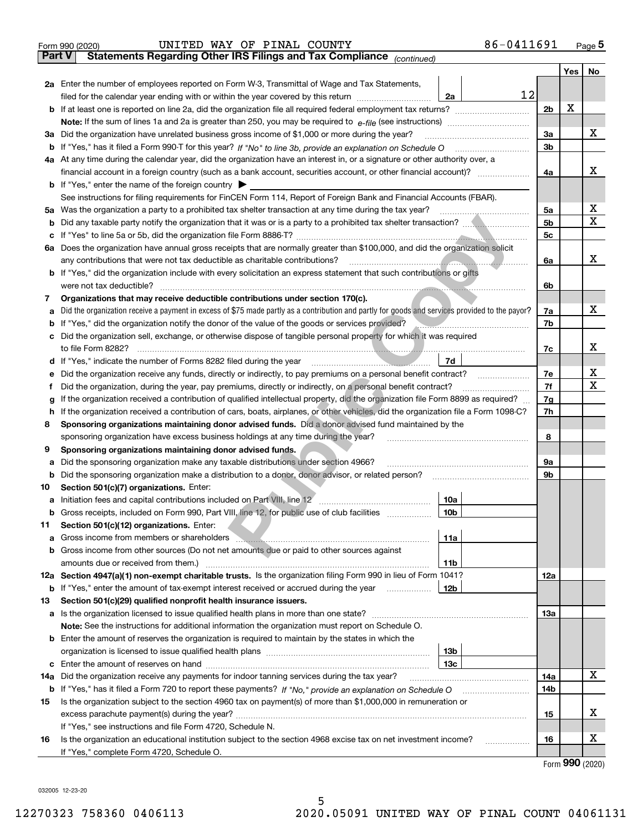| <b>Part V</b> | 86-0411691<br>UNITED WAY OF PINAL COUNTY<br>Form 990 (2020)<br>Statements Regarding Other IRS Filings and Tax Compliance (continued)                                                                                                       |                |     | Page $5$      |  |  |  |  |  |  |  |
|---------------|--------------------------------------------------------------------------------------------------------------------------------------------------------------------------------------------------------------------------------------------|----------------|-----|---------------|--|--|--|--|--|--|--|
|               |                                                                                                                                                                                                                                            |                | Yes | No            |  |  |  |  |  |  |  |
|               | <b>2a</b> Enter the number of employees reported on Form W-3, Transmittal of Wage and Tax Statements,<br>12<br>filed for the calendar year ending with or within the year covered by this return<br>2a                                     |                |     |               |  |  |  |  |  |  |  |
|               | <b>b</b> If at least one is reported on line 2a, did the organization file all required federal employment tax returns?                                                                                                                    | 2 <sub>b</sub> | х   |               |  |  |  |  |  |  |  |
|               | <b>Note:</b> If the sum of lines 1a and 2a is greater than 250, you may be required to $e$ -file (see instructions) <i>manimummmmmm</i>                                                                                                    |                |     |               |  |  |  |  |  |  |  |
|               | 3a Did the organization have unrelated business gross income of \$1,000 or more during the year?                                                                                                                                           |                |     |               |  |  |  |  |  |  |  |
|               | <b>b</b> If "Yes," has it filed a Form 990-T for this year? If "No" to line 3b, provide an explanation on Schedule O                                                                                                                       |                |     |               |  |  |  |  |  |  |  |
|               | 4a At any time during the calendar year, did the organization have an interest in, or a signature or other authority over, a                                                                                                               |                |     |               |  |  |  |  |  |  |  |
|               |                                                                                                                                                                                                                                            | 4a             |     | x             |  |  |  |  |  |  |  |
|               | <b>b</b> If "Yes," enter the name of the foreign country $\blacktriangleright$                                                                                                                                                             |                |     |               |  |  |  |  |  |  |  |
|               | See instructions for filing requirements for FinCEN Form 114, Report of Foreign Bank and Financial Accounts (FBAR).                                                                                                                        |                |     |               |  |  |  |  |  |  |  |
|               | 5a Was the organization a party to a prohibited tax shelter transaction at any time during the tax year?                                                                                                                                   | 5а             |     | x             |  |  |  |  |  |  |  |
| b             |                                                                                                                                                                                                                                            | 5 <sub>b</sub> |     | х             |  |  |  |  |  |  |  |
| c             |                                                                                                                                                                                                                                            | 5 <sub>c</sub> |     |               |  |  |  |  |  |  |  |
|               | 6a Does the organization have annual gross receipts that are normally greater than \$100,000, and did the organization solicit                                                                                                             |                |     |               |  |  |  |  |  |  |  |
|               | any contributions that were not tax deductible as charitable contributions?                                                                                                                                                                | 6a             |     | x             |  |  |  |  |  |  |  |
|               | <b>b</b> If "Yes," did the organization include with every solicitation an express statement that such contributions or gifts                                                                                                              |                |     |               |  |  |  |  |  |  |  |
|               | were not tax deductible?                                                                                                                                                                                                                   | 6b             |     |               |  |  |  |  |  |  |  |
| 7             | Organizations that may receive deductible contributions under section 170(c).                                                                                                                                                              |                |     |               |  |  |  |  |  |  |  |
| a             | Did the organization receive a payment in excess of \$75 made partly as a contribution and partly for goods and services provided to the payor?                                                                                            | 7a             |     | x             |  |  |  |  |  |  |  |
| b             | If "Yes," did the organization notify the donor of the value of the goods or services provided?                                                                                                                                            | 7b             |     |               |  |  |  |  |  |  |  |
| c             | Did the organization sell, exchange, or otherwise dispose of tangible personal property for which it was required                                                                                                                          |                |     |               |  |  |  |  |  |  |  |
|               | to file Form 8282?                                                                                                                                                                                                                         | 7c             |     | х             |  |  |  |  |  |  |  |
|               | 7d<br>d If "Yes," indicate the number of Forms 8282 filed during the year                                                                                                                                                                  |                |     |               |  |  |  |  |  |  |  |
| е             | Did the organization receive any funds, directly or indirectly, to pay premiums on a personal benefit contract?                                                                                                                            | 7e             |     | X             |  |  |  |  |  |  |  |
| Ť.            | Did the organization, during the year, pay premiums, directly or indirectly, on a personal benefit contract?                                                                                                                               | 7f<br>7g       |     | х             |  |  |  |  |  |  |  |
| g             | If the organization received a contribution of qualified intellectual property, did the organization file Form 8899 as required?                                                                                                           |                |     |               |  |  |  |  |  |  |  |
| h.            | If the organization received a contribution of cars, boats, airplanes, or other vehicles, did the organization file a Form 1098-C?                                                                                                         | 7h             |     |               |  |  |  |  |  |  |  |
| 8             | Sponsoring organizations maintaining donor advised funds. Did a donor advised fund maintained by the                                                                                                                                       |                |     |               |  |  |  |  |  |  |  |
|               | sponsoring organization have excess business holdings at any time during the year?                                                                                                                                                         | 8              |     |               |  |  |  |  |  |  |  |
| 9             | Sponsoring organizations maintaining donor advised funds.                                                                                                                                                                                  |                |     |               |  |  |  |  |  |  |  |
| а             | Did the sponsoring organization make any taxable distributions under section 4966?                                                                                                                                                         | 9а             |     |               |  |  |  |  |  |  |  |
| b             | Did the sponsoring organization make a distribution to a donor, donor advisor, or related person?                                                                                                                                          | 9b             |     |               |  |  |  |  |  |  |  |
| 10            | Section 501(c)(7) organizations. Enter:                                                                                                                                                                                                    |                |     |               |  |  |  |  |  |  |  |
|               | 10a                                                                                                                                                                                                                                        |                |     |               |  |  |  |  |  |  |  |
| b             | Gross receipts, included on Form 990, Part VIII, line 12, for public use of club facilities<br>10b                                                                                                                                         |                |     |               |  |  |  |  |  |  |  |
| 11            | Section 501(c)(12) organizations. Enter:                                                                                                                                                                                                   |                |     |               |  |  |  |  |  |  |  |
| а             | Gross income from members or shareholders <b>www.areholders</b> and a substitution of the state of the state of the state of the state of the state of the state of the state of the state of the state of the state of the state o<br>11a |                |     |               |  |  |  |  |  |  |  |
| b             | Gross income from other sources (Do not net amounts due or paid to other sources against                                                                                                                                                   |                |     |               |  |  |  |  |  |  |  |
|               | 11b                                                                                                                                                                                                                                        |                |     |               |  |  |  |  |  |  |  |
|               | 12a Section 4947(a)(1) non-exempt charitable trusts. Is the organization filing Form 990 in lieu of Form 1041?                                                                                                                             | 12a            |     |               |  |  |  |  |  |  |  |
| b             | If "Yes," enter the amount of tax-exempt interest received or accrued during the year<br>12b                                                                                                                                               |                |     |               |  |  |  |  |  |  |  |
| 13            | Section 501(c)(29) qualified nonprofit health insurance issuers.                                                                                                                                                                           |                |     |               |  |  |  |  |  |  |  |
| a             |                                                                                                                                                                                                                                            | 13а            |     |               |  |  |  |  |  |  |  |
|               | <b>Note:</b> See the instructions for additional information the organization must report on Schedule O.                                                                                                                                   |                |     |               |  |  |  |  |  |  |  |
|               | <b>b</b> Enter the amount of reserves the organization is required to maintain by the states in which the                                                                                                                                  |                |     |               |  |  |  |  |  |  |  |
|               | 13b                                                                                                                                                                                                                                        |                |     |               |  |  |  |  |  |  |  |
| c             | 13с                                                                                                                                                                                                                                        |                |     |               |  |  |  |  |  |  |  |
| 14a           | Did the organization receive any payments for indoor tanning services during the tax year?                                                                                                                                                 | 14a            |     | х             |  |  |  |  |  |  |  |
| b             |                                                                                                                                                                                                                                            | 14b            |     |               |  |  |  |  |  |  |  |
| 15            | Is the organization subject to the section 4960 tax on payment(s) of more than \$1,000,000 in remuneration or                                                                                                                              |                |     | х             |  |  |  |  |  |  |  |
|               |                                                                                                                                                                                                                                            | 15             |     |               |  |  |  |  |  |  |  |
|               | If "Yes," see instructions and file Form 4720, Schedule N.                                                                                                                                                                                 |                |     | х             |  |  |  |  |  |  |  |
| 16            | Is the organization an educational institution subject to the section 4968 excise tax on net investment income?<br>.                                                                                                                       | 16             |     |               |  |  |  |  |  |  |  |
|               | If "Yes," complete Form 4720, Schedule O.                                                                                                                                                                                                  |                |     | $\mathbf{QQ}$ |  |  |  |  |  |  |  |

5

Form (2020) **990**

032005 12-23-20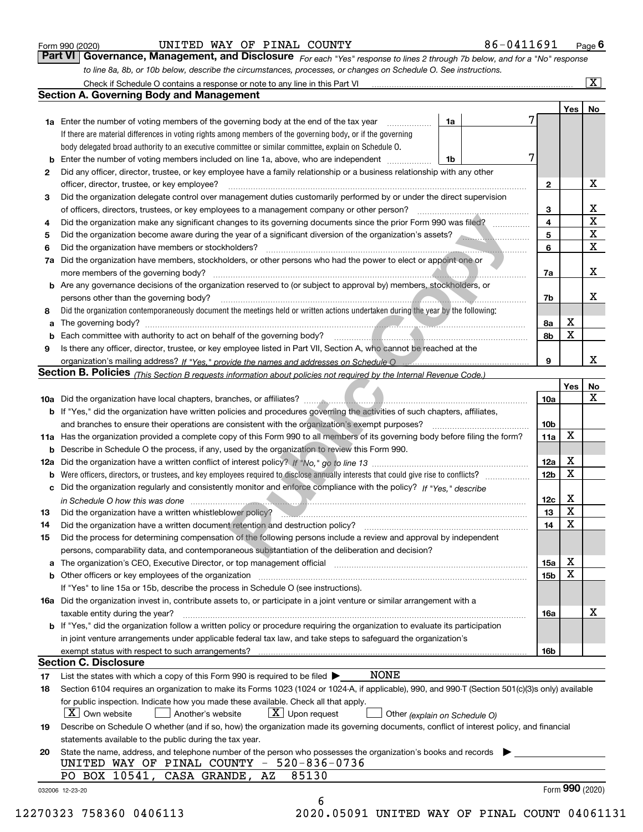|  | Form 990 (2020) |
|--|-----------------|
|  |                 |

*For each "Yes" response to lines 2 through 7b below, and for a "No" response to line 8a, 8b, or 10b below, describe the circumstances, processes, or changes on Schedule O. See instructions.* Form 990 (2020) **CONFIGE BOOG TO BE A FIGURE 1999 COVERTLY** 1990 (2020) **Page 6**<br>**Part VI Governance, Management, and Disclosure** *For each "Yes" response to lines 2 through 7b below, and for a "No" response* 

|     | Check if Schedule O contains a response or note to any line in this Part VI                                                                                           |                 |     | $\mathbf{x}$    |  |  |  |  |  |  |  |  |
|-----|-----------------------------------------------------------------------------------------------------------------------------------------------------------------------|-----------------|-----|-----------------|--|--|--|--|--|--|--|--|
|     | Section A. Governing Body and Management                                                                                                                              |                 |     |                 |  |  |  |  |  |  |  |  |
|     |                                                                                                                                                                       |                 | Yes | No              |  |  |  |  |  |  |  |  |
|     | 1a Enter the number of voting members of the governing body at the end of the tax year<br>1a                                                                          |                 |     |                 |  |  |  |  |  |  |  |  |
|     | If there are material differences in voting rights among members of the governing body, or if the governing                                                           |                 |     |                 |  |  |  |  |  |  |  |  |
|     | body delegated broad authority to an executive committee or similar committee, explain on Schedule O.                                                                 |                 |     |                 |  |  |  |  |  |  |  |  |
| b   | 7<br>Enter the number of voting members included on line 1a, above, who are independent<br>1b                                                                         |                 |     |                 |  |  |  |  |  |  |  |  |
| 2   | Did any officer, director, trustee, or key employee have a family relationship or a business relationship with any other                                              |                 |     |                 |  |  |  |  |  |  |  |  |
|     | officer, director, trustee, or key employee?                                                                                                                          |                 |     |                 |  |  |  |  |  |  |  |  |
| 3   | Did the organization delegate control over management duties customarily performed by or under the direct supervision                                                 |                 |     |                 |  |  |  |  |  |  |  |  |
|     | of officers, directors, trustees, or key employees to a management company or other person?                                                                           |                 |     |                 |  |  |  |  |  |  |  |  |
| 4   | Did the organization make any significant changes to its governing documents since the prior Form 990 was filed?                                                      |                 |     |                 |  |  |  |  |  |  |  |  |
| 5   | Did the organization become aware during the year of a significant diversion of the organization's assets?                                                            |                 |     |                 |  |  |  |  |  |  |  |  |
| 6   | Did the organization have members or stockholders?                                                                                                                    |                 |     |                 |  |  |  |  |  |  |  |  |
| 7a  | Did the organization have members, stockholders, or other persons who had the power to elect or appoint one or                                                        |                 |     |                 |  |  |  |  |  |  |  |  |
|     | more members of the governing body?                                                                                                                                   | 7a              |     | х               |  |  |  |  |  |  |  |  |
| b   | Are any governance decisions of the organization reserved to (or subject to approval by) members, stockholders, or                                                    |                 |     |                 |  |  |  |  |  |  |  |  |
|     | persons other than the governing body?                                                                                                                                | 7b              |     | x               |  |  |  |  |  |  |  |  |
| 8   | Did the organization contemporaneously document the meetings held or written actions undertaken during the year by the following:                                     |                 |     |                 |  |  |  |  |  |  |  |  |
| a   | The governing body?                                                                                                                                                   | 8а              | х   |                 |  |  |  |  |  |  |  |  |
| b   |                                                                                                                                                                       | 8b              | X   |                 |  |  |  |  |  |  |  |  |
| 9   | Is there any officer, director, trustee, or key employee listed in Part VII, Section A, who cannot be reached at the                                                  |                 |     |                 |  |  |  |  |  |  |  |  |
|     |                                                                                                                                                                       | 9               |     | x               |  |  |  |  |  |  |  |  |
|     | <b>Section B. Policies</b> (This Section B requests information about policies not required by the Internal Revenue Code.)                                            |                 |     |                 |  |  |  |  |  |  |  |  |
|     |                                                                                                                                                                       |                 | Yes | No              |  |  |  |  |  |  |  |  |
|     |                                                                                                                                                                       | 10a             |     | x               |  |  |  |  |  |  |  |  |
|     | <b>b</b> If "Yes," did the organization have written policies and procedures governing the activities of such chapters, affiliates,                                   |                 |     |                 |  |  |  |  |  |  |  |  |
|     | and branches to ensure their operations are consistent with the organization's exempt purposes?                                                                       | 10 <sub>b</sub> |     |                 |  |  |  |  |  |  |  |  |
|     | 11a Has the organization provided a complete copy of this Form 990 to all members of its governing body before filing the form?                                       |                 |     |                 |  |  |  |  |  |  |  |  |
| b   | Describe in Schedule O the process, if any, used by the organization to review this Form 990.                                                                         |                 |     |                 |  |  |  |  |  |  |  |  |
| 12a |                                                                                                                                                                       |                 |     |                 |  |  |  |  |  |  |  |  |
| b   | Were officers, directors, or trustees, and key employees required to disclose annually interests that could give rise to conflicts?                                   |                 |     |                 |  |  |  |  |  |  |  |  |
| с   | Did the organization regularly and consistently monitor and enforce compliance with the policy? If "Yes," describe                                                    |                 |     |                 |  |  |  |  |  |  |  |  |
|     |                                                                                                                                                                       | 12c             | х   |                 |  |  |  |  |  |  |  |  |
| 13  | Did the organization have a written whistleblower policy?                                                                                                             | 13              | X   |                 |  |  |  |  |  |  |  |  |
| 14  | Did the organization have a written document retention and destruction policy?                                                                                        | 14              | X   |                 |  |  |  |  |  |  |  |  |
| 15  | Did the process for determining compensation of the following persons include a review and approval by independent                                                    |                 |     |                 |  |  |  |  |  |  |  |  |
|     | persons, comparability data, and contemporaneous substantiation of the deliberation and decision?                                                                     |                 |     |                 |  |  |  |  |  |  |  |  |
| а   | The organization's CEO, Executive Director, or top management official manufactured content of the organization's CEO, Executive Director, or top management official | 15a             | Χ   |                 |  |  |  |  |  |  |  |  |
| b   | Other officers or key employees of the organization                                                                                                                   | 15 <sub>b</sub> | X   |                 |  |  |  |  |  |  |  |  |
|     | If "Yes" to line 15a or 15b, describe the process in Schedule O (see instructions).                                                                                   |                 |     |                 |  |  |  |  |  |  |  |  |
|     | 16a Did the organization invest in, contribute assets to, or participate in a joint venture or similar arrangement with a                                             |                 |     |                 |  |  |  |  |  |  |  |  |
|     | taxable entity during the year?                                                                                                                                       | 16a             |     | х               |  |  |  |  |  |  |  |  |
|     | b If "Yes," did the organization follow a written policy or procedure requiring the organization to evaluate its participation                                        |                 |     |                 |  |  |  |  |  |  |  |  |
|     | in joint venture arrangements under applicable federal tax law, and take steps to safeguard the organization's                                                        |                 |     |                 |  |  |  |  |  |  |  |  |
|     | exempt status with respect to such arrangements?                                                                                                                      | 16b             |     |                 |  |  |  |  |  |  |  |  |
|     | <b>Section C. Disclosure</b>                                                                                                                                          |                 |     |                 |  |  |  |  |  |  |  |  |
| 17  | NONE<br>List the states with which a copy of this Form 990 is required to be filed $\blacktriangleright$                                                              |                 |     |                 |  |  |  |  |  |  |  |  |
| 18  | Section 6104 requires an organization to make its Forms 1023 (1024 or 1024-A, if applicable), 990, and 990-T (Section 501(c)(3)s only) available                      |                 |     |                 |  |  |  |  |  |  |  |  |
|     | for public inspection. Indicate how you made these available. Check all that apply.                                                                                   |                 |     |                 |  |  |  |  |  |  |  |  |
|     | $\lfloor X \rfloor$ Own website<br>$\lfloor X \rfloor$ Upon request<br>Another's website<br>Other (explain on Schedule O)                                             |                 |     |                 |  |  |  |  |  |  |  |  |
| 19  | Describe on Schedule O whether (and if so, how) the organization made its governing documents, conflict of interest policy, and financial                             |                 |     |                 |  |  |  |  |  |  |  |  |
|     | statements available to the public during the tax year.                                                                                                               |                 |     |                 |  |  |  |  |  |  |  |  |
| 20  | State the name, address, and telephone number of the person who possesses the organization's books and records                                                        |                 |     |                 |  |  |  |  |  |  |  |  |
|     | UNITED WAY OF PINAL COUNTY -<br>$520 - 836 - 0736$<br>85130<br>PO BOX 10541,<br>CASA GRANDE,<br>AZ                                                                    |                 |     |                 |  |  |  |  |  |  |  |  |
|     |                                                                                                                                                                       |                 |     | Form 990 (2020) |  |  |  |  |  |  |  |  |
|     | 032006 12-23-20<br>6                                                                                                                                                  |                 |     |                 |  |  |  |  |  |  |  |  |
|     |                                                                                                                                                                       |                 |     |                 |  |  |  |  |  |  |  |  |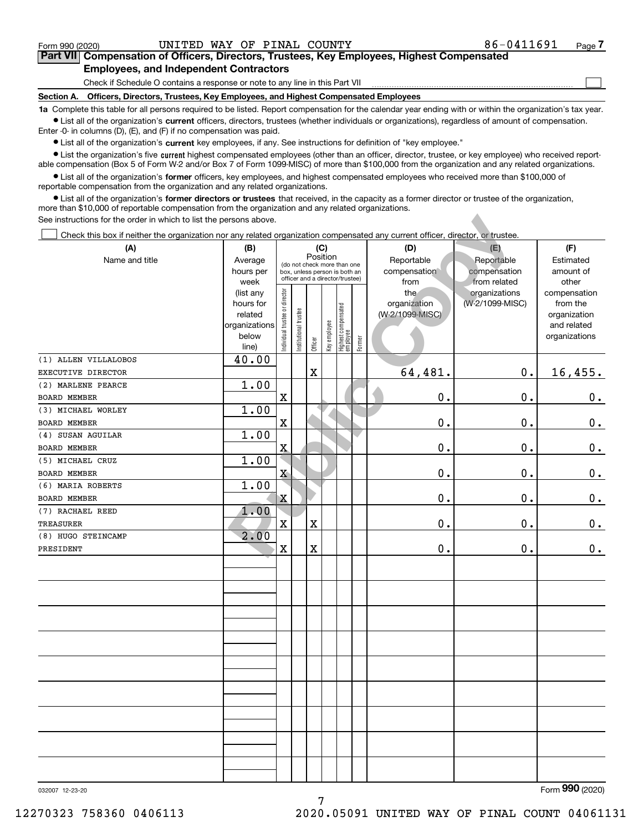$\mathcal{L}^{\text{max}}$ 

# **7Part VII Compensation of Officers, Directors, Trustees, Key Employees, Highest Compensated Employees, and Independent Contractors**

Check if Schedule O contains a response or note to any line in this Part VII

**Section A. Officers, Directors, Trustees, Key Employees, and Highest Compensated Employees**

**1a**  Complete this table for all persons required to be listed. Report compensation for the calendar year ending with or within the organization's tax year. **•** List all of the organization's current officers, directors, trustees (whether individuals or organizations), regardless of amount of compensation.

Enter -0- in columns (D), (E), and (F) if no compensation was paid.

 $\bullet$  List all of the organization's  $\,$ current key employees, if any. See instructions for definition of "key employee."

**•** List the organization's five current highest compensated employees (other than an officer, director, trustee, or key employee) who received reportable compensation (Box 5 of Form W-2 and/or Box 7 of Form 1099-MISC) of more than \$100,000 from the organization and any related organizations.

**•** List all of the organization's former officers, key employees, and highest compensated employees who received more than \$100,000 of reportable compensation from the organization and any related organizations.

**former directors or trustees**  ¥ List all of the organization's that received, in the capacity as a former director or trustee of the organization, more than \$10,000 of reportable compensation from the organization and any related organizations.

| See instructions for the order in which to list the persons above.                                                             |                        |                                |                                                                  |             |              |                                 |        |                     |                                  |                          |
|--------------------------------------------------------------------------------------------------------------------------------|------------------------|--------------------------------|------------------------------------------------------------------|-------------|--------------|---------------------------------|--------|---------------------|----------------------------------|--------------------------|
| Check this box if neither the organization nor any related organization compensated any current officer, director, or trustee. |                        |                                |                                                                  |             |              |                                 |        |                     |                                  |                          |
| (A)                                                                                                                            | (B)<br>(C)             |                                |                                                                  |             |              |                                 | (D)    | (E)                 | (F)                              |                          |
| Name and title                                                                                                                 | Average                |                                | (do not check more than one                                      |             | Position     |                                 |        | Reportable          | Reportable                       | Estimated                |
|                                                                                                                                | hours per              |                                | box, unless person is both an<br>officer and a director/trustee) |             |              |                                 |        | compensation        | compensation                     | amount of                |
|                                                                                                                                | week                   |                                |                                                                  |             |              |                                 |        | from                | from related                     | other                    |
|                                                                                                                                | (list any<br>hours for |                                |                                                                  |             |              |                                 |        | the<br>organization | organizations<br>(W-2/1099-MISC) | compensation<br>from the |
|                                                                                                                                | related                |                                |                                                                  |             |              |                                 |        | (W-2/1099-MISC)     |                                  | organization             |
|                                                                                                                                | organizations          |                                |                                                                  |             |              |                                 |        |                     |                                  | and related              |
|                                                                                                                                | below                  | Individual trustee or director | Institutional trustee                                            |             | Key employee | Highest compensated<br>employee |        |                     |                                  | organizations            |
|                                                                                                                                | line)                  |                                |                                                                  | Officer     |              |                                 | Former |                     |                                  |                          |
| (1) ALLEN VILLALOBOS                                                                                                           | 40.00                  |                                |                                                                  |             |              |                                 |        |                     |                                  |                          |
| EXECUTIVE DIRECTOR                                                                                                             |                        |                                |                                                                  | $\mathbf X$ |              |                                 |        | 64,481.             | 0.                               | 16,455.                  |
| (2) MARLENE PEARCE                                                                                                             | 1.00                   |                                |                                                                  |             |              |                                 |        |                     |                                  |                          |
| BOARD MEMBER                                                                                                                   |                        | $\mathbf X$                    |                                                                  |             |              |                                 |        | $0$ .               | 0.                               | 0.                       |
| (3) MICHAEL WORLEY                                                                                                             | 1.00                   |                                |                                                                  |             |              |                                 |        |                     |                                  |                          |
| BOARD MEMBER                                                                                                                   |                        | $\mathbf X$                    |                                                                  |             |              |                                 |        | $\mathbf 0$ .       | 0.                               | $0_{.}$                  |
| (4) SUSAN AGUILAR                                                                                                              | 1.00                   |                                |                                                                  |             |              |                                 |        |                     |                                  |                          |
| BOARD MEMBER                                                                                                                   |                        | $\overline{\textbf{X}}$        |                                                                  |             |              |                                 |        | $\mathbf 0$ .       | 0.                               | $0_{.}$                  |
| (5) MICHAEL CRUZ                                                                                                               | 1.00                   |                                |                                                                  |             |              |                                 |        |                     |                                  |                          |
| BOARD MEMBER                                                                                                                   |                        | $\mathbf X$                    |                                                                  |             |              |                                 |        | $\mathbf 0$ .       | 0.                               | $0_{.}$                  |
| (6) MARIA ROBERTS                                                                                                              | 1.00                   |                                |                                                                  |             |              |                                 |        |                     |                                  |                          |
| BOARD MEMBER                                                                                                                   |                        | $\mathbf X$                    |                                                                  |             |              |                                 |        | $\mathbf 0$ .       | 0.                               | $0_{.}$                  |
| (7) RACHAEL REED                                                                                                               | 1.00                   |                                |                                                                  |             |              |                                 |        |                     |                                  |                          |
| TREASURER                                                                                                                      |                        | $\mathbf X$                    |                                                                  | $\mathbf X$ |              |                                 |        | $\mathbf 0$ .       | 0.                               | 0.                       |
| (8) HUGO STEINCAMP                                                                                                             | 2.00                   |                                |                                                                  |             |              |                                 |        |                     |                                  |                          |
| PRESIDENT                                                                                                                      |                        | $\mathbf X$                    |                                                                  | $\mathbf X$ |              |                                 |        | 0.                  | 0.                               | 0.                       |
|                                                                                                                                |                        |                                |                                                                  |             |              |                                 |        |                     |                                  |                          |
|                                                                                                                                |                        |                                |                                                                  |             |              |                                 |        |                     |                                  |                          |
|                                                                                                                                |                        |                                |                                                                  |             |              |                                 |        |                     |                                  |                          |
|                                                                                                                                |                        |                                |                                                                  |             |              |                                 |        |                     |                                  |                          |
|                                                                                                                                |                        |                                |                                                                  |             |              |                                 |        |                     |                                  |                          |
|                                                                                                                                |                        |                                |                                                                  |             |              |                                 |        |                     |                                  |                          |
|                                                                                                                                |                        |                                |                                                                  |             |              |                                 |        |                     |                                  |                          |
|                                                                                                                                |                        |                                |                                                                  |             |              |                                 |        |                     |                                  |                          |
|                                                                                                                                |                        |                                |                                                                  |             |              |                                 |        |                     |                                  |                          |
|                                                                                                                                |                        |                                |                                                                  |             |              |                                 |        |                     |                                  |                          |
|                                                                                                                                |                        |                                |                                                                  |             |              |                                 |        |                     |                                  |                          |
|                                                                                                                                |                        |                                |                                                                  |             |              |                                 |        |                     |                                  |                          |
|                                                                                                                                |                        |                                |                                                                  |             |              |                                 |        |                     |                                  |                          |
|                                                                                                                                |                        |                                |                                                                  |             |              |                                 |        |                     |                                  |                          |
|                                                                                                                                |                        |                                |                                                                  |             |              |                                 |        |                     |                                  |                          |
|                                                                                                                                |                        |                                |                                                                  |             |              |                                 |        |                     |                                  |                          |
|                                                                                                                                |                        |                                |                                                                  |             |              |                                 |        |                     |                                  |                          |
|                                                                                                                                |                        |                                |                                                                  |             |              |                                 |        |                     |                                  |                          |
|                                                                                                                                |                        |                                |                                                                  |             |              |                                 |        |                     |                                  |                          |

7

032007 12-23-20

Form (2020) **990**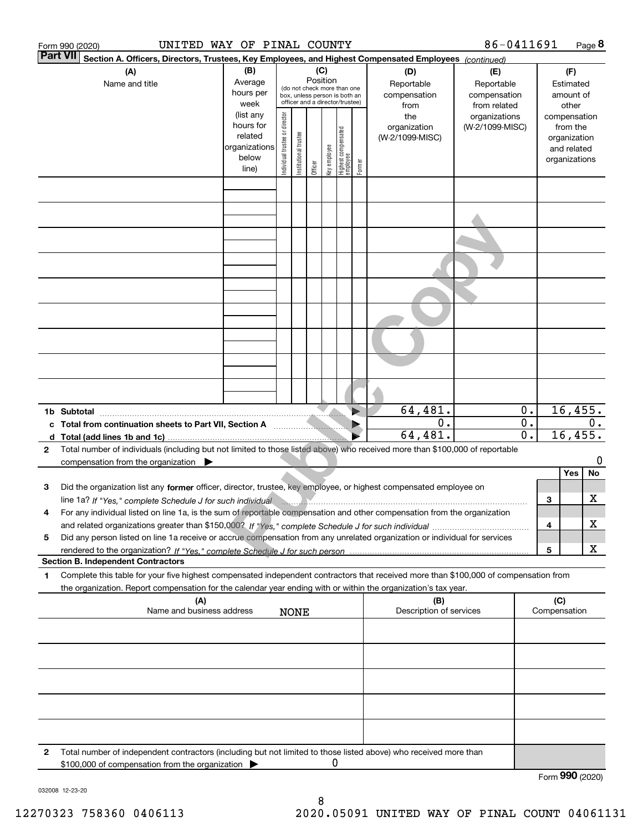|                 | UNITED WAY OF PINAL COUNTY<br>Form 990 (2020)                                                                                                                                                                                                                              |                          |                                |                                                              |          |              |                                  |        |                         | 86-0411691      |                  |     |                 | Page 8 |
|-----------------|----------------------------------------------------------------------------------------------------------------------------------------------------------------------------------------------------------------------------------------------------------------------------|--------------------------|--------------------------------|--------------------------------------------------------------|----------|--------------|----------------------------------|--------|-------------------------|-----------------|------------------|-----|-----------------|--------|
| <b>Part VII</b> | Section A. Officers, Directors, Trustees, Key Employees, and Highest Compensated Employees (continued)                                                                                                                                                                     |                          |                                |                                                              |          |              |                                  |        |                         |                 |                  |     |                 |        |
|                 | (A)                                                                                                                                                                                                                                                                        | (B)                      |                                |                                                              | (C)      |              |                                  |        | (D)                     | (E)             |                  |     | (F)             |        |
|                 | Name and title                                                                                                                                                                                                                                                             | Average                  |                                |                                                              | Position |              |                                  |        | Reportable              | Reportable      |                  |     | Estimated       |        |
|                 |                                                                                                                                                                                                                                                                            | hours per                |                                | (do not check more than one<br>box, unless person is both an |          |              |                                  |        | compensation            | compensation    |                  |     | amount of       |        |
|                 |                                                                                                                                                                                                                                                                            | week                     |                                | officer and a director/trustee)                              |          |              |                                  |        | from                    | from related    |                  |     | other           |        |
|                 |                                                                                                                                                                                                                                                                            | (list any                |                                |                                                              |          |              |                                  |        | the                     | organizations   |                  |     | compensation    |        |
|                 |                                                                                                                                                                                                                                                                            | hours for                |                                |                                                              |          |              |                                  |        | organization            | (W-2/1099-MISC) |                  |     | from the        |        |
|                 |                                                                                                                                                                                                                                                                            | related<br>organizations |                                |                                                              |          |              |                                  |        | (W-2/1099-MISC)         |                 |                  |     | organization    |        |
|                 |                                                                                                                                                                                                                                                                            | below                    |                                |                                                              |          |              |                                  |        |                         |                 |                  |     | and related     |        |
|                 |                                                                                                                                                                                                                                                                            | line)                    | Individual trustee or director | Institutional trustee                                        | Officer  | Key employee | Highest compensated<br> employee | Former |                         |                 |                  |     | organizations   |        |
|                 |                                                                                                                                                                                                                                                                            |                          |                                |                                                              |          |              |                                  |        |                         |                 |                  |     |                 |        |
|                 |                                                                                                                                                                                                                                                                            |                          |                                |                                                              |          |              |                                  |        |                         |                 |                  |     |                 |        |
|                 |                                                                                                                                                                                                                                                                            |                          |                                |                                                              |          |              |                                  |        |                         |                 |                  |     |                 |        |
|                 |                                                                                                                                                                                                                                                                            |                          |                                |                                                              |          |              |                                  |        |                         |                 |                  |     |                 |        |
|                 |                                                                                                                                                                                                                                                                            |                          |                                |                                                              |          |              |                                  |        |                         |                 |                  |     |                 |        |
|                 |                                                                                                                                                                                                                                                                            |                          |                                |                                                              |          |              |                                  |        |                         |                 |                  |     |                 |        |
|                 |                                                                                                                                                                                                                                                                            |                          |                                |                                                              |          |              |                                  |        |                         |                 |                  |     |                 |        |
|                 |                                                                                                                                                                                                                                                                            |                          |                                |                                                              |          |              |                                  |        |                         |                 |                  |     |                 |        |
|                 |                                                                                                                                                                                                                                                                            |                          |                                |                                                              |          |              |                                  |        |                         |                 |                  |     |                 |        |
|                 |                                                                                                                                                                                                                                                                            |                          |                                |                                                              |          |              |                                  |        |                         |                 |                  |     |                 |        |
|                 |                                                                                                                                                                                                                                                                            |                          |                                |                                                              |          |              |                                  |        |                         |                 |                  |     |                 |        |
|                 |                                                                                                                                                                                                                                                                            |                          |                                |                                                              |          |              |                                  |        |                         |                 |                  |     |                 |        |
|                 |                                                                                                                                                                                                                                                                            |                          |                                |                                                              |          |              |                                  |        |                         |                 |                  |     |                 |        |
|                 |                                                                                                                                                                                                                                                                            |                          |                                |                                                              |          |              |                                  |        |                         |                 |                  |     |                 |        |
|                 |                                                                                                                                                                                                                                                                            |                          |                                |                                                              |          |              |                                  |        |                         |                 |                  |     |                 |        |
|                 |                                                                                                                                                                                                                                                                            |                          |                                |                                                              |          |              |                                  |        |                         |                 |                  |     |                 |        |
|                 |                                                                                                                                                                                                                                                                            |                          |                                |                                                              |          |              |                                  |        |                         |                 |                  |     |                 |        |
|                 |                                                                                                                                                                                                                                                                            |                          |                                |                                                              |          |              |                                  |        |                         |                 |                  |     |                 |        |
|                 |                                                                                                                                                                                                                                                                            |                          |                                |                                                              |          |              |                                  |        | 64,481.                 |                 | $0$ .            |     | 16,455.         |        |
|                 | 1b Subtotal                                                                                                                                                                                                                                                                |                          |                                |                                                              |          |              |                                  |        | 0.                      |                 | $\overline{0}$ . |     |                 | 0.     |
|                 | c Total from continuation sheets to Part VII, Section A <b>Constitution</b>                                                                                                                                                                                                |                          |                                |                                                              |          |              |                                  |        | 64, 481.                |                 | $\overline{0}$ . |     | 16,455.         |        |
| $\mathbf{2}$    |                                                                                                                                                                                                                                                                            |                          |                                |                                                              |          |              |                                  |        |                         |                 |                  |     |                 |        |
|                 | Total number of individuals (including but not limited to those listed above) who received more than \$100,000 of reportable<br>compensation from the organization $\blacktriangleright$                                                                                   |                          |                                |                                                              |          |              |                                  |        |                         |                 |                  |     |                 | 0      |
|                 |                                                                                                                                                                                                                                                                            |                          |                                |                                                              |          |              |                                  |        |                         |                 |                  |     | Yes             | No     |
| 3               | Did the organization list any former officer, director, trustee, key employee, or highest compensated employee on                                                                                                                                                          |                          |                                |                                                              |          |              |                                  |        |                         |                 |                  |     |                 |        |
|                 |                                                                                                                                                                                                                                                                            |                          |                                |                                                              |          |              |                                  |        |                         |                 |                  | 3   |                 | X      |
|                 | line 1a? If "Yes," complete Schedule J for such individual manufactured contains and the 1a? If "Yes," complete Schedule J for such individual<br>For any individual listed on line 1a, is the sum of reportable compensation and other compensation from the organization |                          |                                |                                                              |          |              |                                  |        |                         |                 |                  |     |                 |        |
|                 |                                                                                                                                                                                                                                                                            |                          |                                |                                                              |          |              |                                  |        |                         |                 |                  | 4   |                 | х      |
| 5               | Did any person listed on line 1a receive or accrue compensation from any unrelated organization or individual for services                                                                                                                                                 |                          |                                |                                                              |          |              |                                  |        |                         |                 |                  |     |                 |        |
|                 |                                                                                                                                                                                                                                                                            |                          |                                |                                                              |          |              |                                  |        |                         |                 |                  | 5   |                 | х      |
|                 | <b>Section B. Independent Contractors</b>                                                                                                                                                                                                                                  |                          |                                |                                                              |          |              |                                  |        |                         |                 |                  |     |                 |        |
| 1               | Complete this table for your five highest compensated independent contractors that received more than \$100,000 of compensation from                                                                                                                                       |                          |                                |                                                              |          |              |                                  |        |                         |                 |                  |     |                 |        |
|                 | the organization. Report compensation for the calendar year ending with or within the organization's tax year.                                                                                                                                                             |                          |                                |                                                              |          |              |                                  |        |                         |                 |                  |     |                 |        |
|                 | (A)                                                                                                                                                                                                                                                                        |                          |                                |                                                              |          |              |                                  |        | (B)                     |                 |                  | (C) |                 |        |
|                 | Name and business address                                                                                                                                                                                                                                                  |                          |                                | <b>NONE</b>                                                  |          |              |                                  |        | Description of services |                 |                  |     | Compensation    |        |
|                 |                                                                                                                                                                                                                                                                            |                          |                                |                                                              |          |              |                                  |        |                         |                 |                  |     |                 |        |
|                 |                                                                                                                                                                                                                                                                            |                          |                                |                                                              |          |              |                                  |        |                         |                 |                  |     |                 |        |
|                 |                                                                                                                                                                                                                                                                            |                          |                                |                                                              |          |              |                                  |        |                         |                 |                  |     |                 |        |
|                 |                                                                                                                                                                                                                                                                            |                          |                                |                                                              |          |              |                                  |        |                         |                 |                  |     |                 |        |
|                 |                                                                                                                                                                                                                                                                            |                          |                                |                                                              |          |              |                                  |        |                         |                 |                  |     |                 |        |
|                 |                                                                                                                                                                                                                                                                            |                          |                                |                                                              |          |              |                                  |        |                         |                 |                  |     |                 |        |
|                 |                                                                                                                                                                                                                                                                            |                          |                                |                                                              |          |              |                                  |        |                         |                 |                  |     |                 |        |
|                 |                                                                                                                                                                                                                                                                            |                          |                                |                                                              |          |              |                                  |        |                         |                 |                  |     |                 |        |
|                 |                                                                                                                                                                                                                                                                            |                          |                                |                                                              |          |              |                                  |        |                         |                 |                  |     |                 |        |
|                 |                                                                                                                                                                                                                                                                            |                          |                                |                                                              |          |              |                                  |        |                         |                 |                  |     |                 |        |
| 2               | Total number of independent contractors (including but not limited to those listed above) who received more than                                                                                                                                                           |                          |                                |                                                              |          |              |                                  |        |                         |                 |                  |     |                 |        |
|                 | \$100,000 of compensation from the organization                                                                                                                                                                                                                            |                          |                                |                                                              |          | 0            |                                  |        |                         |                 |                  |     |                 |        |
|                 |                                                                                                                                                                                                                                                                            |                          |                                |                                                              |          |              |                                  |        |                         |                 |                  |     | Form 990 (2020) |        |

032008 12-23-20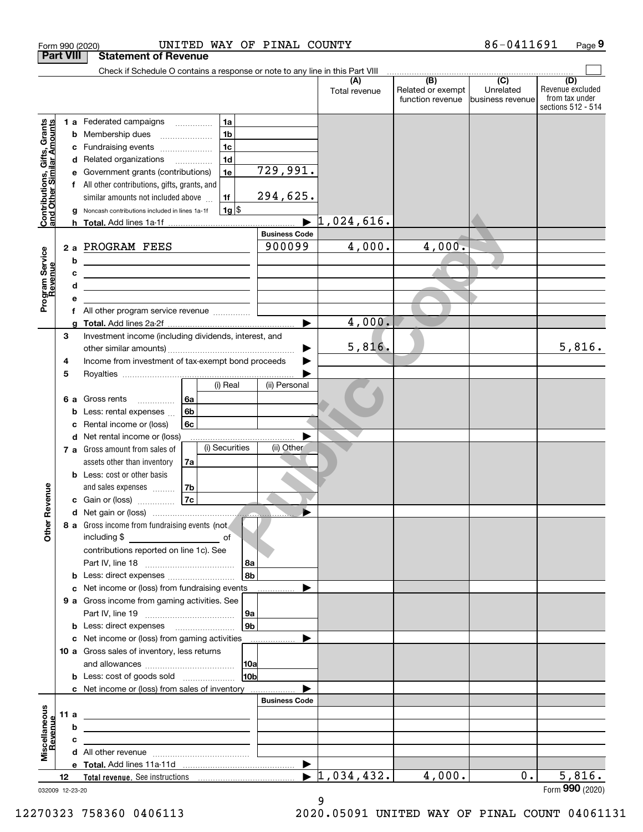|                                                           |                  |    | UNITED WAY OF PINAL COUNTY<br>Form 990 (2020)                                                  |      |                       |                                  |                                              | 86-0411691                                      | Page 9                                                          |
|-----------------------------------------------------------|------------------|----|------------------------------------------------------------------------------------------------|------|-----------------------|----------------------------------|----------------------------------------------|-------------------------------------------------|-----------------------------------------------------------------|
|                                                           | <b>Part VIII</b> |    | <b>Statement of Revenue</b>                                                                    |      |                       |                                  |                                              |                                                 |                                                                 |
|                                                           |                  |    | Check if Schedule O contains a response or note to any line in this Part VIII                  |      |                       |                                  |                                              |                                                 |                                                                 |
|                                                           |                  |    |                                                                                                |      |                       | (A)<br>Total revenue             | (B)<br>Related or exempt<br>function revenue | $\overline{C}$<br>Unrelated<br>business revenue | (D)<br>Revenue excluded<br>from tax under<br>sections 512 - 514 |
|                                                           |                  |    | 1a<br>1 a Federated campaigns                                                                  |      |                       |                                  |                                              |                                                 |                                                                 |
| Contributions, Gifts, Grants<br>and Other Similar Amounts |                  |    | 1 <sub>b</sub><br><b>b</b> Membership dues                                                     |      |                       |                                  |                                              |                                                 |                                                                 |
|                                                           |                  | с  | 1c<br>Fundraising events                                                                       |      |                       |                                  |                                              |                                                 |                                                                 |
|                                                           |                  |    | 1 <sub>d</sub><br>d Related organizations                                                      |      |                       |                                  |                                              |                                                 |                                                                 |
|                                                           |                  | е  | Government grants (contributions)<br>1e                                                        |      | 729,991.              |                                  |                                              |                                                 |                                                                 |
|                                                           |                  |    | f All other contributions, gifts, grants, and                                                  |      |                       |                                  |                                              |                                                 |                                                                 |
|                                                           |                  |    | similar amounts not included above<br>1f                                                       |      | 294,625.              |                                  |                                              |                                                 |                                                                 |
|                                                           |                  |    | $1g$ \$<br>Noncash contributions included in lines 1a-1f                                       |      |                       |                                  |                                              |                                                 |                                                                 |
|                                                           |                  |    |                                                                                                |      | <b>Business Code</b>  | $\blacktriangleright$ 1,024,616. |                                              |                                                 |                                                                 |
|                                                           |                  | 2a | PROGRAM FEES                                                                                   |      | 900099                | 4,000.                           | $4,000 -$                                    |                                                 |                                                                 |
|                                                           |                  | b  |                                                                                                |      |                       |                                  |                                              |                                                 |                                                                 |
|                                                           |                  | c  | <u> 1980 - Andrea Andrew Maria (h. 1980).</u><br><u> 1989 - Andrea Andrew Maria (h. 1989).</u> |      |                       |                                  |                                              |                                                 |                                                                 |
| Program Service<br>Revenue                                |                  | d  | <u> 1989 - Johann Stein, mars an deus Amerikaansk kommunister (</u>                            |      |                       |                                  |                                              |                                                 |                                                                 |
|                                                           |                  | е  |                                                                                                |      |                       |                                  |                                              |                                                 |                                                                 |
|                                                           |                  | f  | All other program service revenue                                                              |      |                       |                                  |                                              |                                                 |                                                                 |
|                                                           |                  | a  |                                                                                                |      | $\blacktriangleright$ | 4,000.                           |                                              |                                                 |                                                                 |
|                                                           | 3                |    | Investment income (including dividends, interest, and                                          |      |                       |                                  |                                              |                                                 |                                                                 |
|                                                           |                  |    |                                                                                                |      |                       | 5,816.                           |                                              |                                                 | 5,816.                                                          |
|                                                           | 4                |    | Income from investment of tax-exempt bond proceeds                                             |      |                       |                                  |                                              |                                                 |                                                                 |
|                                                           | 5                |    | (i) Real                                                                                       |      | (ii) Personal         |                                  |                                              |                                                 |                                                                 |
|                                                           |                  |    | 6a<br>6 a Gross rents                                                                          |      |                       |                                  |                                              |                                                 |                                                                 |
|                                                           |                  | b  | .<br>6b<br>Less: rental expenses                                                               |      |                       |                                  |                                              |                                                 |                                                                 |
|                                                           |                  | c  | 6c<br>Rental income or (loss)                                                                  |      |                       |                                  |                                              |                                                 |                                                                 |
|                                                           |                  |    | d Net rental income or (loss)                                                                  |      |                       |                                  |                                              |                                                 |                                                                 |
|                                                           |                  |    | (i) Securities<br>7 a Gross amount from sales of                                               |      | (ii) Other            |                                  |                                              |                                                 |                                                                 |
|                                                           |                  |    | assets other than inventory<br>7a                                                              |      |                       |                                  |                                              |                                                 |                                                                 |
|                                                           |                  |    | <b>b</b> Less: cost or other basis                                                             |      |                       |                                  |                                              |                                                 |                                                                 |
| venue                                                     |                  |    | 7b<br>and sales expenses                                                                       |      |                       |                                  |                                              |                                                 |                                                                 |
|                                                           |                  |    | 7c<br>c Gain or (loss)                                                                         |      |                       |                                  |                                              |                                                 |                                                                 |
|                                                           |                  |    | 8 a Gross income from fundraising events (not                                                  |      |                       |                                  |                                              |                                                 |                                                                 |
| Other Re                                                  |                  |    | including \$<br><u>of</u> of                                                                   |      |                       |                                  |                                              |                                                 |                                                                 |
|                                                           |                  |    | contributions reported on line 1c). See                                                        |      |                       |                                  |                                              |                                                 |                                                                 |
|                                                           |                  |    |                                                                                                | 8a   |                       |                                  |                                              |                                                 |                                                                 |
|                                                           |                  | b  | Less: direct expenses                                                                          | l 8b |                       |                                  |                                              |                                                 |                                                                 |
|                                                           |                  | с  | Net income or (loss) from fundraising events                                                   |      |                       |                                  |                                              |                                                 |                                                                 |
|                                                           |                  |    | 9 a Gross income from gaming activities. See                                                   |      |                       |                                  |                                              |                                                 |                                                                 |
|                                                           |                  |    |                                                                                                | 9а   |                       |                                  |                                              |                                                 |                                                                 |
|                                                           |                  |    |                                                                                                | 9b   |                       |                                  |                                              |                                                 |                                                                 |
|                                                           |                  |    | c Net income or (loss) from gaming activities                                                  |      | .                     |                                  |                                              |                                                 |                                                                 |
|                                                           |                  |    | 10 a Gross sales of inventory, less returns                                                    | 10a  |                       |                                  |                                              |                                                 |                                                                 |
|                                                           |                  |    | <b>b</b> Less: cost of goods sold                                                              | 10b  |                       |                                  |                                              |                                                 |                                                                 |
|                                                           |                  |    | c Net income or (loss) from sales of inventory                                                 |      |                       |                                  |                                              |                                                 |                                                                 |
|                                                           |                  |    |                                                                                                |      | <b>Business Code</b>  |                                  |                                              |                                                 |                                                                 |
| Miscellaneous<br>Revenue                                  | 11 $a$           |    |                                                                                                |      |                       |                                  |                                              |                                                 |                                                                 |
|                                                           |                  | b  |                                                                                                |      |                       |                                  |                                              |                                                 |                                                                 |
|                                                           |                  | с  |                                                                                                |      |                       |                                  |                                              |                                                 |                                                                 |
|                                                           |                  |    |                                                                                                |      |                       |                                  |                                              |                                                 |                                                                 |
|                                                           |                  |    |                                                                                                |      | ▶                     | $\blacktriangleright$ 1,034,432. | 4,000.                                       | 0.                                              | 5,816.                                                          |
| 032009 12-23-20                                           | 12               |    |                                                                                                |      |                       |                                  |                                              |                                                 | Form 990 (2020)                                                 |

032009 12-23-20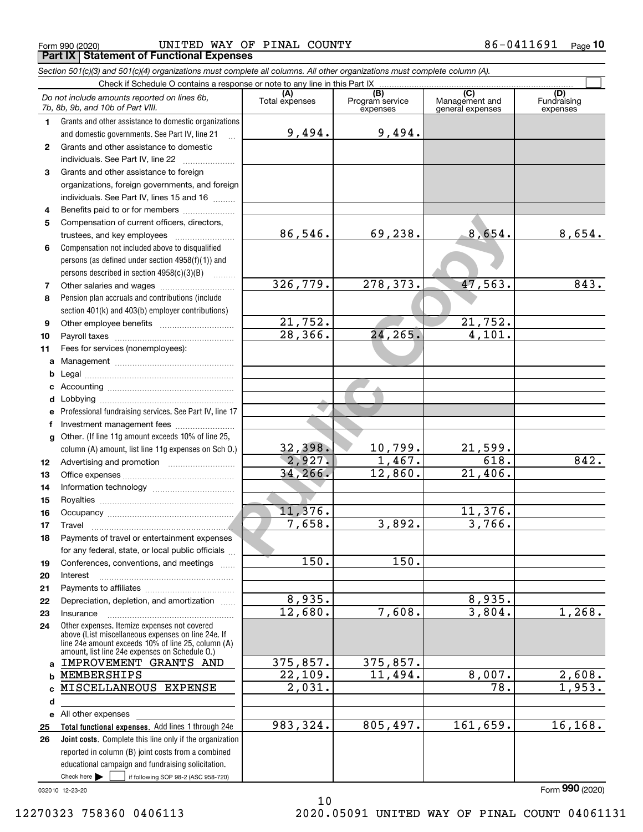$_{\rm Form}$   $_{990}$  (2020) <code>UNITED</code> WAY OF <code>PINAL COUNTY</code>  $86-0411691$   $_{\rm Page}$ **Part IX Statement of Functional Expenses**

|              | Section 501(c)(3) and 501(c)(4) organizations must complete all columns. All other organizations must complete column (A).                                                                                 |                       |                                    |                                           |                                |
|--------------|------------------------------------------------------------------------------------------------------------------------------------------------------------------------------------------------------------|-----------------------|------------------------------------|-------------------------------------------|--------------------------------|
|              | Check if Schedule O contains a response or note to any line in this Part IX                                                                                                                                |                       |                                    |                                           |                                |
|              | Do not include amounts reported on lines 6b,<br>7b, 8b, 9b, and 10b of Part VIII.                                                                                                                          | (A)<br>Total expenses | (B)<br>Program service<br>expenses | (C)<br>Management and<br>general expenses | (D)<br>Fundraising<br>expenses |
| 1.           | Grants and other assistance to domestic organizations                                                                                                                                                      |                       |                                    |                                           |                                |
|              | and domestic governments. See Part IV, line 21                                                                                                                                                             | 9,494.                | 9,494.                             |                                           |                                |
| $\mathbf{2}$ | Grants and other assistance to domestic                                                                                                                                                                    |                       |                                    |                                           |                                |
|              | individuals. See Part IV, line 22                                                                                                                                                                          |                       |                                    |                                           |                                |
| 3            | Grants and other assistance to foreign                                                                                                                                                                     |                       |                                    |                                           |                                |
|              | organizations, foreign governments, and foreign                                                                                                                                                            |                       |                                    |                                           |                                |
|              | individuals. See Part IV, lines 15 and 16                                                                                                                                                                  |                       |                                    |                                           |                                |
| 4            | Benefits paid to or for members                                                                                                                                                                            |                       |                                    |                                           |                                |
| 5            | Compensation of current officers, directors,                                                                                                                                                               |                       |                                    |                                           |                                |
|              | trustees, and key employees                                                                                                                                                                                | 86,546.               | 69,238.                            | 8,654.                                    | 8,654.                         |
| 6            | Compensation not included above to disqualified                                                                                                                                                            |                       |                                    |                                           |                                |
|              | persons (as defined under section 4958(f)(1)) and                                                                                                                                                          |                       |                                    |                                           |                                |
|              | persons described in section $4958(c)(3)(B)$<br>.                                                                                                                                                          |                       |                                    |                                           |                                |
| 7            |                                                                                                                                                                                                            | 326,779.              | 278, 373.                          | 47,563.                                   | 843.                           |
| 8            | Pension plan accruals and contributions (include                                                                                                                                                           |                       |                                    |                                           |                                |
|              | section 401(k) and 403(b) employer contributions)                                                                                                                                                          |                       |                                    |                                           |                                |
| 9            |                                                                                                                                                                                                            | 21,752.               |                                    | 21,752.                                   |                                |
| 10           |                                                                                                                                                                                                            | 28, 366.              | 24, 265.                           | 4,101.                                    |                                |
| 11           | Fees for services (nonemployees):                                                                                                                                                                          |                       |                                    |                                           |                                |
| a            |                                                                                                                                                                                                            |                       |                                    |                                           |                                |
| b            |                                                                                                                                                                                                            |                       |                                    |                                           |                                |
| c            |                                                                                                                                                                                                            |                       |                                    |                                           |                                |
| d            |                                                                                                                                                                                                            |                       |                                    |                                           |                                |
| е            | Professional fundraising services. See Part IV, line 17                                                                                                                                                    |                       |                                    |                                           |                                |
| f            | Investment management fees                                                                                                                                                                                 |                       |                                    |                                           |                                |
| g            | Other. (If line 11g amount exceeds 10% of line 25,                                                                                                                                                         |                       |                                    |                                           |                                |
|              | column (A) amount, list line 11g expenses on Sch O.)                                                                                                                                                       | 32,398.               | 10,799.                            | $21,599$ .                                |                                |
| 12           |                                                                                                                                                                                                            | 2,927.                | 1,467.                             | 618.                                      | 842.                           |
| 13           |                                                                                                                                                                                                            | 34, 266.              | 12,860.                            | 21,406.                                   |                                |
| 14           |                                                                                                                                                                                                            |                       |                                    |                                           |                                |
| 15           |                                                                                                                                                                                                            |                       |                                    |                                           |                                |
| 16           |                                                                                                                                                                                                            | 11,376.               |                                    | 11,376.                                   |                                |
| 17           |                                                                                                                                                                                                            | 7,658.                | 3,892.                             | 3,766.                                    |                                |
| 18           | Payments of travel or entertainment expenses                                                                                                                                                               |                       |                                    |                                           |                                |
|              | for any federal, state, or local public officials                                                                                                                                                          |                       |                                    |                                           |                                |
| 19           | Conferences, conventions, and meetings                                                                                                                                                                     | 150.                  | 150.                               |                                           |                                |
| 20           | Interest                                                                                                                                                                                                   |                       |                                    |                                           |                                |
| 21           |                                                                                                                                                                                                            |                       |                                    |                                           |                                |
| 22           | Depreciation, depletion, and amortization                                                                                                                                                                  | 8,935.                |                                    | 8,935.                                    |                                |
| 23           | Insurance                                                                                                                                                                                                  | 12,680.               | 7,608.                             | 3,804.                                    | 1,268.                         |
| 24           | Other expenses. Itemize expenses not covered<br>above (List miscellaneous expenses on line 24e. If<br>line 24e amount exceeds 10% of line 25, column (A)<br>amount, list line 24e expenses on Schedule O.) |                       |                                    |                                           |                                |
| a            | IMPROVEMENT GRANTS AND                                                                                                                                                                                     | 375,857.              | 375,857.                           |                                           |                                |
| b            | MEMBERSHIPS                                                                                                                                                                                                | 22,109.               | $\overline{11, 494}$ .             | 8,007.                                    | 2,608.                         |
|              | MISCELLANEOUS EXPENSE                                                                                                                                                                                      | 2,031.                |                                    | 78.                                       | 1,953.                         |
| d            |                                                                                                                                                                                                            |                       |                                    |                                           |                                |
|              | e All other expenses                                                                                                                                                                                       |                       |                                    |                                           |                                |
| 25           | Total functional expenses. Add lines 1 through 24e                                                                                                                                                         | 983, 324.             | 805,497.                           | 161,659.                                  | 16, 168.                       |
| 26           | <b>Joint costs.</b> Complete this line only if the organization                                                                                                                                            |                       |                                    |                                           |                                |
|              | reported in column (B) joint costs from a combined                                                                                                                                                         |                       |                                    |                                           |                                |
|              | educational campaign and fundraising solicitation.                                                                                                                                                         |                       |                                    |                                           |                                |
|              | Check here $\blacktriangleright$<br>if following SOP 98-2 (ASC 958-720)                                                                                                                                    |                       |                                    |                                           |                                |

10

032010 12-23-20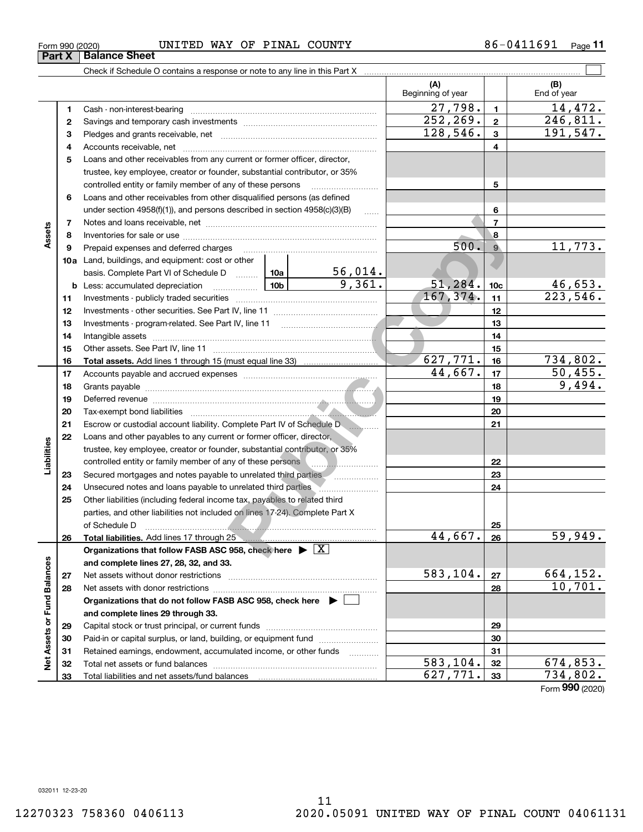**33**

Total liabilities and net assets/fund balances

#### $_{\rm Form}$   $_{990}$  (2020) <code>UNITED</code> WAY OF <code>PINAL COUNTY</code>  $86-0411691$   $_{\rm Page}$ **Part X** Balance Sheet

Check if Schedule O contains a response or note to any line in this Part X

**(A) (B)** Beginning of year | | End of year  $27,798.$  14,472. **11**Cash - non-interest-bearing ~~~~~~~~~~~~~~~~~~~~~~~~~  $252, 269$ .  $2 \mid 246, 811$ . **22**Savings and temporary cash investments ~~~~~~~~~~~~~~~~~~ $128,546.$   $3 \mid 191,547.$ **33** Pledges and grants receivable, net  $\ldots$  **multimes contained and grants receivable**, net **multimes contained and grants receivable**, net **multimes contained and grants receivable** Accounts receivable, net ~~~~~~~~~~~~~~~~~~~~~~~~~~ **445**Loans and other receivables from any current or former officer, director, trustee, key employee, creator or founder, substantial contributor, or 35% controlled entity or family member of any of these persons ............................ **5**Loans and other receivables from other disqualified persons (as defined **6**under section  $4958(f)(1)$ , and persons described in section  $4958(c)(3)(B)$ **6**For other<br> **Public Copyright:** 500. 9<br>
Public Copyright: 500. 9<br>
Public Copyright: 51, 284. 10c<br>
Public Copyright: 51, 284. 10c<br>
Public Copyright: 51, 284. 10c<br>
Public Copyright: 51, 284. 10c<br>
Public Copyright: 51<br>
Public **77**Notes and loans receivable, net ~~~~~~~~~~~~~~~~~~~~~~~**Assets 88**Inventories for sale or use ~~~~~~~~~~~~~~~~~~~~~~~~~~ $500.$  9  $11,773.$ **99**Prepaid expenses and deferred charges ~~~~~~~~~~~~~~~~~~ **10a**Land, buildings, and equipment: cost or other 56,014. basis. Complete Part VI of Schedule D will aller  $9,361.$   $51,284.$   $10c$   $46,653.$ **10cb** Less: accumulated depreciation  $\ldots$  **10b**  $167,374.$  11 223,546. **1111**Investments - publicly traded securities ~~~~~~~~~~~~~~~~~~~ **1212**Investments - other securities. See Part IV, line 11 ~~~~~~~~~~~~~~ **1313**Investments - program-related. See Part IV, line 11 ~~~~~~~~~~~~~**1414**Intangible assets ~~~~~~~~~~~~~~~~~~~~~~~~~~~~~~Other assets. See Part IV, line 11 ~~~~~~~~~~~~~~~~~~~~~~ **1515**627,771. 734,802. **1616Total assets.**  Add lines 1 through 15 (must equal line 33)  $44,667$ .  $17$  50,455. **1717**Accounts payable and accrued expenses ~~~~~~~~~~~~~~~~~~ **1818**9,494. Grants payable ~~~~~~~~~~~~~~~~~~~~~~~~~~~~~~~ **1919**Deferred revenue ~~~~~~~~~~~~~~~~~~~~~~~~~~~~~~**2020**Tax-exempt bond liabilities ~~~~~~~~~~~~~~~~~~~~~~~~~Escrow or custodial account liability. Complete Part IV of Schedule D **2121**~~~~**22**Loans and other payables to any current or former officer, director, iabilities **Liabilities** trustee, key employee, creator or founder, substantial contributor, or 35% controlled entity or family member of any of these persons **22**Secured mortgages and notes payable to unrelated third parties **2323**Unsecured notes and loans payable to unrelated third parties **2424**Other liabilities (including federal income tax, payables to related third **25**parties, and other liabilities not included on lines 17-24). Complete Part X of Schedule D ~~~~~~~~~~~~~~~~~~~~~~~~~~~~~~~ **25** $44,667$ .  $26$  59,949. **2626Total liabilities.**  Add lines 17 through 25 **Organizations that follow FASB ASC 958, check here** | X Assets or Fund Balances **Net Assets or Fund Balances and complete lines 27, 28, 32, and 33.**  $583, 104. |27|$  664, 152. **2727**Net assets without donor restrictions ~~~~~~~~~~~~~~~~~~~~ 10,701. **2828**Net assets with donor restrictions ~~~~~~~~~~~~~~~~~~~~~~ **Organizations that do not follow FASB ASC 958, check here** | **and complete lines 29 through 33. 2929**Capital stock or trust principal, or current funds ~~~~~~~~~~~~~~~Paid-in or capital surplus, or land, building, or equipment fund **303031**Retained earnings, endowment, accumulated income, or other funds **31**ğ Total net assets or fund balances ~~~~~~~~~~~~~~~~~~~~~~  $583, 104. |32|$  674,853. **3232** $627,771.$  33 734,802. **33**

 $\mathcal{L}^{\text{max}}$ 

Form (2020) **990**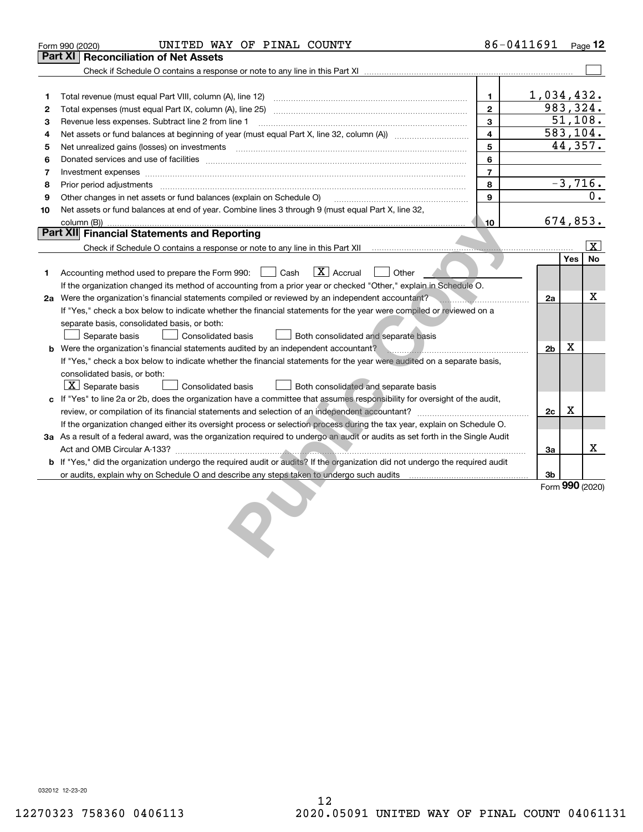|    | UNITED WAY OF PINAL COUNTY<br>Form 990 (2020)                                                                                                                                                                                  |                | 86-0411691     |   | Page 12                |
|----|--------------------------------------------------------------------------------------------------------------------------------------------------------------------------------------------------------------------------------|----------------|----------------|---|------------------------|
|    | Part XI<br><b>Reconciliation of Net Assets</b>                                                                                                                                                                                 |                |                |   |                        |
|    |                                                                                                                                                                                                                                |                |                |   |                        |
|    |                                                                                                                                                                                                                                |                |                |   |                        |
| 1  | Total revenue (must equal Part VIII, column (A), line 12)                                                                                                                                                                      | 1              |                |   | 1,034,432.             |
| 2  |                                                                                                                                                                                                                                | $\mathbf{2}$   |                |   | 983, 324.              |
| з  | Revenue less expenses. Subtract line 2 from line 1                                                                                                                                                                             | 3              |                |   | 51,108.                |
| 4  |                                                                                                                                                                                                                                | 4              |                |   | 583,104.               |
| 5  |                                                                                                                                                                                                                                | 5              |                |   | 44,357.                |
| 6  | Donated services and use of facilities [111] Donated and the service of facilities [11] Donated services and use of facilities [11] Donated and the service of the service of the service of the service of the service of the | 6              |                |   |                        |
| 7  | Investment expenses                                                                                                                                                                                                            | $\overline{7}$ |                |   |                        |
| 8  | Prior period adjustments                                                                                                                                                                                                       | 8              |                |   | $-3,716.$              |
| 9  | Other changes in net assets or fund balances (explain on Schedule O)                                                                                                                                                           | 9              |                |   | 0.                     |
| 10 | Net assets or fund balances at end of year. Combine lines 3 through 9 (must equal Part X, line 32,                                                                                                                             |                |                |   |                        |
|    | column (B))                                                                                                                                                                                                                    | 10             |                |   | 674,853.               |
|    | Part XII Financial Statements and Reporting                                                                                                                                                                                    |                |                |   |                        |
|    |                                                                                                                                                                                                                                |                |                |   | $\vert \text{X} \vert$ |
|    |                                                                                                                                                                                                                                |                |                |   | Yes<br><b>No</b>       |
| 1. | $\boxed{\text{X}}$ Accrual<br>Other<br>Accounting method used to prepare the Form 990: <u>I</u> Cash                                                                                                                           |                |                |   |                        |
|    | If the organization changed its method of accounting from a prior year or checked "Other," explain in Schedule O.                                                                                                              |                |                |   |                        |
|    | 2a Were the organization's financial statements compiled or reviewed by an independent accountant?                                                                                                                             |                | 2a             |   | x                      |
|    | If "Yes," check a box below to indicate whether the financial statements for the year were compiled or reviewed on a                                                                                                           |                |                |   |                        |
|    | separate basis, consolidated basis, or both:                                                                                                                                                                                   |                |                |   |                        |
|    | Separate basis<br>Consolidated basis<br>Both consolidated and separate basis                                                                                                                                                   |                |                |   |                        |
|    | <b>b</b> Were the organization's financial statements audited by an independent accountant?                                                                                                                                    |                | 2 <sub>b</sub> | X |                        |
|    | If "Yes," check a box below to indicate whether the financial statements for the year were audited on a separate basis,                                                                                                        |                |                |   |                        |
|    | consolidated basis, or both:                                                                                                                                                                                                   |                |                |   |                        |
|    | $X$ Separate basis<br><b>Consolidated basis</b><br>Both consolidated and separate basis                                                                                                                                        |                |                |   |                        |
|    | c If "Yes" to line 2a or 2b, does the organization have a committee that assumes responsibility for oversight of the audit,                                                                                                    |                |                |   |                        |
|    |                                                                                                                                                                                                                                |                | 2c             | X |                        |
|    | If the organization changed either its oversight process or selection process during the tax year, explain on Schedule O.                                                                                                      |                |                |   |                        |
|    | 3a As a result of a federal award, was the organization required to undergo an audit or audits as set forth in the Single Audit                                                                                                |                |                |   |                        |
|    |                                                                                                                                                                                                                                |                | 3a             |   | x                      |
|    | b If "Yes," did the organization undergo the required audit or audits? If the organization did not undergo the required audit                                                                                                  |                |                |   |                        |
|    |                                                                                                                                                                                                                                |                | 3b             |   |                        |
|    |                                                                                                                                                                                                                                |                |                |   | Form 990 (2020)        |
|    |                                                                                                                                                                                                                                |                |                |   |                        |
|    |                                                                                                                                                                                                                                |                |                |   |                        |
|    |                                                                                                                                                                                                                                |                |                |   |                        |
|    |                                                                                                                                                                                                                                |                |                |   |                        |
|    |                                                                                                                                                                                                                                |                |                |   |                        |

032012 12-23-20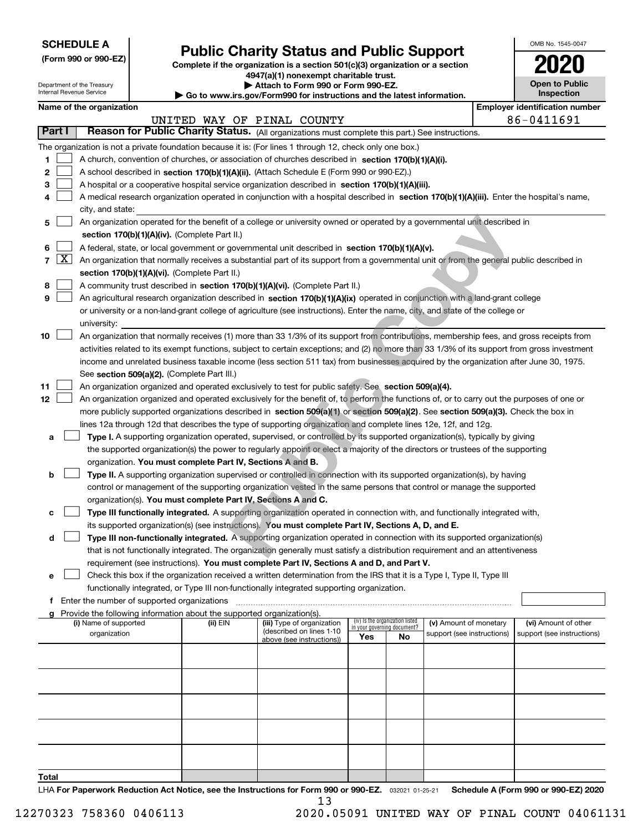| <b>SCHEDULE A</b> |
|-------------------|
|-------------------|

Department of the Treasury Internal Revenue Service

ſ

**(Form 990 or 990-EZ)**

## **Public Charity Status and Public Support**

**Complete if the organization is a section 501(c)(3) organization or a section 4947(a)(1) nonexempt charitable trust.**

| ▶ Attach to Form 990 or Form 990-EZ. |  |  |  |  |  |
|--------------------------------------|--|--|--|--|--|
|                                      |  |  |  |  |  |

**| Go to www.irs.gov/Form990 for instructions and the latest information.**

| OMB No. 1545-0047                   |
|-------------------------------------|
| U20                                 |
| <b>Open to Public</b><br>Inspection |

|            |                                                                                                                                                                            | Name of the organization                                                                                                                                                                                                                           |          |                            |                                    |    |                            |  | <b>Employer identification number</b> |  |  |  |  |  |
|------------|----------------------------------------------------------------------------------------------------------------------------------------------------------------------------|----------------------------------------------------------------------------------------------------------------------------------------------------------------------------------------------------------------------------------------------------|----------|----------------------------|------------------------------------|----|----------------------------|--|---------------------------------------|--|--|--|--|--|
| Part I     |                                                                                                                                                                            | Reason for Public Charity Status. (All organizations must complete this part.) See instructions.                                                                                                                                                   |          | UNITED WAY OF PINAL COUNTY |                                    |    |                            |  | 86-0411691                            |  |  |  |  |  |
|            |                                                                                                                                                                            |                                                                                                                                                                                                                                                    |          |                            |                                    |    |                            |  |                                       |  |  |  |  |  |
|            |                                                                                                                                                                            | The organization is not a private foundation because it is: (For lines 1 through 12, check only one box.)                                                                                                                                          |          |                            |                                    |    |                            |  |                                       |  |  |  |  |  |
| 1          |                                                                                                                                                                            | A church, convention of churches, or association of churches described in section 170(b)(1)(A)(i).                                                                                                                                                 |          |                            |                                    |    |                            |  |                                       |  |  |  |  |  |
| 2          |                                                                                                                                                                            | A school described in section 170(b)(1)(A)(ii). (Attach Schedule E (Form 990 or 990-EZ).)                                                                                                                                                          |          |                            |                                    |    |                            |  |                                       |  |  |  |  |  |
| 3          |                                                                                                                                                                            | A hospital or a cooperative hospital service organization described in section $170(b)(1)(A)(iii)$ .<br>A medical research organization operated in conjunction with a hospital described in section 170(b)(1)(A)(iii). Enter the hospital's name, |          |                            |                                    |    |                            |  |                                       |  |  |  |  |  |
| 4          |                                                                                                                                                                            | city, and state:                                                                                                                                                                                                                                   |          |                            |                                    |    |                            |  |                                       |  |  |  |  |  |
| 5          |                                                                                                                                                                            |                                                                                                                                                                                                                                                    |          |                            |                                    |    |                            |  |                                       |  |  |  |  |  |
|            | An organization operated for the benefit of a college or university owned or operated by a governmental unit described in<br>section 170(b)(1)(A)(iv). (Complete Part II.) |                                                                                                                                                                                                                                                    |          |                            |                                    |    |                            |  |                                       |  |  |  |  |  |
| 6          | A federal, state, or local government or governmental unit described in section 170(b)(1)(A)(v).                                                                           |                                                                                                                                                                                                                                                    |          |                            |                                    |    |                            |  |                                       |  |  |  |  |  |
| $7 \times$ |                                                                                                                                                                            | An organization that normally receives a substantial part of its support from a governmental unit or from the general public described in                                                                                                          |          |                            |                                    |    |                            |  |                                       |  |  |  |  |  |
|            |                                                                                                                                                                            | section 170(b)(1)(A)(vi). (Complete Part II.)                                                                                                                                                                                                      |          |                            |                                    |    |                            |  |                                       |  |  |  |  |  |
| 8          |                                                                                                                                                                            |                                                                                                                                                                                                                                                    |          |                            |                                    |    |                            |  |                                       |  |  |  |  |  |
| 9          |                                                                                                                                                                            | A community trust described in section 170(b)(1)(A)(vi). (Complete Part II.)<br>An agricultural research organization described in section 170(b)(1)(A)(ix) operated in conjunction with a land-grant college                                      |          |                            |                                    |    |                            |  |                                       |  |  |  |  |  |
|            |                                                                                                                                                                            | or university or a non-land-grant college of agriculture (see instructions). Enter the name, city, and state of the college or                                                                                                                     |          |                            |                                    |    |                            |  |                                       |  |  |  |  |  |
|            |                                                                                                                                                                            | university:                                                                                                                                                                                                                                        |          |                            |                                    |    |                            |  |                                       |  |  |  |  |  |
| 10         |                                                                                                                                                                            | An organization that normally receives (1) more than 33 1/3% of its support from contributions, membership fees, and gross receipts from                                                                                                           |          |                            |                                    |    |                            |  |                                       |  |  |  |  |  |
|            |                                                                                                                                                                            | activities related to its exempt functions, subject to certain exceptions; and (2) no more than 33 1/3% of its support from gross investment                                                                                                       |          |                            |                                    |    |                            |  |                                       |  |  |  |  |  |
|            |                                                                                                                                                                            | income and unrelated business taxable income (less section 511 tax) from businesses acquired by the organization after June 30, 1975.                                                                                                              |          |                            |                                    |    |                            |  |                                       |  |  |  |  |  |
|            |                                                                                                                                                                            | See section 509(a)(2). (Complete Part III.)                                                                                                                                                                                                        |          |                            |                                    |    |                            |  |                                       |  |  |  |  |  |
| 11         |                                                                                                                                                                            | An organization organized and operated exclusively to test for public safety. See section 509(a)(4).                                                                                                                                               |          |                            |                                    |    |                            |  |                                       |  |  |  |  |  |
| 12         |                                                                                                                                                                            | An organization organized and operated exclusively for the benefit of, to perform the functions of, or to carry out the purposes of one or                                                                                                         |          |                            |                                    |    |                            |  |                                       |  |  |  |  |  |
|            |                                                                                                                                                                            | more publicly supported organizations described in section 509(a)(1) or section 509(a)(2). See section 509(a)(3). Check the box in                                                                                                                 |          |                            |                                    |    |                            |  |                                       |  |  |  |  |  |
|            |                                                                                                                                                                            | lines 12a through 12d that describes the type of supporting organization and complete lines 12e, 12f, and 12g.                                                                                                                                     |          |                            |                                    |    |                            |  |                                       |  |  |  |  |  |
| а          |                                                                                                                                                                            | Type I. A supporting organization operated, supervised, or controlled by its supported organization(s), typically by giving                                                                                                                        |          |                            |                                    |    |                            |  |                                       |  |  |  |  |  |
|            |                                                                                                                                                                            | the supported organization(s) the power to regularly appoint or elect a majority of the directors or trustees of the supporting                                                                                                                    |          |                            |                                    |    |                            |  |                                       |  |  |  |  |  |
|            |                                                                                                                                                                            | organization. You must complete Part IV, Sections A and B.                                                                                                                                                                                         |          |                            |                                    |    |                            |  |                                       |  |  |  |  |  |
| b          |                                                                                                                                                                            | Type II. A supporting organization supervised or controlled in connection with its supported organization(s), by having                                                                                                                            |          |                            |                                    |    |                            |  |                                       |  |  |  |  |  |
|            |                                                                                                                                                                            | control or management of the supporting organization vested in the same persons that control or manage the supported                                                                                                                               |          |                            |                                    |    |                            |  |                                       |  |  |  |  |  |
|            |                                                                                                                                                                            | organization(s). You must complete Part IV, Sections A and C.                                                                                                                                                                                      |          |                            |                                    |    |                            |  |                                       |  |  |  |  |  |
| с          |                                                                                                                                                                            | Type III functionally integrated. A supporting organization operated in connection with, and functionally integrated with,                                                                                                                         |          |                            |                                    |    |                            |  |                                       |  |  |  |  |  |
|            |                                                                                                                                                                            | its supported organization(s) (see instructions). You must complete Part IV, Sections A, D, and E.                                                                                                                                                 |          |                            |                                    |    |                            |  |                                       |  |  |  |  |  |
| d          |                                                                                                                                                                            | Type III non-functionally integrated. A supporting organization operated in connection with its supported organization(s)                                                                                                                          |          |                            |                                    |    |                            |  |                                       |  |  |  |  |  |
|            |                                                                                                                                                                            | that is not functionally integrated. The organization generally must satisfy a distribution requirement and an attentiveness                                                                                                                       |          |                            |                                    |    |                            |  |                                       |  |  |  |  |  |
|            |                                                                                                                                                                            | requirement (see instructions). You must complete Part IV, Sections A and D, and Part V.                                                                                                                                                           |          |                            |                                    |    |                            |  |                                       |  |  |  |  |  |
|            |                                                                                                                                                                            | Check this box if the organization received a written determination from the IRS that it is a Type I, Type II, Type III                                                                                                                            |          |                            |                                    |    |                            |  |                                       |  |  |  |  |  |
|            |                                                                                                                                                                            | functionally integrated, or Type III non-functionally integrated supporting organization.                                                                                                                                                          |          |                            |                                    |    |                            |  |                                       |  |  |  |  |  |
|            |                                                                                                                                                                            | f Enter the number of supported organizations                                                                                                                                                                                                      |          |                            |                                    |    |                            |  |                                       |  |  |  |  |  |
|            |                                                                                                                                                                            | g Provide the following information about the supported organization(s).<br>(i) Name of supported                                                                                                                                                  | (ii) EIN | (iii) Type of organization | (iv) Is the organization listed    |    | (v) Amount of monetary     |  | (vi) Amount of other                  |  |  |  |  |  |
|            |                                                                                                                                                                            | organization                                                                                                                                                                                                                                       |          | (described on lines 1-10   | in your governing document?<br>Yes | No | support (see instructions) |  | support (see instructions)            |  |  |  |  |  |
|            |                                                                                                                                                                            |                                                                                                                                                                                                                                                    |          | above (see instructions))  |                                    |    |                            |  |                                       |  |  |  |  |  |
|            |                                                                                                                                                                            |                                                                                                                                                                                                                                                    |          |                            |                                    |    |                            |  |                                       |  |  |  |  |  |
|            |                                                                                                                                                                            |                                                                                                                                                                                                                                                    |          |                            |                                    |    |                            |  |                                       |  |  |  |  |  |
|            |                                                                                                                                                                            |                                                                                                                                                                                                                                                    |          |                            |                                    |    |                            |  |                                       |  |  |  |  |  |
|            |                                                                                                                                                                            |                                                                                                                                                                                                                                                    |          |                            |                                    |    |                            |  |                                       |  |  |  |  |  |
|            |                                                                                                                                                                            |                                                                                                                                                                                                                                                    |          |                            |                                    |    |                            |  |                                       |  |  |  |  |  |
|            |                                                                                                                                                                            |                                                                                                                                                                                                                                                    |          |                            |                                    |    |                            |  |                                       |  |  |  |  |  |
|            |                                                                                                                                                                            |                                                                                                                                                                                                                                                    |          |                            |                                    |    |                            |  |                                       |  |  |  |  |  |
|            |                                                                                                                                                                            |                                                                                                                                                                                                                                                    |          |                            |                                    |    |                            |  |                                       |  |  |  |  |  |
|            |                                                                                                                                                                            |                                                                                                                                                                                                                                                    |          |                            |                                    |    |                            |  |                                       |  |  |  |  |  |
| Total      |                                                                                                                                                                            |                                                                                                                                                                                                                                                    |          |                            |                                    |    |                            |  |                                       |  |  |  |  |  |

LHA For Paperwork Reduction Act Notice, see the Instructions for Form 990 or 990-EZ. <sub>032021</sub> o1-25-21 Schedule A (Form 990 or 990-EZ) 2020 13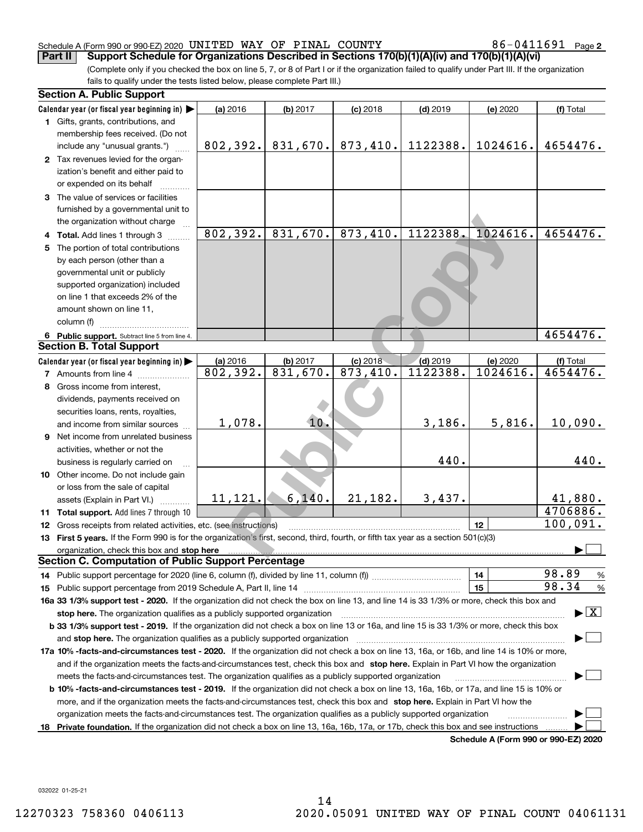#### Schedule A (Form 990 or 990-EZ) 2020 <code>UNITED WAY OF PINAL COUNTY</code>  $86-0411691$  <code>Page</code>

86-0411691 <sub>Page 2</sub>

(Complete only if you checked the box on line 5, 7, or 8 of Part I or if the organization failed to qualify under Part III. If the organization fails to qualify under the tests listed below, please complete Part III.) **Part II Support Schedule for Organizations Described in Sections 170(b)(1)(A)(iv) and 170(b)(1)(A)(vi)**

| <b>Section A. Public Support</b>                                                                                                               |           |          |            |            |                                      |                                         |
|------------------------------------------------------------------------------------------------------------------------------------------------|-----------|----------|------------|------------|--------------------------------------|-----------------------------------------|
| Calendar year (or fiscal year beginning in)                                                                                                    | (a) 2016  | (b) 2017 | $(c)$ 2018 | $(d)$ 2019 | (e) 2020                             | (f) Total                               |
| 1 Gifts, grants, contributions, and                                                                                                            |           |          |            |            |                                      |                                         |
| membership fees received. (Do not                                                                                                              |           |          |            |            |                                      |                                         |
| include any "unusual grants.")                                                                                                                 | 802, 392. | 831,670. | 873,410.   | 1122388.   | 1024616.                             | 4654476.                                |
| 2 Tax revenues levied for the organ-                                                                                                           |           |          |            |            |                                      |                                         |
| ization's benefit and either paid to                                                                                                           |           |          |            |            |                                      |                                         |
| or expended on its behalf                                                                                                                      |           |          |            |            |                                      |                                         |
| 3 The value of services or facilities                                                                                                          |           |          |            |            |                                      |                                         |
| furnished by a governmental unit to                                                                                                            |           |          |            |            |                                      |                                         |
| the organization without charge                                                                                                                |           |          |            |            |                                      |                                         |
| 4 Total. Add lines 1 through 3                                                                                                                 | 802, 392. | 831,670. | 873,410.   | 1122388.   | 1024616.                             | 4654476.                                |
| 5 The portion of total contributions                                                                                                           |           |          |            |            |                                      |                                         |
| by each person (other than a                                                                                                                   |           |          |            |            |                                      |                                         |
| governmental unit or publicly                                                                                                                  |           |          |            |            |                                      |                                         |
| supported organization) included                                                                                                               |           |          |            |            |                                      |                                         |
| on line 1 that exceeds 2% of the                                                                                                               |           |          |            |            |                                      |                                         |
| amount shown on line 11,                                                                                                                       |           |          |            |            |                                      |                                         |
| column (f)                                                                                                                                     |           |          |            |            |                                      |                                         |
| 6 Public support. Subtract line 5 from line 4.                                                                                                 |           |          |            |            |                                      | 4654476.                                |
| <b>Section B. Total Support</b>                                                                                                                |           |          |            |            |                                      |                                         |
| Calendar year (or fiscal year beginning in)                                                                                                    | (a) 2016  | (b) 2017 | $(c)$ 2018 | $(d)$ 2019 | (e) 2020                             | (f) Total                               |
| <b>7</b> Amounts from line 4                                                                                                                   | 802,392.  | 831,670. | 873,410.   | 1122388.   | 1024616.                             | 4654476.                                |
| 8 Gross income from interest,                                                                                                                  |           |          |            |            |                                      |                                         |
| dividends, payments received on                                                                                                                |           |          |            |            |                                      |                                         |
| securities loans, rents, royalties,                                                                                                            |           |          |            |            |                                      |                                         |
| and income from similar sources                                                                                                                | 1,078.    | 10.      |            | 3,186.     | 5,816.                               | 10,090.                                 |
| <b>9</b> Net income from unrelated business                                                                                                    |           |          |            |            |                                      |                                         |
| activities, whether or not the                                                                                                                 |           |          |            |            |                                      |                                         |
| business is regularly carried on                                                                                                               |           |          |            | 440.       |                                      | 440.                                    |
| 10 Other income. Do not include gain                                                                                                           |           |          |            |            |                                      |                                         |
| or loss from the sale of capital                                                                                                               |           |          |            |            |                                      |                                         |
| assets (Explain in Part VI.)                                                                                                                   | 11,121.   | 6,140.   | 21,182.    | 3,437.     |                                      | 41,880.                                 |
| 11 Total support. Add lines 7 through 10                                                                                                       |           |          |            |            |                                      | 4706886.                                |
| <b>12</b> Gross receipts from related activities, etc. (see instructions)                                                                      |           |          |            |            | 12                                   | 100,091.                                |
| 13 First 5 years. If the Form 990 is for the organization's first, second, third, fourth, or fifth tax year as a section 501(c)(3)             |           |          |            |            |                                      |                                         |
| organization, check this box and stop here                                                                                                     |           |          |            |            |                                      |                                         |
| <b>Section C. Computation of Public Support Percentage</b>                                                                                     |           |          |            |            |                                      |                                         |
|                                                                                                                                                |           |          |            |            | 14                                   | 98.89<br>$\frac{9}{6}$                  |
|                                                                                                                                                |           |          |            |            | 15                                   | 98.34<br>%                              |
| 16a 33 1/3% support test - 2020. If the organization did not check the box on line 13, and line 14 is 33 1/3% or more, check this box and      |           |          |            |            |                                      |                                         |
| stop here. The organization qualifies as a publicly supported organization                                                                     |           |          |            |            |                                      | $\blacktriangleright$ $\vert$ X $\vert$ |
| b 33 1/3% support test - 2019. If the organization did not check a box on line 13 or 16a, and line 15 is 33 1/3% or more, check this box       |           |          |            |            |                                      |                                         |
| and stop here. The organization qualifies as a publicly supported organization                                                                 |           |          |            |            |                                      |                                         |
| 17a 10% -facts-and-circumstances test - 2020. If the organization did not check a box on line 13, 16a, or 16b, and line 14 is 10% or more,     |           |          |            |            |                                      |                                         |
| and if the organization meets the facts-and-circumstances test, check this box and stop here. Explain in Part VI how the organization          |           |          |            |            |                                      |                                         |
| meets the facts-and-circumstances test. The organization qualifies as a publicly supported organization                                        |           |          |            |            |                                      |                                         |
| <b>b 10% -facts-and-circumstances test - 2019.</b> If the organization did not check a box on line 13, 16a, 16b, or 17a, and line 15 is 10% or |           |          |            |            |                                      |                                         |
| more, and if the organization meets the facts-and-circumstances test, check this box and stop here. Explain in Part VI how the                 |           |          |            |            |                                      |                                         |
| organization meets the facts-and-circumstances test. The organization qualifies as a publicly supported organization                           |           |          |            |            |                                      |                                         |
| 18 Private foundation. If the organization did not check a box on line 13, 16a, 16b, 17a, or 17b, check this box and see instructions          |           |          |            |            |                                      |                                         |
|                                                                                                                                                |           |          |            |            | Schedule A (Form 990 or 990-EZ) 2020 |                                         |

032022 01-25-21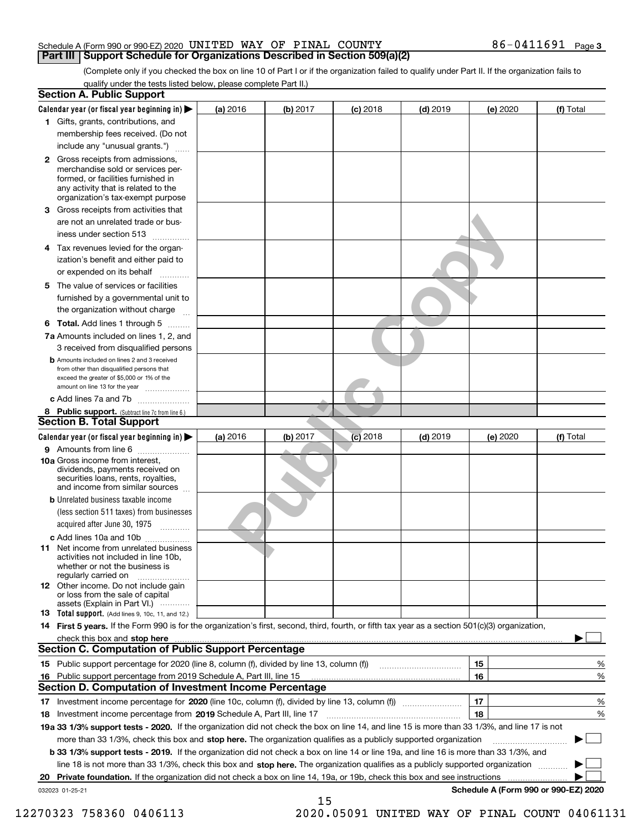#### Schedule A (Form 990 or 990-EZ) 2020 <code>UNITED WAY OF PINAL COUNTY</code>  $86-0411691$  <code>Page</code> **Part III Support Schedule for Organizations Described in Section 509(a)(2)**

(Complete only if you checked the box on line 10 of Part I or if the organization failed to qualify under Part II. If the organization fails to qualify under the tests listed below, please complete Part II.)

|    | <b>Section A. Public Support</b>                                                                                                                                                                |            |          |            |            |          |                                      |
|----|-------------------------------------------------------------------------------------------------------------------------------------------------------------------------------------------------|------------|----------|------------|------------|----------|--------------------------------------|
|    | Calendar year (or fiscal year beginning in) $\blacktriangleright$                                                                                                                               | (a) 2016   | (b) 2017 | $(c)$ 2018 | $(d)$ 2019 | (e) 2020 | (f) Total                            |
|    | 1 Gifts, grants, contributions, and                                                                                                                                                             |            |          |            |            |          |                                      |
|    | membership fees received. (Do not                                                                                                                                                               |            |          |            |            |          |                                      |
|    | include any "unusual grants.")                                                                                                                                                                  |            |          |            |            |          |                                      |
|    | <b>2</b> Gross receipts from admissions,<br>merchandise sold or services per-<br>formed, or facilities furnished in<br>any activity that is related to the<br>organization's tax-exempt purpose |            |          |            |            |          |                                      |
|    | 3 Gross receipts from activities that                                                                                                                                                           |            |          |            |            |          |                                      |
|    | are not an unrelated trade or bus-                                                                                                                                                              |            |          |            |            |          |                                      |
|    | iness under section 513                                                                                                                                                                         |            |          |            |            |          |                                      |
|    | 4 Tax revenues levied for the organ-                                                                                                                                                            |            |          |            |            |          |                                      |
|    | ization's benefit and either paid to<br>or expended on its behalf<br>.                                                                                                                          |            |          |            |            |          |                                      |
|    | 5 The value of services or facilities                                                                                                                                                           |            |          |            |            |          |                                      |
|    | furnished by a governmental unit to                                                                                                                                                             |            |          |            |            |          |                                      |
|    | the organization without charge                                                                                                                                                                 |            |          |            |            |          |                                      |
|    | <b>6 Total.</b> Add lines 1 through 5                                                                                                                                                           |            |          |            |            |          |                                      |
|    | 7a Amounts included on lines 1, 2, and                                                                                                                                                          |            |          |            |            |          |                                      |
|    | 3 received from disqualified persons                                                                                                                                                            |            |          |            |            |          |                                      |
|    | <b>b</b> Amounts included on lines 2 and 3 received<br>from other than disqualified persons that<br>exceed the greater of \$5,000 or 1% of the                                                  |            |          |            |            |          |                                      |
|    | amount on line 13 for the year<br>c Add lines 7a and 7b                                                                                                                                         |            |          |            |            |          |                                      |
|    | 8 Public support. (Subtract line 7c from line 6.)                                                                                                                                               |            |          |            |            |          |                                      |
|    | <b>Section B. Total Support</b>                                                                                                                                                                 |            |          |            |            |          |                                      |
|    | Calendar year (or fiscal year beginning in)                                                                                                                                                     | $(a)$ 2016 | (b) 2017 | $(c)$ 2018 | $(d)$ 2019 | (e) 2020 | (f) Total                            |
|    | 9 Amounts from line 6                                                                                                                                                                           |            |          |            |            |          |                                      |
|    | 10a Gross income from interest,<br>dividends, payments received on<br>securities loans, rents, royalties,<br>and income from similar sources                                                    |            |          |            |            |          |                                      |
|    | <b>b</b> Unrelated business taxable income<br>(less section 511 taxes) from businesses<br>acquired after June 30, 1975                                                                          |            |          |            |            |          |                                      |
|    |                                                                                                                                                                                                 |            |          |            |            |          |                                      |
|    | c Add lines 10a and 10b<br>11 Net income from unrelated business<br>activities not included in line 10b,<br>whether or not the business is<br>regularly carried on                              |            |          |            |            |          |                                      |
|    | 12 Other income. Do not include gain<br>or loss from the sale of capital<br>assets (Explain in Part VI.)                                                                                        |            |          |            |            |          |                                      |
|    | <b>13</b> Total support. (Add lines 9, 10c, 11, and 12.)                                                                                                                                        |            |          |            |            |          |                                      |
|    | 14 First 5 years. If the Form 990 is for the organization's first, second, third, fourth, or fifth tax year as a section 501(c)(3) organization,                                                |            |          |            |            |          |                                      |
|    | check this box and stop here measurements are constructed as the state of the state of the state of the state o                                                                                 |            |          |            |            |          |                                      |
|    | <b>Section C. Computation of Public Support Percentage</b>                                                                                                                                      |            |          |            |            |          |                                      |
|    | 15 Public support percentage for 2020 (line 8, column (f), divided by line 13, column (f))                                                                                                      |            |          |            |            | 15       | %                                    |
|    | 16 Public support percentage from 2019 Schedule A, Part III, line 15                                                                                                                            |            |          |            |            | 16       | %                                    |
|    | <b>Section D. Computation of Investment Income Percentage</b>                                                                                                                                   |            |          |            |            |          |                                      |
|    | 17 Investment income percentage for 2020 (line 10c, column (f), divided by line 13, column (f))                                                                                                 |            |          |            |            | 17       | %                                    |
|    | <b>18</b> Investment income percentage from <b>2019</b> Schedule A, Part III, line 17                                                                                                           |            |          |            |            | 18       | %                                    |
|    | 19a 33 1/3% support tests - 2020. If the organization did not check the box on line 14, and line 15 is more than 33 1/3%, and line 17 is not                                                    |            |          |            |            |          |                                      |
|    | more than 33 1/3%, check this box and stop here. The organization qualifies as a publicly supported organization                                                                                |            |          |            |            |          | ▶                                    |
|    | b 33 1/3% support tests - 2019. If the organization did not check a box on line 14 or line 19a, and line 16 is more than 33 1/3%, and                                                           |            |          |            |            |          |                                      |
|    | line 18 is not more than 33 1/3%, check this box and stop here. The organization qualifies as a publicly supported organization                                                                 |            |          |            |            |          |                                      |
| 20 | <b>Private foundation.</b> If the organization did not check a box on line 14, 19a, or 19b, check this box and see instructions                                                                 |            |          |            |            |          |                                      |
|    | 032023 01-25-21                                                                                                                                                                                 |            | 15       |            |            |          | Schedule A (Form 990 or 990-EZ) 2020 |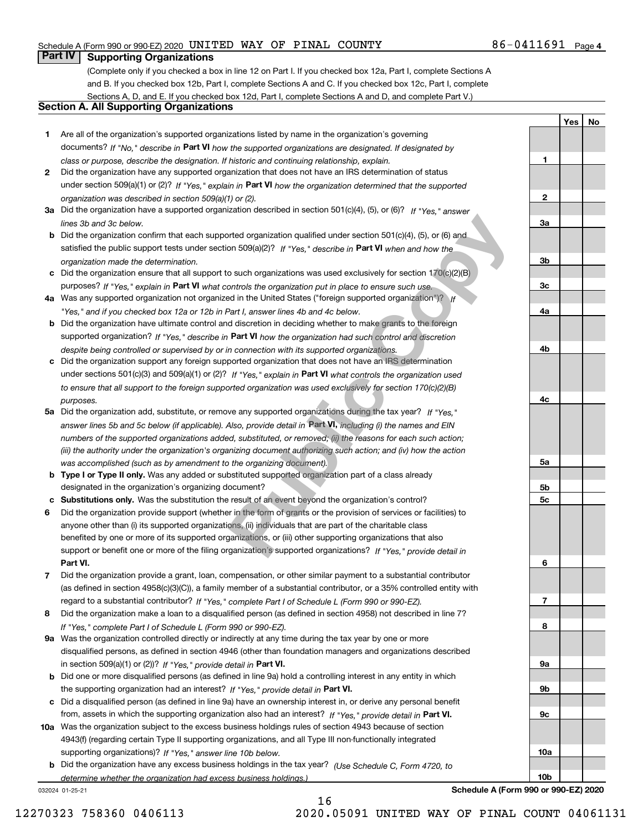## Schedule A (Form 990 or 990-EZ) 2020 <code>UNITED WAY OF PINAL COUNTY</code>  $86-0411691$  <code>Page</code>

## **Part IV Supporting Organizations**

(Complete only if you checked a box in line 12 on Part I. If you checked box 12a, Part I, complete Sections A and B. If you checked box 12b, Part I, complete Sections A and C. If you checked box 12c, Part I, complete Sections A, D, and E. If you checked box 12d, Part I, complete Sections A and D, and complete Part V.)

## **Section A. All Supporting Organizations**

- **1** Are all of the organization's supported organizations listed by name in the organization's governing documents? If "No," describe in **Part VI** how the supported organizations are designated. If designated by *class or purpose, describe the designation. If historic and continuing relationship, explain.*
- **2** Did the organization have any supported organization that does not have an IRS determination of status under section 509(a)(1) or (2)? If "Yes," explain in Part VI how the organization determined that the supported *organization was described in section 509(a)(1) or (2).*
- **3a** Did the organization have a supported organization described in section 501(c)(4), (5), or (6)? If "Yes," answer *lines 3b and 3c below.*
- **b** Did the organization confirm that each supported organization qualified under section 501(c)(4), (5), or (6) and satisfied the public support tests under section 509(a)(2)? If "Yes," describe in **Part VI** when and how the *organization made the determination.*
- **c** Did the organization ensure that all support to such organizations was used exclusively for section 170(c)(2)(B) purposes? If "Yes," explain in **Part VI** what controls the organization put in place to ensure such use.
- **4a** *If* Was any supported organization not organized in the United States ("foreign supported organization")? *"Yes," and if you checked box 12a or 12b in Part I, answer lines 4b and 4c below.*
- **b** Did the organization have ultimate control and discretion in deciding whether to make grants to the foreign supported organization? If "Yes," describe in **Part VI** how the organization had such control and discretion *despite being controlled or supervised by or in connection with its supported organizations.*
- **c** Did the organization support any foreign supported organization that does not have an IRS determination under sections 501(c)(3) and 509(a)(1) or (2)? If "Yes," explain in **Part VI** what co<u>n</u>trols the organization used *to ensure that all support to the foreign supported organization was used exclusively for section 170(c)(2)(B) purposes.*
- **5a***If "Yes,"* Did the organization add, substitute, or remove any supported organizations during the tax year? answer lines 5b and 5c below (if applicable). Also, provide detail in **Part VI,** including (i) the names and EIN *numbers of the supported organizations added, substituted, or removed; (ii) the reasons for each such action; (iii) the authority under the organization's organizing document authorizing such action; and (iv) how the action was accomplished (such as by amendment to the organizing document).* brted organization qualified under section 501(c)(4), (5), or (6) and<br>on 509(a)(2)? If "Yes," describe in **Part VI** when and how the<br>o such organizations was used exclusively for section 170(c)(2)(B)<br>ontrols the organizati
- **b** Type I or Type II only. Was any added or substituted supported organization part of a class already designated in the organization's organizing document?
- **cSubstitutions only.**  Was the substitution the result of an event beyond the organization's control?
- **6** Did the organization provide support (whether in the form of grants or the provision of services or facilities) to **Part VI.** *If "Yes," provide detail in* support or benefit one or more of the filing organization's supported organizations? anyone other than (i) its supported organizations, (ii) individuals that are part of the charitable class benefited by one or more of its supported organizations, or (iii) other supporting organizations that also
- **7**Did the organization provide a grant, loan, compensation, or other similar payment to a substantial contributor *If "Yes," complete Part I of Schedule L (Form 990 or 990-EZ).* regard to a substantial contributor? (as defined in section 4958(c)(3)(C)), a family member of a substantial contributor, or a 35% controlled entity with
- **8** Did the organization make a loan to a disqualified person (as defined in section 4958) not described in line 7? *If "Yes," complete Part I of Schedule L (Form 990 or 990-EZ).*
- **9a** Was the organization controlled directly or indirectly at any time during the tax year by one or more in section 509(a)(1) or (2))? If "Yes," *provide detail in* <code>Part VI.</code> disqualified persons, as defined in section 4946 (other than foundation managers and organizations described
- **b** Did one or more disqualified persons (as defined in line 9a) hold a controlling interest in any entity in which the supporting organization had an interest? If "Yes," provide detail in P**art VI**.
- **c**Did a disqualified person (as defined in line 9a) have an ownership interest in, or derive any personal benefit from, assets in which the supporting organization also had an interest? If "Yes," provide detail in P**art VI.**
- **10a** Was the organization subject to the excess business holdings rules of section 4943 because of section supporting organizations)? If "Yes," answer line 10b below. 4943(f) (regarding certain Type II supporting organizations, and all Type III non-functionally integrated
- **b** Did the organization have any excess business holdings in the tax year? (Use Schedule C, Form 4720, to *determine whether the organization had excess business holdings.)*

16

032024 01-25-21

**6789a**

**Schedule A (Form 990 or 990-EZ) 2020**

**9b**

**9c**

**10a**

**10b**

12270323 758360 0406113 2020.05091 UNITED WAY OF PINAL COUNT 04061131

**1**

**2**

**3a**

**3b**

**3c**

**4a**

**4b**

**4c**

**5a**

**5b5c** **YesNo**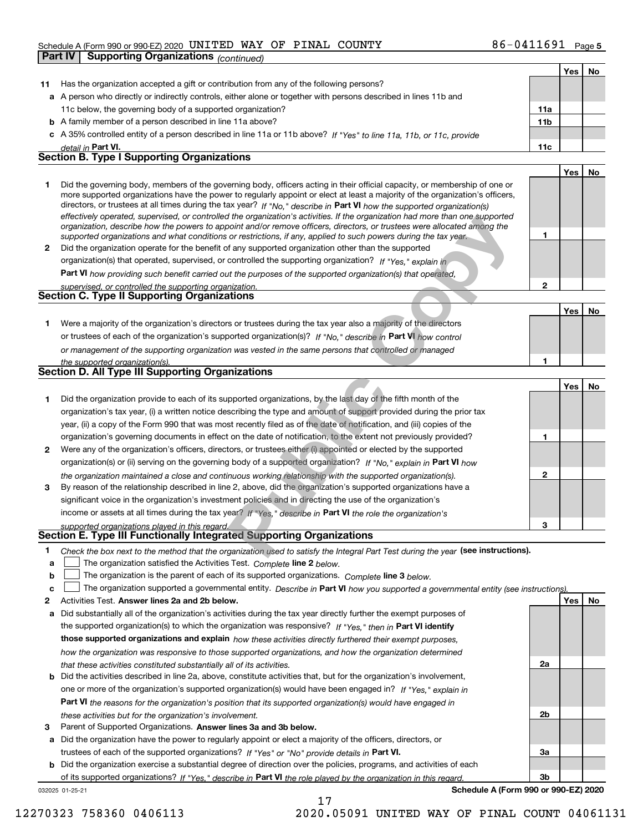## Schedule A (Form 990 or 990-EZ) 2020 <code>UNITED WAY OF PINAL COUNTY</code>  $86-0411691$  <code>Page</code>

|                                                                                                                                                                                                                                                                                                                                                                                                                                                                                                                                                                                                                                                                                                                                                                                                                                                                                                                                                                                                                                                                                                                                                                                                                                                                                                                                                                                                                                                                                                                                                                                                                                                                                                                                                                                                                                                                                                                                                                                                                                                                                                                                                                                                                                                                                                                                                                                                                                                                                                                                                                                                                                                                                                                                                                                                                                                                                                                           |                                                                                                                                                                                                                                                                                                                                                                                                                                                                                                                           |                 |     | r aye J   |
|---------------------------------------------------------------------------------------------------------------------------------------------------------------------------------------------------------------------------------------------------------------------------------------------------------------------------------------------------------------------------------------------------------------------------------------------------------------------------------------------------------------------------------------------------------------------------------------------------------------------------------------------------------------------------------------------------------------------------------------------------------------------------------------------------------------------------------------------------------------------------------------------------------------------------------------------------------------------------------------------------------------------------------------------------------------------------------------------------------------------------------------------------------------------------------------------------------------------------------------------------------------------------------------------------------------------------------------------------------------------------------------------------------------------------------------------------------------------------------------------------------------------------------------------------------------------------------------------------------------------------------------------------------------------------------------------------------------------------------------------------------------------------------------------------------------------------------------------------------------------------------------------------------------------------------------------------------------------------------------------------------------------------------------------------------------------------------------------------------------------------------------------------------------------------------------------------------------------------------------------------------------------------------------------------------------------------------------------------------------------------------------------------------------------------------------------------------------------------------------------------------------------------------------------------------------------------------------------------------------------------------------------------------------------------------------------------------------------------------------------------------------------------------------------------------------------------------------------------------------------------------------------------------------------------|---------------------------------------------------------------------------------------------------------------------------------------------------------------------------------------------------------------------------------------------------------------------------------------------------------------------------------------------------------------------------------------------------------------------------------------------------------------------------------------------------------------------------|-----------------|-----|-----------|
|                                                                                                                                                                                                                                                                                                                                                                                                                                                                                                                                                                                                                                                                                                                                                                                                                                                                                                                                                                                                                                                                                                                                                                                                                                                                                                                                                                                                                                                                                                                                                                                                                                                                                                                                                                                                                                                                                                                                                                                                                                                                                                                                                                                                                                                                                                                                                                                                                                                                                                                                                                                                                                                                                                                                                                                                                                                                                                                           |                                                                                                                                                                                                                                                                                                                                                                                                                                                                                                                           |                 |     |           |
|                                                                                                                                                                                                                                                                                                                                                                                                                                                                                                                                                                                                                                                                                                                                                                                                                                                                                                                                                                                                                                                                                                                                                                                                                                                                                                                                                                                                                                                                                                                                                                                                                                                                                                                                                                                                                                                                                                                                                                                                                                                                                                                                                                                                                                                                                                                                                                                                                                                                                                                                                                                                                                                                                                                                                                                                                                                                                                                           |                                                                                                                                                                                                                                                                                                                                                                                                                                                                                                                           |                 | Yes | <b>No</b> |
| 11                                                                                                                                                                                                                                                                                                                                                                                                                                                                                                                                                                                                                                                                                                                                                                                                                                                                                                                                                                                                                                                                                                                                                                                                                                                                                                                                                                                                                                                                                                                                                                                                                                                                                                                                                                                                                                                                                                                                                                                                                                                                                                                                                                                                                                                                                                                                                                                                                                                                                                                                                                                                                                                                                                                                                                                                                                                                                                                        | Has the organization accepted a gift or contribution from any of the following persons?                                                                                                                                                                                                                                                                                                                                                                                                                                   |                 |     |           |
|                                                                                                                                                                                                                                                                                                                                                                                                                                                                                                                                                                                                                                                                                                                                                                                                                                                                                                                                                                                                                                                                                                                                                                                                                                                                                                                                                                                                                                                                                                                                                                                                                                                                                                                                                                                                                                                                                                                                                                                                                                                                                                                                                                                                                                                                                                                                                                                                                                                                                                                                                                                                                                                                                                                                                                                                                                                                                                                           |                                                                                                                                                                                                                                                                                                                                                                                                                                                                                                                           |                 |     |           |
|                                                                                                                                                                                                                                                                                                                                                                                                                                                                                                                                                                                                                                                                                                                                                                                                                                                                                                                                                                                                                                                                                                                                                                                                                                                                                                                                                                                                                                                                                                                                                                                                                                                                                                                                                                                                                                                                                                                                                                                                                                                                                                                                                                                                                                                                                                                                                                                                                                                                                                                                                                                                                                                                                                                                                                                                                                                                                                                           | 11c below, the governing body of a supported organization?                                                                                                                                                                                                                                                                                                                                                                                                                                                                | 11a             |     |           |
|                                                                                                                                                                                                                                                                                                                                                                                                                                                                                                                                                                                                                                                                                                                                                                                                                                                                                                                                                                                                                                                                                                                                                                                                                                                                                                                                                                                                                                                                                                                                                                                                                                                                                                                                                                                                                                                                                                                                                                                                                                                                                                                                                                                                                                                                                                                                                                                                                                                                                                                                                                                                                                                                                                                                                                                                                                                                                                                           |                                                                                                                                                                                                                                                                                                                                                                                                                                                                                                                           | 11 <sub>b</sub> |     |           |
|                                                                                                                                                                                                                                                                                                                                                                                                                                                                                                                                                                                                                                                                                                                                                                                                                                                                                                                                                                                                                                                                                                                                                                                                                                                                                                                                                                                                                                                                                                                                                                                                                                                                                                                                                                                                                                                                                                                                                                                                                                                                                                                                                                                                                                                                                                                                                                                                                                                                                                                                                                                                                                                                                                                                                                                                                                                                                                                           |                                                                                                                                                                                                                                                                                                                                                                                                                                                                                                                           |                 |     |           |
|                                                                                                                                                                                                                                                                                                                                                                                                                                                                                                                                                                                                                                                                                                                                                                                                                                                                                                                                                                                                                                                                                                                                                                                                                                                                                                                                                                                                                                                                                                                                                                                                                                                                                                                                                                                                                                                                                                                                                                                                                                                                                                                                                                                                                                                                                                                                                                                                                                                                                                                                                                                                                                                                                                                                                                                                                                                                                                                           |                                                                                                                                                                                                                                                                                                                                                                                                                                                                                                                           | 11c             |     |           |
| ັັ<br>$+ 111111 $<br><b>Part IV   Supporting Organizations (continued)</b><br>a A person who directly or indirectly controls, either alone or together with persons described in lines 11b and<br><b>b</b> A family member of a person described in line 11a above?<br>c A 35% controlled entity of a person described in line 11a or 11b above? If "Yes" to line 11a, 11b, or 11c, provide<br>detail in Part VI.<br><b>Section B. Type I Supporting Organizations</b><br>1<br>directors, or trustees at all times during the tax year? If "No," describe in Part VI how the supported organization(s)<br>supported organizations and what conditions or restrictions, if any, applied to such powers during the tax year.<br>$\mathbf{2}$<br>Did the organization operate for the benefit of any supported organization other than the supported<br>organization(s) that operated, supervised, or controlled the supporting organization? If "Yes," explain in<br>Part VI how providing such benefit carried out the purposes of the supported organization(s) that operated,<br>supervised, or controlled the supporting organization.<br><b>Section C. Type II Supporting Organizations</b><br>Were a majority of the organization's directors or trustees during the tax year also a majority of the directors<br>1.<br>or trustees of each of the organization's supported organization(s)? If "No," describe in Part VI how control<br>or management of the supporting organization was vested in the same persons that controlled or managed<br>the supported organization(s).<br>Section D. All Type III Supporting Organizations<br>Did the organization provide to each of its supported organizations, by the last day of the fifth month of the<br>1.<br>organization's tax year, (i) a written notice describing the type and amount of support provided during the prior tax<br>year, (ii) a copy of the Form 990 that was most recently filed as of the date of notification, and (iii) copies of the<br>organization's governing documents in effect on the date of notification, to the extent not previously provided?<br>Were any of the organization's officers, directors, or trustees either (i) appointed or elected by the supported<br>$\mathbf{2}$<br>organization(s) or (ii) serving on the governing body of a supported organization? If "No," explain in Part VI how<br>the organization maintained a close and continuous working relationship with the supported organization(s).<br>By reason of the relationship described in line 2, above, did the organization's supported organizations have a<br>3<br>significant voice in the organization's investment policies and in directing the use of the organization's<br>income or assets at all times during the tax year? If "Yes," describe in Part VI the role the organization's<br>supported organizations played in this regard. |                                                                                                                                                                                                                                                                                                                                                                                                                                                                                                                           |                 |     |           |
|                                                                                                                                                                                                                                                                                                                                                                                                                                                                                                                                                                                                                                                                                                                                                                                                                                                                                                                                                                                                                                                                                                                                                                                                                                                                                                                                                                                                                                                                                                                                                                                                                                                                                                                                                                                                                                                                                                                                                                                                                                                                                                                                                                                                                                                                                                                                                                                                                                                                                                                                                                                                                                                                                                                                                                                                                                                                                                                           |                                                                                                                                                                                                                                                                                                                                                                                                                                                                                                                           |                 |     | No        |
|                                                                                                                                                                                                                                                                                                                                                                                                                                                                                                                                                                                                                                                                                                                                                                                                                                                                                                                                                                                                                                                                                                                                                                                                                                                                                                                                                                                                                                                                                                                                                                                                                                                                                                                                                                                                                                                                                                                                                                                                                                                                                                                                                                                                                                                                                                                                                                                                                                                                                                                                                                                                                                                                                                                                                                                                                                                                                                                           | Did the governing body, members of the governing body, officers acting in their official capacity, or membership of one or<br>more supported organizations have the power to regularly appoint or elect at least a majority of the organization's officers,<br>effectively operated, supervised, or controlled the organization's activities. If the organization had more than one supported<br>organization, describe how the powers to appoint and/or remove officers, directors, or trustees were allocated among the |                 |     |           |
|                                                                                                                                                                                                                                                                                                                                                                                                                                                                                                                                                                                                                                                                                                                                                                                                                                                                                                                                                                                                                                                                                                                                                                                                                                                                                                                                                                                                                                                                                                                                                                                                                                                                                                                                                                                                                                                                                                                                                                                                                                                                                                                                                                                                                                                                                                                                                                                                                                                                                                                                                                                                                                                                                                                                                                                                                                                                                                                           |                                                                                                                                                                                                                                                                                                                                                                                                                                                                                                                           |                 |     |           |
|                                                                                                                                                                                                                                                                                                                                                                                                                                                                                                                                                                                                                                                                                                                                                                                                                                                                                                                                                                                                                                                                                                                                                                                                                                                                                                                                                                                                                                                                                                                                                                                                                                                                                                                                                                                                                                                                                                                                                                                                                                                                                                                                                                                                                                                                                                                                                                                                                                                                                                                                                                                                                                                                                                                                                                                                                                                                                                                           |                                                                                                                                                                                                                                                                                                                                                                                                                                                                                                                           |                 |     |           |
|                                                                                                                                                                                                                                                                                                                                                                                                                                                                                                                                                                                                                                                                                                                                                                                                                                                                                                                                                                                                                                                                                                                                                                                                                                                                                                                                                                                                                                                                                                                                                                                                                                                                                                                                                                                                                                                                                                                                                                                                                                                                                                                                                                                                                                                                                                                                                                                                                                                                                                                                                                                                                                                                                                                                                                                                                                                                                                                           |                                                                                                                                                                                                                                                                                                                                                                                                                                                                                                                           |                 |     |           |
|                                                                                                                                                                                                                                                                                                                                                                                                                                                                                                                                                                                                                                                                                                                                                                                                                                                                                                                                                                                                                                                                                                                                                                                                                                                                                                                                                                                                                                                                                                                                                                                                                                                                                                                                                                                                                                                                                                                                                                                                                                                                                                                                                                                                                                                                                                                                                                                                                                                                                                                                                                                                                                                                                                                                                                                                                                                                                                                           |                                                                                                                                                                                                                                                                                                                                                                                                                                                                                                                           |                 |     |           |
|                                                                                                                                                                                                                                                                                                                                                                                                                                                                                                                                                                                                                                                                                                                                                                                                                                                                                                                                                                                                                                                                                                                                                                                                                                                                                                                                                                                                                                                                                                                                                                                                                                                                                                                                                                                                                                                                                                                                                                                                                                                                                                                                                                                                                                                                                                                                                                                                                                                                                                                                                                                                                                                                                                                                                                                                                                                                                                                           |                                                                                                                                                                                                                                                                                                                                                                                                                                                                                                                           | $\mathbf{2}$    |     |           |
|                                                                                                                                                                                                                                                                                                                                                                                                                                                                                                                                                                                                                                                                                                                                                                                                                                                                                                                                                                                                                                                                                                                                                                                                                                                                                                                                                                                                                                                                                                                                                                                                                                                                                                                                                                                                                                                                                                                                                                                                                                                                                                                                                                                                                                                                                                                                                                                                                                                                                                                                                                                                                                                                                                                                                                                                                                                                                                                           |                                                                                                                                                                                                                                                                                                                                                                                                                                                                                                                           |                 |     |           |
|                                                                                                                                                                                                                                                                                                                                                                                                                                                                                                                                                                                                                                                                                                                                                                                                                                                                                                                                                                                                                                                                                                                                                                                                                                                                                                                                                                                                                                                                                                                                                                                                                                                                                                                                                                                                                                                                                                                                                                                                                                                                                                                                                                                                                                                                                                                                                                                                                                                                                                                                                                                                                                                                                                                                                                                                                                                                                                                           |                                                                                                                                                                                                                                                                                                                                                                                                                                                                                                                           |                 | Yes | No        |
|                                                                                                                                                                                                                                                                                                                                                                                                                                                                                                                                                                                                                                                                                                                                                                                                                                                                                                                                                                                                                                                                                                                                                                                                                                                                                                                                                                                                                                                                                                                                                                                                                                                                                                                                                                                                                                                                                                                                                                                                                                                                                                                                                                                                                                                                                                                                                                                                                                                                                                                                                                                                                                                                                                                                                                                                                                                                                                                           |                                                                                                                                                                                                                                                                                                                                                                                                                                                                                                                           |                 |     |           |
|                                                                                                                                                                                                                                                                                                                                                                                                                                                                                                                                                                                                                                                                                                                                                                                                                                                                                                                                                                                                                                                                                                                                                                                                                                                                                                                                                                                                                                                                                                                                                                                                                                                                                                                                                                                                                                                                                                                                                                                                                                                                                                                                                                                                                                                                                                                                                                                                                                                                                                                                                                                                                                                                                                                                                                                                                                                                                                                           |                                                                                                                                                                                                                                                                                                                                                                                                                                                                                                                           |                 |     |           |
|                                                                                                                                                                                                                                                                                                                                                                                                                                                                                                                                                                                                                                                                                                                                                                                                                                                                                                                                                                                                                                                                                                                                                                                                                                                                                                                                                                                                                                                                                                                                                                                                                                                                                                                                                                                                                                                                                                                                                                                                                                                                                                                                                                                                                                                                                                                                                                                                                                                                                                                                                                                                                                                                                                                                                                                                                                                                                                                           |                                                                                                                                                                                                                                                                                                                                                                                                                                                                                                                           |                 |     |           |
|                                                                                                                                                                                                                                                                                                                                                                                                                                                                                                                                                                                                                                                                                                                                                                                                                                                                                                                                                                                                                                                                                                                                                                                                                                                                                                                                                                                                                                                                                                                                                                                                                                                                                                                                                                                                                                                                                                                                                                                                                                                                                                                                                                                                                                                                                                                                                                                                                                                                                                                                                                                                                                                                                                                                                                                                                                                                                                                           |                                                                                                                                                                                                                                                                                                                                                                                                                                                                                                                           | 1               |     |           |
|                                                                                                                                                                                                                                                                                                                                                                                                                                                                                                                                                                                                                                                                                                                                                                                                                                                                                                                                                                                                                                                                                                                                                                                                                                                                                                                                                                                                                                                                                                                                                                                                                                                                                                                                                                                                                                                                                                                                                                                                                                                                                                                                                                                                                                                                                                                                                                                                                                                                                                                                                                                                                                                                                                                                                                                                                                                                                                                           |                                                                                                                                                                                                                                                                                                                                                                                                                                                                                                                           |                 |     |           |
|                                                                                                                                                                                                                                                                                                                                                                                                                                                                                                                                                                                                                                                                                                                                                                                                                                                                                                                                                                                                                                                                                                                                                                                                                                                                                                                                                                                                                                                                                                                                                                                                                                                                                                                                                                                                                                                                                                                                                                                                                                                                                                                                                                                                                                                                                                                                                                                                                                                                                                                                                                                                                                                                                                                                                                                                                                                                                                                           |                                                                                                                                                                                                                                                                                                                                                                                                                                                                                                                           |                 | Yes | No        |
|                                                                                                                                                                                                                                                                                                                                                                                                                                                                                                                                                                                                                                                                                                                                                                                                                                                                                                                                                                                                                                                                                                                                                                                                                                                                                                                                                                                                                                                                                                                                                                                                                                                                                                                                                                                                                                                                                                                                                                                                                                                                                                                                                                                                                                                                                                                                                                                                                                                                                                                                                                                                                                                                                                                                                                                                                                                                                                                           |                                                                                                                                                                                                                                                                                                                                                                                                                                                                                                                           |                 |     |           |
|                                                                                                                                                                                                                                                                                                                                                                                                                                                                                                                                                                                                                                                                                                                                                                                                                                                                                                                                                                                                                                                                                                                                                                                                                                                                                                                                                                                                                                                                                                                                                                                                                                                                                                                                                                                                                                                                                                                                                                                                                                                                                                                                                                                                                                                                                                                                                                                                                                                                                                                                                                                                                                                                                                                                                                                                                                                                                                                           |                                                                                                                                                                                                                                                                                                                                                                                                                                                                                                                           |                 |     |           |
|                                                                                                                                                                                                                                                                                                                                                                                                                                                                                                                                                                                                                                                                                                                                                                                                                                                                                                                                                                                                                                                                                                                                                                                                                                                                                                                                                                                                                                                                                                                                                                                                                                                                                                                                                                                                                                                                                                                                                                                                                                                                                                                                                                                                                                                                                                                                                                                                                                                                                                                                                                                                                                                                                                                                                                                                                                                                                                                           |                                                                                                                                                                                                                                                                                                                                                                                                                                                                                                                           |                 |     |           |
|                                                                                                                                                                                                                                                                                                                                                                                                                                                                                                                                                                                                                                                                                                                                                                                                                                                                                                                                                                                                                                                                                                                                                                                                                                                                                                                                                                                                                                                                                                                                                                                                                                                                                                                                                                                                                                                                                                                                                                                                                                                                                                                                                                                                                                                                                                                                                                                                                                                                                                                                                                                                                                                                                                                                                                                                                                                                                                                           |                                                                                                                                                                                                                                                                                                                                                                                                                                                                                                                           |                 |     |           |
|                                                                                                                                                                                                                                                                                                                                                                                                                                                                                                                                                                                                                                                                                                                                                                                                                                                                                                                                                                                                                                                                                                                                                                                                                                                                                                                                                                                                                                                                                                                                                                                                                                                                                                                                                                                                                                                                                                                                                                                                                                                                                                                                                                                                                                                                                                                                                                                                                                                                                                                                                                                                                                                                                                                                                                                                                                                                                                                           |                                                                                                                                                                                                                                                                                                                                                                                                                                                                                                                           |                 |     |           |
|                                                                                                                                                                                                                                                                                                                                                                                                                                                                                                                                                                                                                                                                                                                                                                                                                                                                                                                                                                                                                                                                                                                                                                                                                                                                                                                                                                                                                                                                                                                                                                                                                                                                                                                                                                                                                                                                                                                                                                                                                                                                                                                                                                                                                                                                                                                                                                                                                                                                                                                                                                                                                                                                                                                                                                                                                                                                                                                           |                                                                                                                                                                                                                                                                                                                                                                                                                                                                                                                           |                 |     |           |
|                                                                                                                                                                                                                                                                                                                                                                                                                                                                                                                                                                                                                                                                                                                                                                                                                                                                                                                                                                                                                                                                                                                                                                                                                                                                                                                                                                                                                                                                                                                                                                                                                                                                                                                                                                                                                                                                                                                                                                                                                                                                                                                                                                                                                                                                                                                                                                                                                                                                                                                                                                                                                                                                                                                                                                                                                                                                                                                           |                                                                                                                                                                                                                                                                                                                                                                                                                                                                                                                           |                 |     |           |
|                                                                                                                                                                                                                                                                                                                                                                                                                                                                                                                                                                                                                                                                                                                                                                                                                                                                                                                                                                                                                                                                                                                                                                                                                                                                                                                                                                                                                                                                                                                                                                                                                                                                                                                                                                                                                                                                                                                                                                                                                                                                                                                                                                                                                                                                                                                                                                                                                                                                                                                                                                                                                                                                                                                                                                                                                                                                                                                           |                                                                                                                                                                                                                                                                                                                                                                                                                                                                                                                           |                 |     |           |
|                                                                                                                                                                                                                                                                                                                                                                                                                                                                                                                                                                                                                                                                                                                                                                                                                                                                                                                                                                                                                                                                                                                                                                                                                                                                                                                                                                                                                                                                                                                                                                                                                                                                                                                                                                                                                                                                                                                                                                                                                                                                                                                                                                                                                                                                                                                                                                                                                                                                                                                                                                                                                                                                                                                                                                                                                                                                                                                           |                                                                                                                                                                                                                                                                                                                                                                                                                                                                                                                           |                 |     |           |
|                                                                                                                                                                                                                                                                                                                                                                                                                                                                                                                                                                                                                                                                                                                                                                                                                                                                                                                                                                                                                                                                                                                                                                                                                                                                                                                                                                                                                                                                                                                                                                                                                                                                                                                                                                                                                                                                                                                                                                                                                                                                                                                                                                                                                                                                                                                                                                                                                                                                                                                                                                                                                                                                                                                                                                                                                                                                                                                           |                                                                                                                                                                                                                                                                                                                                                                                                                                                                                                                           |                 |     |           |
|                                                                                                                                                                                                                                                                                                                                                                                                                                                                                                                                                                                                                                                                                                                                                                                                                                                                                                                                                                                                                                                                                                                                                                                                                                                                                                                                                                                                                                                                                                                                                                                                                                                                                                                                                                                                                                                                                                                                                                                                                                                                                                                                                                                                                                                                                                                                                                                                                                                                                                                                                                                                                                                                                                                                                                                                                                                                                                                           |                                                                                                                                                                                                                                                                                                                                                                                                                                                                                                                           |                 |     |           |
|                                                                                                                                                                                                                                                                                                                                                                                                                                                                                                                                                                                                                                                                                                                                                                                                                                                                                                                                                                                                                                                                                                                                                                                                                                                                                                                                                                                                                                                                                                                                                                                                                                                                                                                                                                                                                                                                                                                                                                                                                                                                                                                                                                                                                                                                                                                                                                                                                                                                                                                                                                                                                                                                                                                                                                                                                                                                                                                           |                                                                                                                                                                                                                                                                                                                                                                                                                                                                                                                           |                 |     |           |
|                                                                                                                                                                                                                                                                                                                                                                                                                                                                                                                                                                                                                                                                                                                                                                                                                                                                                                                                                                                                                                                                                                                                                                                                                                                                                                                                                                                                                                                                                                                                                                                                                                                                                                                                                                                                                                                                                                                                                                                                                                                                                                                                                                                                                                                                                                                                                                                                                                                                                                                                                                                                                                                                                                                                                                                                                                                                                                                           |                                                                                                                                                                                                                                                                                                                                                                                                                                                                                                                           |                 |     |           |
| 1                                                                                                                                                                                                                                                                                                                                                                                                                                                                                                                                                                                                                                                                                                                                                                                                                                                                                                                                                                                                                                                                                                                                                                                                                                                                                                                                                                                                                                                                                                                                                                                                                                                                                                                                                                                                                                                                                                                                                                                                                                                                                                                                                                                                                                                                                                                                                                                                                                                                                                                                                                                                                                                                                                                                                                                                                                                                                                                         | Yes<br>1<br>1<br>$\mathbf{2}$<br>3<br>Section E. Type III Functionally Integrated Supporting Organizations<br>Check the box next to the method that the organization used to satisfy the Integral Part Test during the year (see instructions).<br>$\sim$ . The contract of the contract of the contract of the contract of the contract of the contract of the contract of the contract of the contract of the contract of the contract of the contract of the contract of the co                                        |                 |     |           |

- **aline** The organization satisfied the Activities Test. Complete line 2 below.
- **bThe organization is the parent of each of its supported organizations. Complete line 3 below.**

|  |  | The organization supported a governmental entity. Describe in Part VI how you supported a governmental entity (see instructions) |  |
|--|--|----------------------------------------------------------------------------------------------------------------------------------|--|
|--|--|----------------------------------------------------------------------------------------------------------------------------------|--|

17

- **2Answer lines 2a and 2b below. Yes No** Activities Test.
- **a** Did substantially all of the organization's activities during the tax year directly further the exempt purposes of the supported organization(s) to which the organization was responsive? If "Yes," then in **Part VI identify those supported organizations and explain**  *how these activities directly furthered their exempt purposes, how the organization was responsive to those supported organizations, and how the organization determined that these activities constituted substantially all of its activities.*
- **b** Did the activities described in line 2a, above, constitute activities that, but for the organization's involvement, **Part VI**  *the reasons for the organization's position that its supported organization(s) would have engaged in* one or more of the organization's supported organization(s) would have been engaged in? If "Yes," e*xplain in these activities but for the organization's involvement.*
- **3** Parent of Supported Organizations. Answer lines 3a and 3b below.

**a** Did the organization have the power to regularly appoint or elect a majority of the officers, directors, or trustees of each of the supported organizations? If "Yes" or "No" provide details in **Part VI.** 

**b** Did the organization exercise a substantial degree of direction over the policies, programs, and activities of each of its supported organizations? If "Yes," describe in Part VI the role played by the organization in this regard.

032025 01-25-21

**Schedule A (Form 990 or 990-EZ) 2020**

**2a**

**2b**

**3a**

**3b**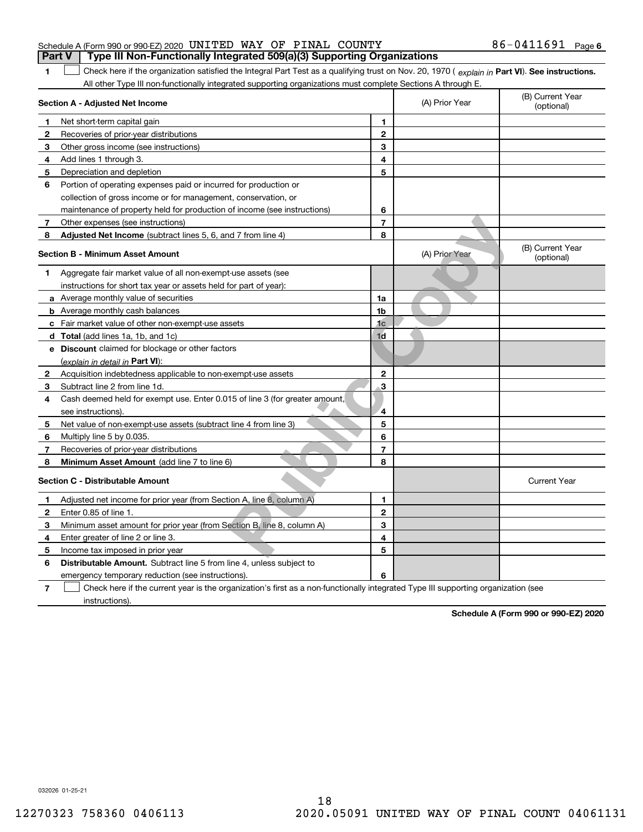|              | Section A - Adjusted Net Income                                             |                | (A) Prior Year | (B) Current Year<br>(optional) |
|--------------|-----------------------------------------------------------------------------|----------------|----------------|--------------------------------|
| 1            | Net short-term capital gain                                                 | 1              |                |                                |
| 2            | Recoveries of prior-year distributions                                      | $\overline{2}$ |                |                                |
| 3            | Other gross income (see instructions)                                       | 3              |                |                                |
| 4            | Add lines 1 through 3.                                                      | 4              |                |                                |
| 5            | Depreciation and depletion                                                  | 5              |                |                                |
| 6            | Portion of operating expenses paid or incurred for production or            |                |                |                                |
|              | collection of gross income or for management, conservation, or              |                |                |                                |
|              | maintenance of property held for production of income (see instructions)    | 6              |                |                                |
| $7^{\circ}$  | Other expenses (see instructions)                                           | $\overline{7}$ |                |                                |
| 8            | Adjusted Net Income (subtract lines 5, 6, and 7 from line 4)                | 8              |                |                                |
|              | <b>Section B - Minimum Asset Amount</b>                                     |                | (A) Prior Year | (B) Current Year<br>(optional) |
| 1            | Aggregate fair market value of all non-exempt-use assets (see               |                |                |                                |
|              | instructions for short tax year or assets held for part of year):           |                |                |                                |
|              | a Average monthly value of securities                                       | 1a             |                |                                |
|              | <b>b</b> Average monthly cash balances                                      | 1 <sub>b</sub> |                |                                |
|              | c Fair market value of other non-exempt-use assets                          | 1 <sub>c</sub> |                |                                |
|              | <b>d</b> Total (add lines 1a, 1b, and 1c)                                   | 1 <sub>d</sub> |                |                                |
|              | e Discount claimed for blockage or other factors                            |                |                |                                |
|              | (explain in detail in Part VI):                                             |                |                |                                |
| $\mathbf{2}$ | Acquisition indebtedness applicable to non-exempt-use assets                | $\mathbf{2}$   |                |                                |
| 3            | Subtract line 2 from line 1d.                                               | 3              |                |                                |
| 4            | Cash deemed held for exempt use. Enter 0.015 of line 3 (for greater amount, |                |                |                                |
|              | see instructions).                                                          | 4              |                |                                |
| 5            | Net value of non-exempt-use assets (subtract line 4 from line 3)            | 5              |                |                                |
| 6            | Multiply line 5 by 0.035.                                                   | 6              |                |                                |
| 7            | Recoveries of prior-year distributions                                      | $\overline{7}$ |                |                                |
| 8            | Minimum Asset Amount (add line 7 to line 6)                                 | 8              |                |                                |
|              | <b>Section C - Distributable Amount</b>                                     |                |                | <b>Current Year</b>            |
| 1            | Adjusted net income for prior year (from Section A, line 8, column A)       | 1              |                |                                |
| $\mathbf{2}$ | Enter 0.85 of line 1.                                                       | $\mathbf{2}$   |                |                                |
| 3            | Minimum asset amount for prior year (from Section B, line 8, column A)      | 3              |                |                                |
| 4            | Enter greater of line 2 or line 3.                                          | 4              |                |                                |
| 5            | Income tax imposed in prior year                                            | 5              |                |                                |
| 6            | <b>Distributable Amount.</b> Subtract line 5 from line 4, unless subject to |                |                |                                |

emergency temporary reduction (see instructions).

**7**Check here if the current year is the organization's first as a non-functionally integrated Type III supporting organization (see instructions).

**6**

**Schedule A (Form 990 or 990-EZ) 2020**

032026 01-25-21

Schedule A (Form 990 or 990-EZ) 2020 <code>UNITED WAY OF PINAL COUNTY</code>  $86-0411691$  <code>Page</code> **Part V Type III Non-Functionally Integrated 509(a)(3) Supporting Organizations** 

**1**1 Check here if the organization satisfied the Integral Part Test as a qualifying trust on Nov. 20, 1970 (explain in Part VI). See instructions.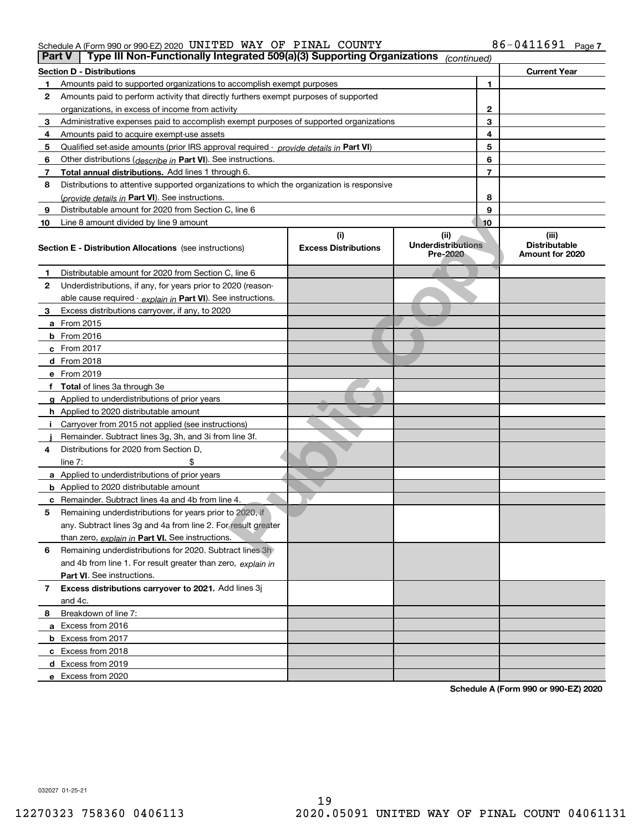#### Schedule A (Form 990 or 990-EZ) 2020 <code>UNITED WAY OF PINAL COUNTY</code>  $86-0411691$  <code>Page</code>

|    | Type III Non-Functionally Integrated 509(a)(3) Supporting Organizations<br>Part V<br>(continued) |                             |                                       |                |                                         |  |  |  |  |  |
|----|--------------------------------------------------------------------------------------------------|-----------------------------|---------------------------------------|----------------|-----------------------------------------|--|--|--|--|--|
|    | <b>Section D - Distributions</b>                                                                 |                             |                                       |                | <b>Current Year</b>                     |  |  |  |  |  |
| 1  | Amounts paid to supported organizations to accomplish exempt purposes                            |                             |                                       | 1              |                                         |  |  |  |  |  |
| 2  | Amounts paid to perform activity that directly furthers exempt purposes of supported             |                             |                                       |                |                                         |  |  |  |  |  |
|    | organizations, in excess of income from activity                                                 |                             |                                       | 2              |                                         |  |  |  |  |  |
| 3  | Administrative expenses paid to accomplish exempt purposes of supported organizations            |                             | 3                                     |                |                                         |  |  |  |  |  |
| 4  | Amounts paid to acquire exempt-use assets                                                        |                             |                                       | 4              |                                         |  |  |  |  |  |
| 5  | Qualified set-aside amounts (prior IRS approval required - provide details in Part VI)           |                             |                                       | 5              |                                         |  |  |  |  |  |
| 6  | Other distributions ( <i>describe in</i> Part VI). See instructions.                             |                             |                                       | 6              |                                         |  |  |  |  |  |
| 7  | Total annual distributions. Add lines 1 through 6.                                               |                             |                                       | $\overline{7}$ |                                         |  |  |  |  |  |
| 8  | Distributions to attentive supported organizations to which the organization is responsive       |                             |                                       |                |                                         |  |  |  |  |  |
|    | (provide details in Part VI). See instructions.                                                  |                             |                                       | 8              |                                         |  |  |  |  |  |
| 9  | Distributable amount for 2020 from Section C, line 6                                             |                             |                                       | 9              |                                         |  |  |  |  |  |
| 10 | Line 8 amount divided by line 9 amount                                                           |                             |                                       | 10             |                                         |  |  |  |  |  |
|    |                                                                                                  | (i)                         | (ii)                                  |                | (iii)                                   |  |  |  |  |  |
|    | <b>Section E - Distribution Allocations</b> (see instructions)                                   | <b>Excess Distributions</b> | <b>Underdistributions</b><br>Pre-2020 |                | <b>Distributable</b><br>Amount for 2020 |  |  |  |  |  |
| 1  | Distributable amount for 2020 from Section C, line 6                                             |                             |                                       |                |                                         |  |  |  |  |  |
| 2  | Underdistributions, if any, for years prior to 2020 (reason-                                     |                             |                                       |                |                                         |  |  |  |  |  |
|    | able cause required - explain in Part VI). See instructions.                                     |                             |                                       |                |                                         |  |  |  |  |  |
| 3  | Excess distributions carryover, if any, to 2020                                                  |                             |                                       |                |                                         |  |  |  |  |  |
|    | a From 2015                                                                                      |                             |                                       |                |                                         |  |  |  |  |  |
|    | <b>b</b> From 2016                                                                               |                             |                                       |                |                                         |  |  |  |  |  |
|    | $c$ From 2017                                                                                    |                             |                                       |                |                                         |  |  |  |  |  |
|    | <b>d</b> From 2018                                                                               |                             |                                       |                |                                         |  |  |  |  |  |
|    | e From 2019                                                                                      |                             |                                       |                |                                         |  |  |  |  |  |
|    | f Total of lines 3a through 3e                                                                   |                             |                                       |                |                                         |  |  |  |  |  |
|    | g Applied to underdistributions of prior years                                                   |                             |                                       |                |                                         |  |  |  |  |  |
|    | <b>h</b> Applied to 2020 distributable amount                                                    |                             |                                       |                |                                         |  |  |  |  |  |
|    | Carryover from 2015 not applied (see instructions)                                               |                             |                                       |                |                                         |  |  |  |  |  |
|    | Remainder. Subtract lines 3g, 3h, and 3i from line 3f.                                           |                             |                                       |                |                                         |  |  |  |  |  |
| 4  | Distributions for 2020 from Section D,                                                           |                             |                                       |                |                                         |  |  |  |  |  |
|    | line $7:$                                                                                        |                             |                                       |                |                                         |  |  |  |  |  |
|    | a Applied to underdistributions of prior years                                                   |                             |                                       |                |                                         |  |  |  |  |  |
|    | <b>b</b> Applied to 2020 distributable amount                                                    |                             |                                       |                |                                         |  |  |  |  |  |
|    | c Remainder. Subtract lines 4a and 4b from line 4.                                               |                             |                                       |                |                                         |  |  |  |  |  |
| 5  | Remaining underdistributions for years prior to 2020, if                                         |                             |                                       |                |                                         |  |  |  |  |  |
|    | any. Subtract lines 3g and 4a from line 2. For result greater                                    |                             |                                       |                |                                         |  |  |  |  |  |
|    | than zero, explain in Part VI. See instructions.                                                 |                             |                                       |                |                                         |  |  |  |  |  |
| 6  | Remaining underdistributions for 2020. Subtract lines 3h                                         |                             |                                       |                |                                         |  |  |  |  |  |
|    | and 4b from line 1. For result greater than zero, explain in                                     |                             |                                       |                |                                         |  |  |  |  |  |
|    | Part VI. See instructions.                                                                       |                             |                                       |                |                                         |  |  |  |  |  |
| 7  | Excess distributions carryover to 2021. Add lines 3j                                             |                             |                                       |                |                                         |  |  |  |  |  |
|    | and 4c.                                                                                          |                             |                                       |                |                                         |  |  |  |  |  |
| 8  | Breakdown of line 7:                                                                             |                             |                                       |                |                                         |  |  |  |  |  |
|    | a Excess from 2016                                                                               |                             |                                       |                |                                         |  |  |  |  |  |
|    | <b>b</b> Excess from 2017                                                                        |                             |                                       |                |                                         |  |  |  |  |  |
|    |                                                                                                  |                             |                                       |                |                                         |  |  |  |  |  |
|    |                                                                                                  |                             |                                       |                |                                         |  |  |  |  |  |
|    | e Excess from 2020                                                                               |                             |                                       |                |                                         |  |  |  |  |  |
|    | c Excess from 2018<br>d Excess from 2019                                                         |                             |                                       |                |                                         |  |  |  |  |  |

**Schedule A (Form 990 or 990-EZ) 2020**

032027 01-25-21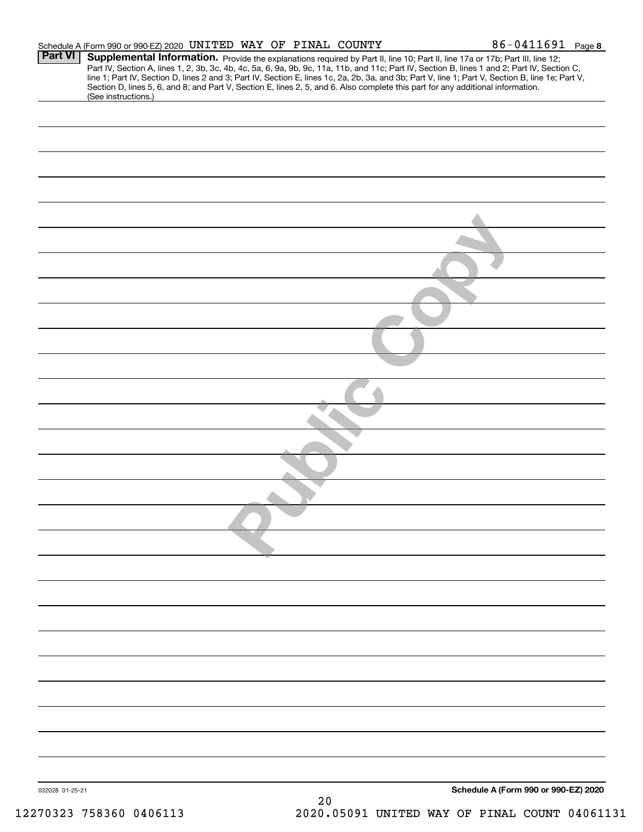|                 | Schedule A (Form 990 or 990-EZ) 2020 UNITED WAY OF PINAL COUNTY |  |  | 86-0411691 Page 8                                                                                                                                                                                                                                                                                                                                                                                                                                                                                                                                                    |
|-----------------|-----------------------------------------------------------------|--|--|----------------------------------------------------------------------------------------------------------------------------------------------------------------------------------------------------------------------------------------------------------------------------------------------------------------------------------------------------------------------------------------------------------------------------------------------------------------------------------------------------------------------------------------------------------------------|
| <b>Part VI</b>  | (See instructions.)                                             |  |  | Supplemental Information. Provide the explanations required by Part II, line 10; Part II, line 17a or 17b; Part III, line 12;<br>Part IV, Section A, lines 1, 2, 3b, 3c, 4b, 4c, 5a, 6, 9a, 9b, 9c, 11a, 11b, and 11c; Part IV, Section B, lines 1 and 2; Part IV, Section C,<br>line 1; Part IV, Section D, lines 2 and 3; Part IV, Section E, lines 1c, 2a, 2b, 3a, and 3b; Part V, line 1; Part V, Section B, line 1e; Part V,<br>Section D, lines 5, 6, and 8; and Part V, Section E, lines 2, 5, and 6. Also complete this part for any additional information. |
|                 |                                                                 |  |  |                                                                                                                                                                                                                                                                                                                                                                                                                                                                                                                                                                      |
|                 |                                                                 |  |  |                                                                                                                                                                                                                                                                                                                                                                                                                                                                                                                                                                      |
|                 |                                                                 |  |  |                                                                                                                                                                                                                                                                                                                                                                                                                                                                                                                                                                      |
|                 |                                                                 |  |  |                                                                                                                                                                                                                                                                                                                                                                                                                                                                                                                                                                      |
|                 |                                                                 |  |  |                                                                                                                                                                                                                                                                                                                                                                                                                                                                                                                                                                      |
|                 |                                                                 |  |  |                                                                                                                                                                                                                                                                                                                                                                                                                                                                                                                                                                      |
|                 |                                                                 |  |  |                                                                                                                                                                                                                                                                                                                                                                                                                                                                                                                                                                      |
|                 |                                                                 |  |  |                                                                                                                                                                                                                                                                                                                                                                                                                                                                                                                                                                      |
|                 |                                                                 |  |  |                                                                                                                                                                                                                                                                                                                                                                                                                                                                                                                                                                      |
|                 |                                                                 |  |  |                                                                                                                                                                                                                                                                                                                                                                                                                                                                                                                                                                      |
|                 |                                                                 |  |  |                                                                                                                                                                                                                                                                                                                                                                                                                                                                                                                                                                      |
|                 |                                                                 |  |  |                                                                                                                                                                                                                                                                                                                                                                                                                                                                                                                                                                      |
|                 |                                                                 |  |  |                                                                                                                                                                                                                                                                                                                                                                                                                                                                                                                                                                      |
|                 |                                                                 |  |  |                                                                                                                                                                                                                                                                                                                                                                                                                                                                                                                                                                      |
|                 |                                                                 |  |  |                                                                                                                                                                                                                                                                                                                                                                                                                                                                                                                                                                      |
|                 |                                                                 |  |  |                                                                                                                                                                                                                                                                                                                                                                                                                                                                                                                                                                      |
|                 |                                                                 |  |  |                                                                                                                                                                                                                                                                                                                                                                                                                                                                                                                                                                      |
|                 |                                                                 |  |  |                                                                                                                                                                                                                                                                                                                                                                                                                                                                                                                                                                      |
|                 |                                                                 |  |  |                                                                                                                                                                                                                                                                                                                                                                                                                                                                                                                                                                      |
|                 |                                                                 |  |  |                                                                                                                                                                                                                                                                                                                                                                                                                                                                                                                                                                      |
|                 |                                                                 |  |  |                                                                                                                                                                                                                                                                                                                                                                                                                                                                                                                                                                      |
|                 |                                                                 |  |  |                                                                                                                                                                                                                                                                                                                                                                                                                                                                                                                                                                      |
|                 |                                                                 |  |  |                                                                                                                                                                                                                                                                                                                                                                                                                                                                                                                                                                      |
|                 |                                                                 |  |  |                                                                                                                                                                                                                                                                                                                                                                                                                                                                                                                                                                      |
|                 |                                                                 |  |  |                                                                                                                                                                                                                                                                                                                                                                                                                                                                                                                                                                      |
|                 |                                                                 |  |  |                                                                                                                                                                                                                                                                                                                                                                                                                                                                                                                                                                      |
|                 |                                                                 |  |  |                                                                                                                                                                                                                                                                                                                                                                                                                                                                                                                                                                      |
|                 |                                                                 |  |  |                                                                                                                                                                                                                                                                                                                                                                                                                                                                                                                                                                      |
|                 |                                                                 |  |  |                                                                                                                                                                                                                                                                                                                                                                                                                                                                                                                                                                      |
|                 |                                                                 |  |  |                                                                                                                                                                                                                                                                                                                                                                                                                                                                                                                                                                      |
| 032028 01-25-21 |                                                                 |  |  | Schedule A (Form 990 or 990-EZ) 2020                                                                                                                                                                                                                                                                                                                                                                                                                                                                                                                                 |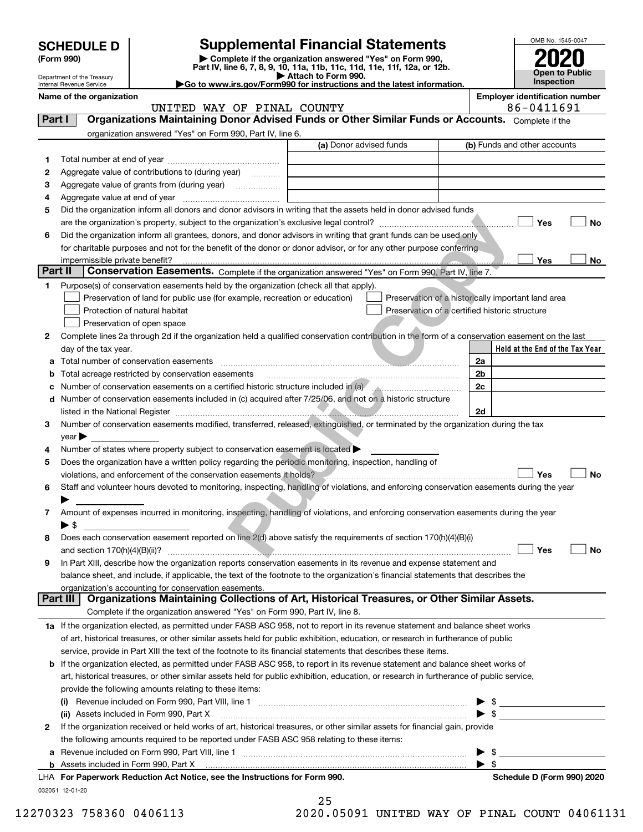| <b>SCHEDULE D</b> |  |  |
|-------------------|--|--|
|-------------------|--|--|

Department of the Treasury

| (Form 990) |  |
|------------|--|
|------------|--|

# **SCHEDULE D Supplemental Financial Statements**

(Form 990)<br>
Pepartment of the Treasury<br>
Department of the Treasury<br>
Department of the Treasury<br>
Department of the Treasury<br> **Co to www.irs.gov/Form990 for instructions and the latest information.**<br> **Co to www.irs.gov/Form9** 



Internal Revenue Service

**Name of the organization Employer identification number**

UNITED WAY OF PINAL COUNTY 86-0411691

| Part I  | <b>Organizations Maintaining Donor Advised Funds or Other Similar Funds or Accounts.</b> Complete if the                                       |                         |                                                              |
|---------|------------------------------------------------------------------------------------------------------------------------------------------------|-------------------------|--------------------------------------------------------------|
|         | organization answered "Yes" on Form 990, Part IV, line 6.                                                                                      | (a) Donor advised funds | (b) Funds and other accounts                                 |
|         |                                                                                                                                                |                         |                                                              |
| 1       |                                                                                                                                                |                         |                                                              |
| 2       | Aggregate value of contributions to (during year)                                                                                              |                         |                                                              |
| з       | Aggregate value of grants from (during year)                                                                                                   |                         |                                                              |
| 4       |                                                                                                                                                |                         |                                                              |
| 5       | Did the organization inform all donors and donor advisors in writing that the assets held in donor advised funds                               |                         |                                                              |
|         |                                                                                                                                                |                         | Yes                                                          |
| 6       | Did the organization inform all grantees, donors, and donor advisors in writing that grant funds can be used only                              |                         |                                                              |
|         | for charitable purposes and not for the benefit of the donor or donor advisor, or for any other purpose conferring                             |                         |                                                              |
| Part II | impermissible private benefit?                                                                                                                 |                         | Yes                                                          |
|         | Conservation Easements. Complete if the organization answered "Yes" on Form 990, Part IV, line 7.                                              |                         |                                                              |
| 1       | Purpose(s) of conservation easements held by the organization (check all that apply).                                                          |                         |                                                              |
|         | Preservation of land for public use (for example, recreation or education)                                                                     |                         | Preservation of a historically important land area           |
|         | Protection of natural habitat                                                                                                                  |                         | Preservation of a certified historic structure               |
|         | Preservation of open space                                                                                                                     |                         |                                                              |
| 2       | Complete lines 2a through 2d if the organization held a qualified conservation contribution in the form of a conservation easement on the last |                         |                                                              |
|         | day of the tax year.                                                                                                                           |                         | Held at the End of the Tax Year                              |
| a       |                                                                                                                                                |                         | 2a                                                           |
| b       | Total acreage restricted by conservation easements                                                                                             |                         | 2b                                                           |
| с       |                                                                                                                                                |                         | 2c                                                           |
| d       | Number of conservation easements included in (c) acquired after 7/25/06, and not on a historic structure                                       |                         |                                                              |
|         |                                                                                                                                                |                         | 2d                                                           |
| 3       | Number of conservation easements modified, transferred, released, extinguished, or terminated by the organization during the tax               |                         |                                                              |
|         | $year \blacktriangleright$                                                                                                                     |                         |                                                              |
| 4       | Number of states where property subject to conservation easement is located >                                                                  |                         |                                                              |
| 5       | Does the organization have a written policy regarding the periodic monitoring, inspection, handling of                                         |                         |                                                              |
|         | violations, and enforcement of the conservation easements it holds?                                                                            |                         | Yes                                                          |
| 6       | Staff and volunteer hours devoted to monitoring, inspecting, handling of violations, and enforcing conservation easements during the year      |                         |                                                              |
|         |                                                                                                                                                |                         |                                                              |
| 7       | Amount of expenses incurred in monitoring, inspecting, handling of violations, and enforcing conservation easements during the year            |                         |                                                              |
|         | $\blacktriangleright$ s                                                                                                                        |                         |                                                              |
| 8       | Does each conservation easement reported on line 2(d) above satisfy the requirements of section 170(h)(4)(B)(i)                                |                         |                                                              |
|         |                                                                                                                                                |                         | Yes                                                          |
| 9       | In Part XIII, describe how the organization reports conservation easements in its revenue and expense statement and                            |                         |                                                              |
|         | balance sheet, and include, if applicable, the text of the footnote to the organization's financial statements that describes the              |                         |                                                              |
|         | organization's accounting for conservation easements.                                                                                          |                         |                                                              |
|         | Organizations Maintaining Collections of Art, Historical Treasures, or Other Similar Assets.<br>Part III                                       |                         |                                                              |
|         | Complete if the organization answered "Yes" on Form 990, Part IV, line 8.                                                                      |                         |                                                              |
|         | 1a If the organization elected, as permitted under FASB ASC 958, not to report in its revenue statement and balance sheet works                |                         |                                                              |
|         | of art, historical treasures, or other similar assets held for public exhibition, education, or research in furtherance of public              |                         |                                                              |
|         | service, provide in Part XIII the text of the footnote to its financial statements that describes these items.                                 |                         |                                                              |
| b       | If the organization elected, as permitted under FASB ASC 958, to report in its revenue statement and balance sheet works of                    |                         |                                                              |
|         | art, historical treasures, or other similar assets held for public exhibition, education, or research in furtherance of public service,        |                         |                                                              |
|         | provide the following amounts relating to these items:                                                                                         |                         |                                                              |
|         |                                                                                                                                                |                         | $\frac{1}{2}$                                                |
|         | (ii) Assets included in Form 990, Part X                                                                                                       |                         | $\triangleright$ \$                                          |
| 2       | If the organization received or held works of art, historical treasures, or other similar assets for financial gain, provide                   |                         |                                                              |
|         | the following amounts required to be reported under FASB ASC 958 relating to these items:                                                      |                         |                                                              |
| а       | Revenue included on Form 990, Part VIII, line 1 [2000] [2000] [2000] [2000] [3000] [3000] [3000] [3000] [3000                                  |                         | \$<br><u> 1989 - Andrea Station, Amerikaansk politiker (</u> |
|         |                                                                                                                                                |                         | $\blacktriangleright$ s                                      |
|         | LHA For Paperwork Reduction Act Notice, see the Instructions for Form 990.                                                                     |                         | Schedule D (Form 990) 2020                                   |
|         | 032051 12-01-20                                                                                                                                |                         |                                                              |

|       | 25 |   |           |  |
|-------|----|---|-----------|--|
| n n n |    | ⌒ | <b>FA</b> |  |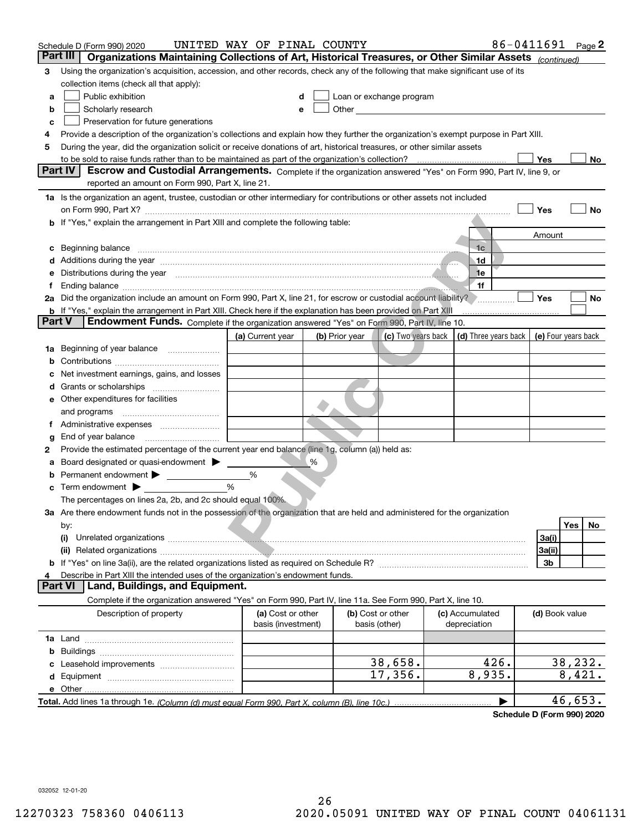|    | Schedule D (Form 990) 2020                                                                                                                                                                                                           | UNITED WAY OF PINAL COUNTY |   |                |                                                                                                                                                                                                                               |  |                 | 86-0411691 Page 2 |                     |         |    |
|----|--------------------------------------------------------------------------------------------------------------------------------------------------------------------------------------------------------------------------------------|----------------------------|---|----------------|-------------------------------------------------------------------------------------------------------------------------------------------------------------------------------------------------------------------------------|--|-----------------|-------------------|---------------------|---------|----|
|    | Part III<br>Organizations Maintaining Collections of Art, Historical Treasures, or Other Similar Assets (continued)                                                                                                                  |                            |   |                |                                                                                                                                                                                                                               |  |                 |                   |                     |         |    |
| з  | Using the organization's acquisition, accession, and other records, check any of the following that make significant use of its                                                                                                      |                            |   |                |                                                                                                                                                                                                                               |  |                 |                   |                     |         |    |
|    | collection items (check all that apply):                                                                                                                                                                                             |                            |   |                |                                                                                                                                                                                                                               |  |                 |                   |                     |         |    |
| а  | Public exhibition                                                                                                                                                                                                                    |                            |   |                | Loan or exchange program                                                                                                                                                                                                      |  |                 |                   |                     |         |    |
| b  | Scholarly research                                                                                                                                                                                                                   |                            |   |                | Other and the contract of the contract of the contract of the contract of the contract of the contract of the contract of the contract of the contract of the contract of the contract of the contract of the contract of the |  |                 |                   |                     |         |    |
| с  | Preservation for future generations                                                                                                                                                                                                  |                            |   |                |                                                                                                                                                                                                                               |  |                 |                   |                     |         |    |
| 4  | Provide a description of the organization's collections and explain how they further the organization's exempt purpose in Part XIII.                                                                                                 |                            |   |                |                                                                                                                                                                                                                               |  |                 |                   |                     |         |    |
| 5  | During the year, did the organization solicit or receive donations of art, historical treasures, or other similar assets                                                                                                             |                            |   |                |                                                                                                                                                                                                                               |  |                 |                   |                     |         |    |
|    |                                                                                                                                                                                                                                      |                            |   |                |                                                                                                                                                                                                                               |  |                 |                   | Yes                 |         | No |
|    | Part IV<br>Escrow and Custodial Arrangements. Complete if the organization answered "Yes" on Form 990, Part IV, line 9, or                                                                                                           |                            |   |                |                                                                                                                                                                                                                               |  |                 |                   |                     |         |    |
|    | reported an amount on Form 990, Part X, line 21.                                                                                                                                                                                     |                            |   |                |                                                                                                                                                                                                                               |  |                 |                   |                     |         |    |
|    | 1a Is the organization an agent, trustee, custodian or other intermediary for contributions or other assets not included                                                                                                             |                            |   |                |                                                                                                                                                                                                                               |  |                 |                   |                     |         |    |
|    |                                                                                                                                                                                                                                      |                            |   |                |                                                                                                                                                                                                                               |  |                 |                   | Yes                 |         | No |
|    | b If "Yes," explain the arrangement in Part XIII and complete the following table:                                                                                                                                                   |                            |   |                |                                                                                                                                                                                                                               |  |                 |                   |                     |         |    |
|    |                                                                                                                                                                                                                                      |                            |   |                |                                                                                                                                                                                                                               |  | 1 <sub>c</sub>  |                   | Amount              |         |    |
| c  | Beginning balance <b>with the contract of the contract of the contract of the contract of the contract of the contract of the contract of the contract of the contract of the contract of the contract of the contract of the co</b> |                            |   |                |                                                                                                                                                                                                                               |  | .1d             |                   |                     |         |    |
| е  | Distributions during the year measurement contains and all the year measurement of the state of the state of the                                                                                                                     |                            |   |                |                                                                                                                                                                                                                               |  | 1e              |                   |                     |         |    |
| f  |                                                                                                                                                                                                                                      |                            |   |                |                                                                                                                                                                                                                               |  | 1f              |                   |                     |         |    |
|    | 2a Did the organization include an amount on Form 990, Part X, line 21, for escrow or custodial account liability?                                                                                                                   |                            |   |                |                                                                                                                                                                                                                               |  |                 |                   | Yes                 |         | No |
|    | <b>b</b> If "Yes," explain the arrangement in Part XIII. Check here if the explanation has been provided on Part XIII                                                                                                                |                            |   |                |                                                                                                                                                                                                                               |  |                 |                   |                     |         |    |
|    | <b>Part V</b><br>Endowment Funds. Complete if the organization answered "Yes" on Form 990, Part IV, line 10.                                                                                                                         |                            |   |                |                                                                                                                                                                                                                               |  |                 |                   |                     |         |    |
|    |                                                                                                                                                                                                                                      | (a) Current year           |   | (b) Prior year | (c) Two years back $\vert$ (d) Three years back $\vert$                                                                                                                                                                       |  |                 |                   | (e) Four years back |         |    |
| 1a | Beginning of year balance                                                                                                                                                                                                            |                            |   |                |                                                                                                                                                                                                                               |  |                 |                   |                     |         |    |
| b  |                                                                                                                                                                                                                                      |                            |   |                |                                                                                                                                                                                                                               |  |                 |                   |                     |         |    |
|    | Net investment earnings, gains, and losses                                                                                                                                                                                           |                            |   |                |                                                                                                                                                                                                                               |  |                 |                   |                     |         |    |
|    | Grants or scholarships [ <i>[[[[[[[[[[[[[[[[[[[[[[[[[[[[[[[[[]]]]]</i>                                                                                                                                                               |                            |   |                |                                                                                                                                                                                                                               |  |                 |                   |                     |         |    |
|    | e Other expenditures for facilities                                                                                                                                                                                                  |                            |   |                |                                                                                                                                                                                                                               |  |                 |                   |                     |         |    |
|    | and programs                                                                                                                                                                                                                         |                            |   |                |                                                                                                                                                                                                                               |  |                 |                   |                     |         |    |
|    | f Administrative expenses                                                                                                                                                                                                            |                            |   |                |                                                                                                                                                                                                                               |  |                 |                   |                     |         |    |
| g  |                                                                                                                                                                                                                                      |                            |   |                |                                                                                                                                                                                                                               |  |                 |                   |                     |         |    |
| 2  | Provide the estimated percentage of the current year end balance (line 1g, column (a)) held as:                                                                                                                                      |                            |   |                |                                                                                                                                                                                                                               |  |                 |                   |                     |         |    |
| а  | Board designated or quasi-endowment                                                                                                                                                                                                  |                            | % |                |                                                                                                                                                                                                                               |  |                 |                   |                     |         |    |
|    | Permanent endowment >                                                                                                                                                                                                                | %                          |   |                |                                                                                                                                                                                                                               |  |                 |                   |                     |         |    |
|    | <b>c</b> Term endowment $\blacktriangleright$                                                                                                                                                                                        | %                          |   |                |                                                                                                                                                                                                                               |  |                 |                   |                     |         |    |
|    | The percentages on lines 2a, 2b, and 2c should equal 100%.                                                                                                                                                                           |                            |   |                |                                                                                                                                                                                                                               |  |                 |                   |                     |         |    |
|    | 3a Are there endowment funds not in the possession of the organization that are held and administered for the organization                                                                                                           |                            |   |                |                                                                                                                                                                                                                               |  |                 |                   |                     |         |    |
|    | by:                                                                                                                                                                                                                                  |                            |   |                |                                                                                                                                                                                                                               |  |                 |                   |                     | Yes     | No |
|    | (i)                                                                                                                                                                                                                                  |                            |   |                |                                                                                                                                                                                                                               |  |                 |                   | 3a(i)               |         |    |
|    |                                                                                                                                                                                                                                      |                            |   |                |                                                                                                                                                                                                                               |  |                 |                   | 3a(ii)              |         |    |
|    |                                                                                                                                                                                                                                      |                            |   |                |                                                                                                                                                                                                                               |  |                 |                   | 3b                  |         |    |
| 4  | Describe in Part XIII the intended uses of the organization's endowment funds.<br>Land, Buildings, and Equipment.<br><b>Part VI</b>                                                                                                  |                            |   |                |                                                                                                                                                                                                                               |  |                 |                   |                     |         |    |
|    | Complete if the organization answered "Yes" on Form 990, Part IV, line 11a. See Form 990, Part X, line 10.                                                                                                                           |                            |   |                |                                                                                                                                                                                                                               |  |                 |                   |                     |         |    |
|    | Description of property                                                                                                                                                                                                              | (a) Cost or other          |   |                | (b) Cost or other                                                                                                                                                                                                             |  | (c) Accumulated |                   | (d) Book value      |         |    |
|    |                                                                                                                                                                                                                                      | basis (investment)         |   |                | basis (other)                                                                                                                                                                                                                 |  | depreciation    |                   |                     |         |    |
|    |                                                                                                                                                                                                                                      |                            |   |                |                                                                                                                                                                                                                               |  |                 |                   |                     |         |    |
| b  |                                                                                                                                                                                                                                      |                            |   |                |                                                                                                                                                                                                                               |  |                 |                   |                     |         |    |
| c  |                                                                                                                                                                                                                                      |                            |   |                | 38,658.                                                                                                                                                                                                                       |  |                 | 426.              |                     | 38,232. |    |
| d  |                                                                                                                                                                                                                                      |                            |   |                | 17,356.                                                                                                                                                                                                                       |  | 8,935.          |                   |                     | 8,421.  |    |
|    |                                                                                                                                                                                                                                      |                            |   |                |                                                                                                                                                                                                                               |  |                 |                   |                     |         |    |
|    |                                                                                                                                                                                                                                      |                            |   |                |                                                                                                                                                                                                                               |  |                 | ▶                 |                     | 46,653. |    |

**Schedule D (Form 990) 2020**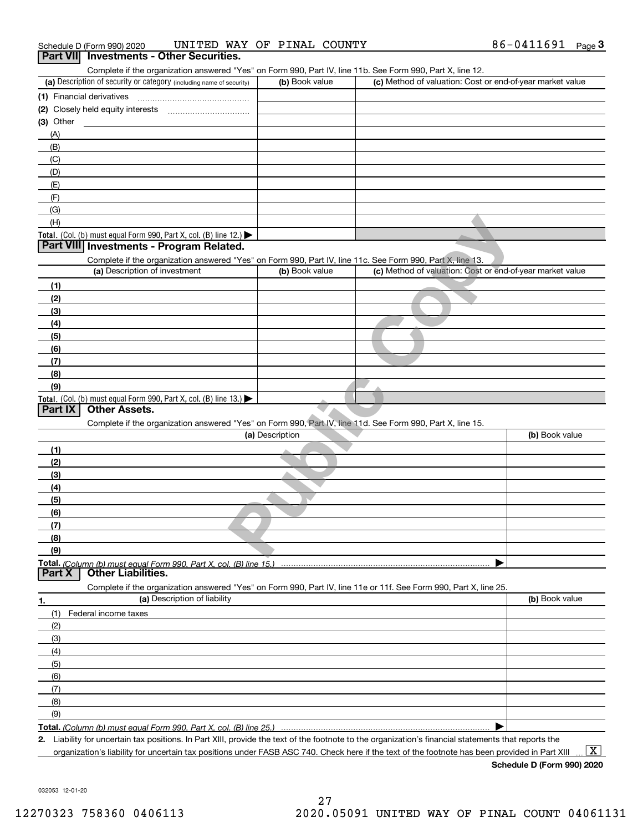| Schedule D (Form 990) 2020                      | UNITED WAY OF PINAL COUNTY |  | 86-0411691 | Page |
|-------------------------------------------------|----------------------------|--|------------|------|
| <b>Dart VIII</b> Investments - Other Securities |                            |  |            |      |

|                                              | (a) Description of security or category (including name of security)                                              | (b) Book value  | (c) Method of valuation: Cost or end-of-year market value |                |
|----------------------------------------------|-------------------------------------------------------------------------------------------------------------------|-----------------|-----------------------------------------------------------|----------------|
|                                              | (1) Financial derivatives                                                                                         |                 |                                                           |                |
|                                              |                                                                                                                   |                 |                                                           |                |
| (3) Other                                    |                                                                                                                   |                 |                                                           |                |
| (A)                                          |                                                                                                                   |                 |                                                           |                |
| (B)                                          |                                                                                                                   |                 |                                                           |                |
| (C)                                          |                                                                                                                   |                 |                                                           |                |
| (D)                                          |                                                                                                                   |                 |                                                           |                |
| (E)                                          |                                                                                                                   |                 |                                                           |                |
| (F)                                          |                                                                                                                   |                 |                                                           |                |
| (G)                                          |                                                                                                                   |                 |                                                           |                |
| (H)                                          |                                                                                                                   |                 |                                                           |                |
|                                              | Total. (Col. (b) must equal Form 990, Part X, col. (B) line 12.)                                                  |                 |                                                           |                |
|                                              | Part VIII Investments - Program Related.                                                                          |                 |                                                           |                |
|                                              | Complete if the organization answered "Yes" on Form 990, Part IV, line 11c. See Form 990, Part X, line 13.        |                 |                                                           |                |
|                                              | (a) Description of investment                                                                                     | (b) Book value  | (c) Method of valuation: Cost or end-of-year market value |                |
| (1)                                          |                                                                                                                   |                 |                                                           |                |
| (2)                                          |                                                                                                                   |                 |                                                           |                |
| (3)                                          |                                                                                                                   |                 |                                                           |                |
| (4)                                          |                                                                                                                   |                 |                                                           |                |
| (5)                                          |                                                                                                                   |                 |                                                           |                |
| (6)                                          |                                                                                                                   |                 |                                                           |                |
| (7)                                          |                                                                                                                   |                 |                                                           |                |
| (8)                                          |                                                                                                                   |                 |                                                           |                |
|                                              |                                                                                                                   |                 |                                                           |                |
| (9)                                          |                                                                                                                   |                 |                                                           |                |
|                                              | Total. (Col. (b) must equal Form 990, Part X, col. (B) line 13.)<br>Other Assets.                                 |                 |                                                           |                |
|                                              | Complete if the organization answered "Yes" on Form 990, Part IV, line 11d. See Form 990, Part X, line 15.        | (a) Description |                                                           | (b) Book value |
| (1)                                          |                                                                                                                   |                 |                                                           |                |
| (2)                                          |                                                                                                                   |                 |                                                           |                |
| (3)                                          |                                                                                                                   |                 |                                                           |                |
| (4)                                          |                                                                                                                   |                 |                                                           |                |
| (5)                                          |                                                                                                                   |                 |                                                           |                |
| (6)                                          |                                                                                                                   |                 |                                                           |                |
| (7)                                          |                                                                                                                   |                 |                                                           |                |
| (8)                                          |                                                                                                                   |                 |                                                           |                |
| (9)                                          |                                                                                                                   |                 |                                                           |                |
|                                              | <b>Other Liabilities.</b>                                                                                         |                 |                                                           |                |
|                                              | Complete if the organization answered "Yes" on Form 990, Part IV, line 11e or 11f. See Form 990, Part X, line 25. |                 |                                                           |                |
|                                              | (a) Description of liability                                                                                      |                 |                                                           | (b) Book value |
| (1)                                          | Federal income taxes                                                                                              |                 |                                                           |                |
| (2)                                          |                                                                                                                   |                 |                                                           |                |
| (3)                                          |                                                                                                                   |                 |                                                           |                |
| (4)                                          |                                                                                                                   |                 |                                                           |                |
| (5)                                          |                                                                                                                   |                 |                                                           |                |
| (6)                                          |                                                                                                                   |                 |                                                           |                |
| (7)                                          |                                                                                                                   |                 |                                                           |                |
| (8)                                          |                                                                                                                   |                 |                                                           |                |
| <b>Part IX</b><br><b>Part X</b><br>1.<br>(9) |                                                                                                                   |                 |                                                           |                |

**Schedule D (Form 990) 2020**

032053 12-01-20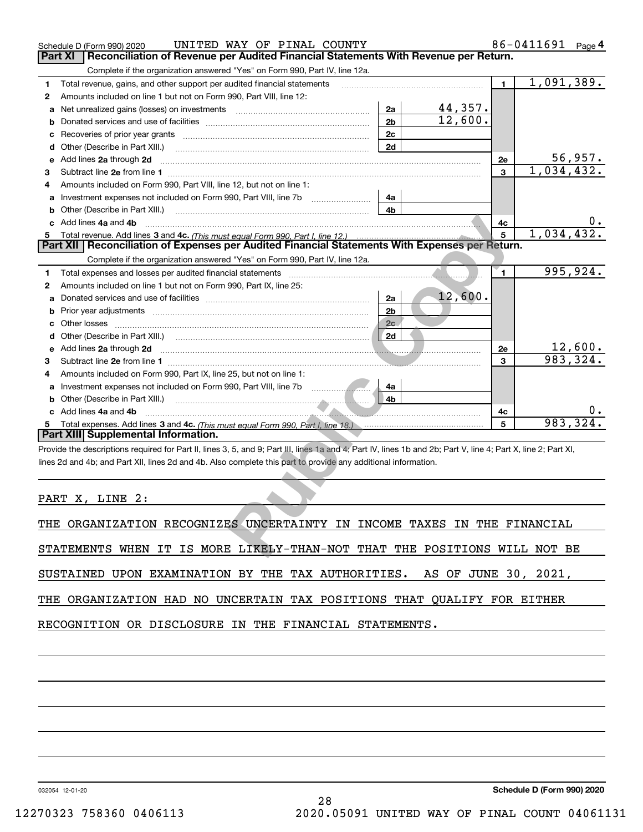|   | UNITED WAY OF PINAL COUNTY<br>Schedule D (Form 990) 2020                                                                                                                                                                            |                | 86-0411691   | Page <sup>4</sup> |            |                            |
|---|-------------------------------------------------------------------------------------------------------------------------------------------------------------------------------------------------------------------------------------|----------------|--------------|-------------------|------------|----------------------------|
|   | Reconciliation of Revenue per Audited Financial Statements With Revenue per Return.<br>Part XI                                                                                                                                      |                |              |                   |            |                            |
|   | Complete if the organization answered "Yes" on Form 990, Part IV, line 12a.                                                                                                                                                         |                |              |                   |            |                            |
| 1 | Total revenue, gains, and other support per audited financial statements                                                                                                                                                            |                | $\mathbf{1}$ | 1,091,389.        |            |                            |
| 2 | Amounts included on line 1 but not on Form 990, Part VIII, line 12:                                                                                                                                                                 |                |              |                   |            |                            |
| a | Net unrealized gains (losses) on investments [11] [12] matter and all the values of the values of the values o                                                                                                                      |                |              |                   |            |                            |
| b |                                                                                                                                                                                                                                     |                |              |                   |            |                            |
| c |                                                                                                                                                                                                                                     |                |              |                   |            |                            |
|   | <b>d</b> Other (Describe in Part XIII.)                                                                                                                                                                                             |                |              |                   |            |                            |
| е | Add lines 2a through 2d                                                                                                                                                                                                             |                |              | 2e                |            | 56,957.                    |
| 3 |                                                                                                                                                                                                                                     |                |              | 3                 | 1,034,432. |                            |
| 4 | Amounts included on Form 990, Part VIII, line 12, but not on line 1:                                                                                                                                                                |                |              |                   |            |                            |
| a | Investment expenses not included on Form 990, Part VIII, line 7b                                                                                                                                                                    | 4a             |              |                   |            |                            |
| b | Other (Describe in Part XIII.) <b>Construction Contract Construction</b> Chern Construction Chern Chern Chern Chern Chern Chern Chern Chern Chern Chern Chern Chern Chern Chern Chern Chern Chern Chern Chern Chern Chern Chern Che | 4b             |              |                   |            |                            |
|   | c Add lines 4a and 4b                                                                                                                                                                                                               |                |              | 4c                |            |                            |
|   |                                                                                                                                                                                                                                     |                |              | 5                 | 1,034,432. |                            |
|   | Part XII   Reconciliation of Expenses per Audited Financial Statements With Expenses per Return.                                                                                                                                    |                |              |                   |            |                            |
|   | Complete if the organization answered "Yes" on Form 990, Part IV, line 12a.                                                                                                                                                         |                |              |                   |            |                            |
| 1 |                                                                                                                                                                                                                                     |                |              | $\blacksquare$    |            | 995,924.                   |
| 2 | Amounts included on line 1 but not on Form 990, Part IX, line 25:                                                                                                                                                                   |                |              |                   |            |                            |
| а |                                                                                                                                                                                                                                     | 2a             | 12,600.      |                   |            |                            |
| b |                                                                                                                                                                                                                                     | 2 <sub>b</sub> |              |                   |            |                            |
| c | Other losses <b>communications</b> and the losses <b>contract of the losses</b>                                                                                                                                                     | 2c             |              |                   |            |                            |
| d |                                                                                                                                                                                                                                     | 2d             |              |                   |            |                            |
| е | Add lines 2a through 2d                                                                                                                                                                                                             |                |              | 2e                |            | $\frac{12,600}{983,324}$ . |
| 3 |                                                                                                                                                                                                                                     |                |              | 3                 |            |                            |
| 4 | Amounts included on Form 990, Part IX, line 25, but not on line 1:                                                                                                                                                                  |                |              |                   |            |                            |
| a | Investment expenses not included on Form 990, Part VIII, line 7b                                                                                                                                                                    | 4a             |              |                   |            |                            |
|   |                                                                                                                                                                                                                                     | 4b             |              |                   |            |                            |
|   | c Add lines 4a and 4b                                                                                                                                                                                                               |                |              | 4c                |            |                            |
| 5 | Total expenses. Add lines 3 and 4c. (This must equal Form 990, Part I. line 18.) <b>Conserverse Expenses</b> . Add lines 3 and 4c. (This must equal Form 990, Part I. line 18.)                                                     |                |              | 5                 | 983,324    |                            |
|   | Part XIII Supplemental Information.                                                                                                                                                                                                 |                |              |                   |            |                            |
|   | Provide the descriptions required for Part II, lines 3, 5, and 9; Part III, lines 1a and 4; Part IV, lines 1b and 2b; Part V, line 4; Part X, line 2; Part XI,                                                                      |                |              |                   |            |                            |
|   | lines 2d and 4b; and Part XII, lines 2d and 4b. Also complete this part to provide any additional information.                                                                                                                      |                |              |                   |            |                            |
|   |                                                                                                                                                                                                                                     |                |              |                   |            |                            |
|   |                                                                                                                                                                                                                                     |                |              |                   |            |                            |
|   | PART X, LINE 2:                                                                                                                                                                                                                     |                |              |                   |            |                            |
|   |                                                                                                                                                                                                                                     |                |              |                   |            |                            |
|   | THE ORGANIZATION RECOGNIZES UNCERTAINTY IN INCOME TAXES IN THE FINANCIAL                                                                                                                                                            |                |              |                   |            |                            |
|   |                                                                                                                                                                                                                                     |                |              |                   |            |                            |
|   | STATEMENTS WHEN IT IS MORE LIKELY-THAN-NOT THAT THE POSITIONS WILL NOT BE                                                                                                                                                           |                |              |                   |            |                            |

| THE ORGANIZATION RECOGNIZES UNCERTAINTY IN INCOME TAXES IN THE FINANCIAL |  |  |  |  |  |
|--------------------------------------------------------------------------|--|--|--|--|--|
|                                                                          |  |  |  |  |  |

SUSTAINED UPON EXAMINATION BY THE TAX AUTHORITIES. AS OF JUNE 30, 2021,

28

THE ORGANIZATION HAD NO UNCERTAIN TAX POSITIONS THAT QUALIFY FOR EITHER

RECOGNITION OR DISCLOSURE IN THE FINANCIAL STATEMENTS.

032054 12-01-20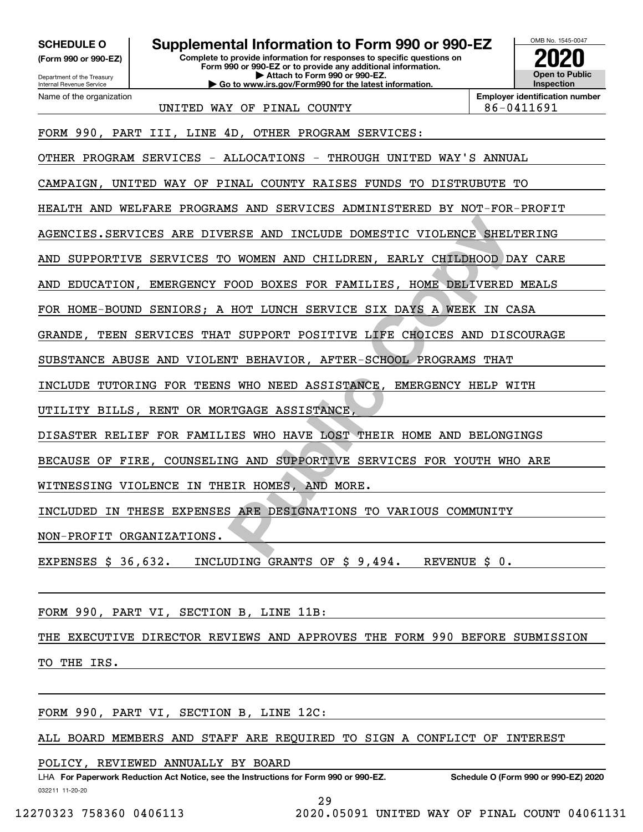**(Form 990 or 990-EZ)**

Department of the Treasury Internal Revenue Service Name of the organization

# **SCHEDULE O Supplemental Information to Form 990 or 990-EZ**

**Complete to provide information for responses to specific questions on Form 990 or 990-EZ or to provide any additional information. | Attach to Form 990 or 990-EZ. | Go to www.irs.gov/Form990 for the latest information.**



**Employer identification number**

UNITED WAY OF PINAL COUNTY  $86-0411691$ 

FORM 990, PART III, LINE 4D, OTHER PROGRAM SERVICES:

OTHER PROGRAM SERVICES - ALLOCATIONS - THROUGH UNITED WAY'S ANNUAL

CAMPAIGN, UNITED WAY OF PINAL COUNTY RAISES FUNDS TO DISTRUBUTE TO

HEALTH AND WELFARE PROGRAMS AND SERVICES ADMINISTERED BY NOT-FOR-PROFIT

AGENCIES.SERVICES ARE DIVERSE AND INCLUDE DOMESTIC VIOLENCE SHELTERING

AND SUPPORTIVE SERVICES TO WOMEN AND CHILDREN, EARLY CHILDHOOD DAY CARE

AND EDUCATION, EMERGENCY FOOD BOXES FOR FAMILIES, HOME DELIVERED MEALS

FOR HOME-BOUND SENIORS; A HOT LUNCH SERVICE SIX DAYS A WEEK IN CASA

GRANDE, TEEN SERVICES THAT SUPPORT POSITIVE LIFE CHOICES AND DISCOURAGE

SUBSTANCE ABUSE AND VIOLENT BEHAVIOR, AFTER-SCHOOL PROGRAMS THAT

INCLUDE TUTORING FOR TEENS WHO NEED ASSISTANCE, EMERGENCY HELP WITH

UTILITY BILLS, RENT OR MORTGAGE ASSISTANCE,

DISASTER RELIEF FOR FAMILIES WHO HAVE LOST THEIR HOME AND BELONGINGS

BECAUSE OF FIRE, COUNSELING AND SUPPORTIVE SERVICES FOR YOUTH WHO ARE

WITNESSING VIOLENCE IN THEIR HOMES, AND MORE.

FREE AND INCLUDE DOMESTIC VIOLENCE SHELD<br>
D WOMEN AND CHILDREN, EARLY CHILDHOOD DE<br>
POOD BOXES FOR FAMILIES, HOME DELIVERED<br>
HOT LUNCH SERVICE SIX DAYS A WEEK IN CF<br>
INCT SUPPORT POSITIVE LIFE CHOICES AND DISC<br>
T BEHAVIOR, INCLUDED IN THESE EXPENSES ARE DESIGNATIONS TO VARIOUS COMMUNITY

NON-PROFIT ORGANIZATIONS.

EXPENSES \$ 36,632. INCLUDING GRANTS OF \$ 9,494. REVENUE \$ 0.

FORM 990, PART VI, SECTION B, LINE 11B:

THE EXECUTIVE DIRECTOR REVIEWS AND APPROVES THE FORM 990 BEFORE SUBMISSION

TO THE IRS.

FORM 990, PART VI, SECTION B, LINE 12C:

ALL BOARD MEMBERS AND STAFF ARE REQUIRED TO SIGN A CONFLICT OF INTEREST

POLICY, REVIEWED ANNUALLY BY BOARD

032211 11-20-20 LHA For Paperwork Reduction Act Notice, see the Instructions for Form 990 or 990-EZ. Schedule O (Form 990 or 990-EZ) 2020

29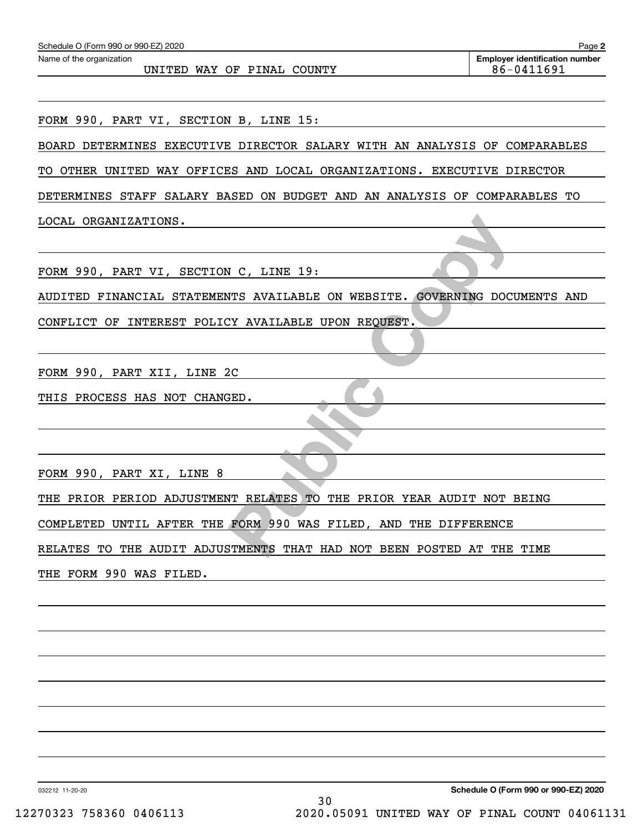| Schedule O (Form 990 or 990-EZ) 2020                                       | Page 2                                              |
|----------------------------------------------------------------------------|-----------------------------------------------------|
| Name of the organization<br>UNITED WAY OF PINAL COUNTY                     | <b>Employer identification number</b><br>86-0411691 |
|                                                                            |                                                     |
| FORM 990, PART VI, SECTION B, LINE 15:                                     |                                                     |
| BOARD DETERMINES EXECUTIVE DIRECTOR SALARY WITH AN ANALYSIS OF COMPARABLES |                                                     |
| TO OTHER UNITED WAY OFFICES AND LOCAL ORGANIZATIONS. EXECUTIVE DIRECTOR    |                                                     |
| DETERMINES STAFF SALARY BASED ON BUDGET AND AN ANALYSIS OF COMPARABLES TO  |                                                     |
| LOCAL ORGANIZATIONS.                                                       |                                                     |
|                                                                            |                                                     |
| FORM 990, PART VI, SECTION C, LINE 19:                                     |                                                     |
| AUDITED FINANCIAL STATEMENTS AVAILABLE ON WEBSITE. GOVERNING DOCUMENTS AND |                                                     |
| CONFLICT OF INTEREST POLICY AVAILABLE UPON REQUEST.                        |                                                     |
|                                                                            |                                                     |
| FORM 990, PART XII, LINE 2C                                                |                                                     |
| THIS PROCESS HAS NOT CHANGED.                                              |                                                     |
|                                                                            |                                                     |
|                                                                            |                                                     |
| FORM 990, PART XI, LINE 8                                                  |                                                     |
| THE PRIOR PERIOD ADJUSTMENT RELATES TO THE PRIOR YEAR AUDIT NOT BEING      |                                                     |
| COMPLETED UNTIL AFTER THE FORM 990 WAS FILED, AND THE DIFFERENCE           |                                                     |
| RELATES TO THE AUDIT ADJUSTMENTS THAT HAD NOT BEEN POSTED AT THE TIME      |                                                     |
| THE FORM 990 WAS FILED.                                                    |                                                     |
|                                                                            |                                                     |
|                                                                            |                                                     |
|                                                                            |                                                     |
|                                                                            |                                                     |
|                                                                            |                                                     |
|                                                                            |                                                     |

032212 11-20-20